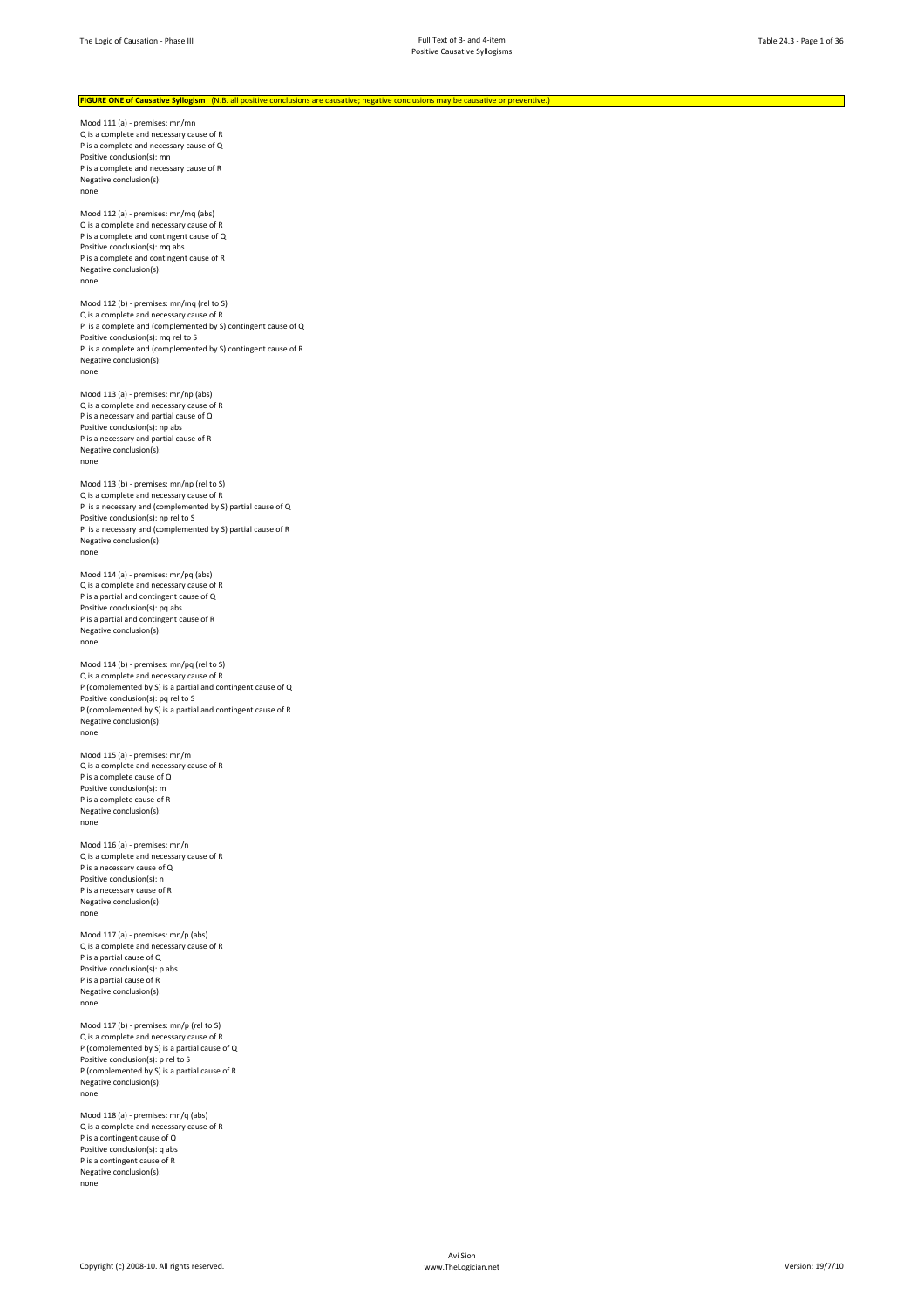## FIGURE ONE of Causative Syllogism (N.B. all positive conclusions are causative; negative conclusions may be causative or preventive.)

Mood 111 (a) - premises: mn/mn Q is a complete and necessary cause of R P is a complete and necessary cause of Q Positive conclusion(s): mn P is a complete and necessary cause of R Negative conclusion(s): none

Mood 112 (a) - premises: mn/mq (abs) Q is a complete and necessary cause of R P is a complete and contingent cause of Q Positive conclusion(s): mq abs P is a complete and contingent cause of R Negative conclusion(s): none

Mood 112 (b) - premises: mn/mq (rel to S) Q is a complete and necessary cause of R P is a complete and (complemented by S) contingent cause of Q Positive conclusion(s): mq rel to S P is a complete and (complemented by S) contingent cause of R Negative conclusion(s): none

Mood 113 (a) - premises: mn/np (abs) Q is a complete and necessary cause of R P is a necessary and partial cause of Q Positive conclusion(s): np abs P is a necessary and partial cause of R Negative conclusion(s): none

Mood 113 (b) - premises: mn/np (rel to S) Q is a complete and necessary cause of R P is a necessary and (complemented by S) partial cause of Q Positive conclusion(s): np rel to S P is a necessary and (complemented by S) partial cause of R Negative conclusion(s): none

Mood 114 (a) - premises: mn/pq (abs) Q is a complete and necessary cause of R P is a partial and contingent cause of Q Positive conclusion(s): pq abs P is a partial and contingent cause of R Negative conclusion(s): none

Mood 114 (b) - premises: mn/pq (rel to S) Q is a complete and necessary cause of R P (complemented by S) is a partial and contingent cause of Q Positive conclusion(s): pq rel to S P (complemented by S) is a partial and contingent cause of R Negative conclusion(s): none

Mood 115 (a) - premises: mn/m Q is a complete and necessary cause of R P is a complete cause of Q Positive conclusion(s): m P is a complete cause of R Negative conclusion(s): none

Mood 116 (a) - premises: mn/n Q is a complete and necessary cause of R P is a necessary cause of Q Positive conclusion(s): n P is a necessary cause of R Negative conclusion(s): none

Mood 117 (a) - premises: mn/p (abs) Q is a complete and necessary cause of R P is a partial cause of Q Positive conclusion(s): p abs P is a partial cause of R Negative conclusion(s): none

Mood 117 (b) - premises: mn/p (rel to S) Q is a complete and necessary cause of R P (complemented by S) is a partial cause of Q Positive conclusion(s): p rel to S P (complemented by S) is a partial cause of R Negative conclusion(s): none

Mood 118 (a) - premises: mn/q (abs) Q is a complete and necessary cause of R P is a contingent cause of Q Positive conclusion(s): q abs P is a contingent cause of R Negative conclusion(s): none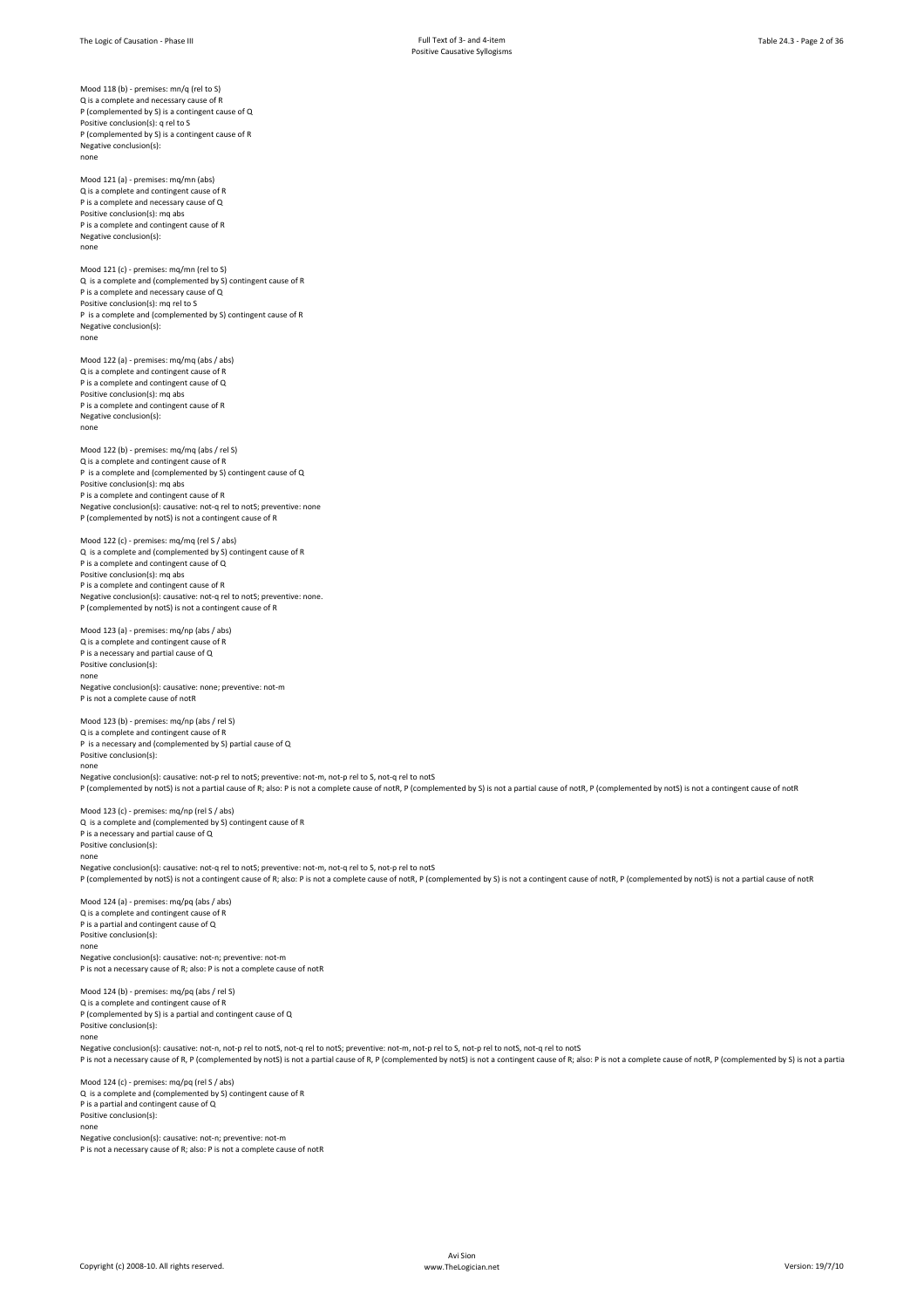Mood 118 (b) - premises: mn/a (rel to S) Q is a complete and necessary cause of R P (complemented by S) is a contingent cause of Q Positive conclusion(s): q rel to S P (complemented by S) is a contingent cause of R Negative conclusion(s): none

Mood 121 (a) - premises: mq/mn (abs) Q is a complete and contingent cause of R P is a complete and necessary cause of Q Positive conclusion(s): mq abs P is a complete and contingent cause of R Negative conclusion(s): none

Mood 121 (c) - premises: mq/mn (rel to S) Q is a complete and (complemented by S) contingent cause of R P is a complete and necessary cause of Q Positive conclusion(s): ma rel to S P is a complete and (complemented by S) contingent cause of R Negative conclusion(s): none

Mood 122 (a) - premises: mq/mq (abs / abs) Q is a complete and contingent cause of R P is a complete and contingent cause of Q Positive conclusion(s): ma abs P is a complete and contingent cause of R Negative conclusion(s): none

Mood 122 (b) - premises: mq/mq (abs / rel S) Q is a complete and contingent cause of R P is a complete and (complemented by S) contingent cause of Q Positive conclusion(s): mq abs P is a complete and contingent cause of R Negative conclusion(s): causative: not-q rel to notS; preventive: none P (complemented by notS) is not a contingent cause of R

Mood 122 (c) - premises: mq/mq (rel S / abs) Q is a complete and (complemented by S) contingent cause of R P is a complete and contingent cause of Q Positive conclusion(s): mq abs P is a complete and contingent cause of R Negative conclusion(s): causative: not-q rel to notS; preventive: none. P (complemented by notS) is not a contingent cause of R

Mood 123 (a) - premises: mq/np (abs / abs) Q is a complete and contingent cause of R P is a necessary and partial cause of Q Positive conclusion(s): none Negative conclusion(s): causative: none; preventive: not-m

P is not a complete cause of notR

Mood 123 (b) - premises: mq/np (abs / rel S) Q is a complete and contingent cause of R P is a necessary and (complemented by S) partial cause of Q Positive conclusion(s): none Negative conclusion(s): causative: not-p rel to notS; preventive: not-m, not-p rel to S, not-q rel to notS P (complemented by notS) is not a partial cause of R; also: P is not a complete cause of notR, P (complemented by S) is not a partial cause of notR, P (complemented by notS) is not a contingent cause of notR Mood 123 (c) - premises: mq/np (rel S / abs)

Q is a complete and (complemented by S) contingent cause of R P is a necessary and partial cause of Q Positive conclusion(s) none

Negative conclusion(s): causative: not-q rel to notS; preventive: not-m, not-q rel to S, not-p rel to notS P (complemented by notS) is not a contingent cause of R; also: P is not a complete cause of notR, P (complemented by S) is not a contingent cause of notR, P (complemented by notS) is not a partial cause of notR

Mood 124 (a) - premises: mq/pq (abs / abs) Q is a complete and contingent cause of R P is a partial and contingent cause of Q Positive conclusion(s): none Negative conclusion(s): causative: not-n; preventive: not-m P is not a necessary cause of R; also: P is not a complete cause of notP

Mood 124 (b) - premises: mq/pq (abs / rel S) Q is a complete and contingent cause of R P (complemented by S) is a partial and contingent cause of Q Positive conclusion(s):

none Negative conclusion(s): causative: not-n, not-p rel to notS, not-q rel to notS; preventive: not-m, not-p rel to S, not-p rel to notS, not-q rel to notS P is not a necessary cause of R, P (complemented by notS) is not a partial cause of R, P (complemented by notS) is not a contingent cause of R; also: P is not a complete cause of R; also: P is not a complete cause of notR,

Mood 124 (c) - premises: mq/pq (rel S / abs) Q is a complete and (complemented by S) contingent cause of R P is a partial and contingent cause of Q Positive conclusion(s): none Negative conclusion(s): causative: not-n; preventive: not-m

P is not a necessary cause of R; also: P is not a complete cause of notR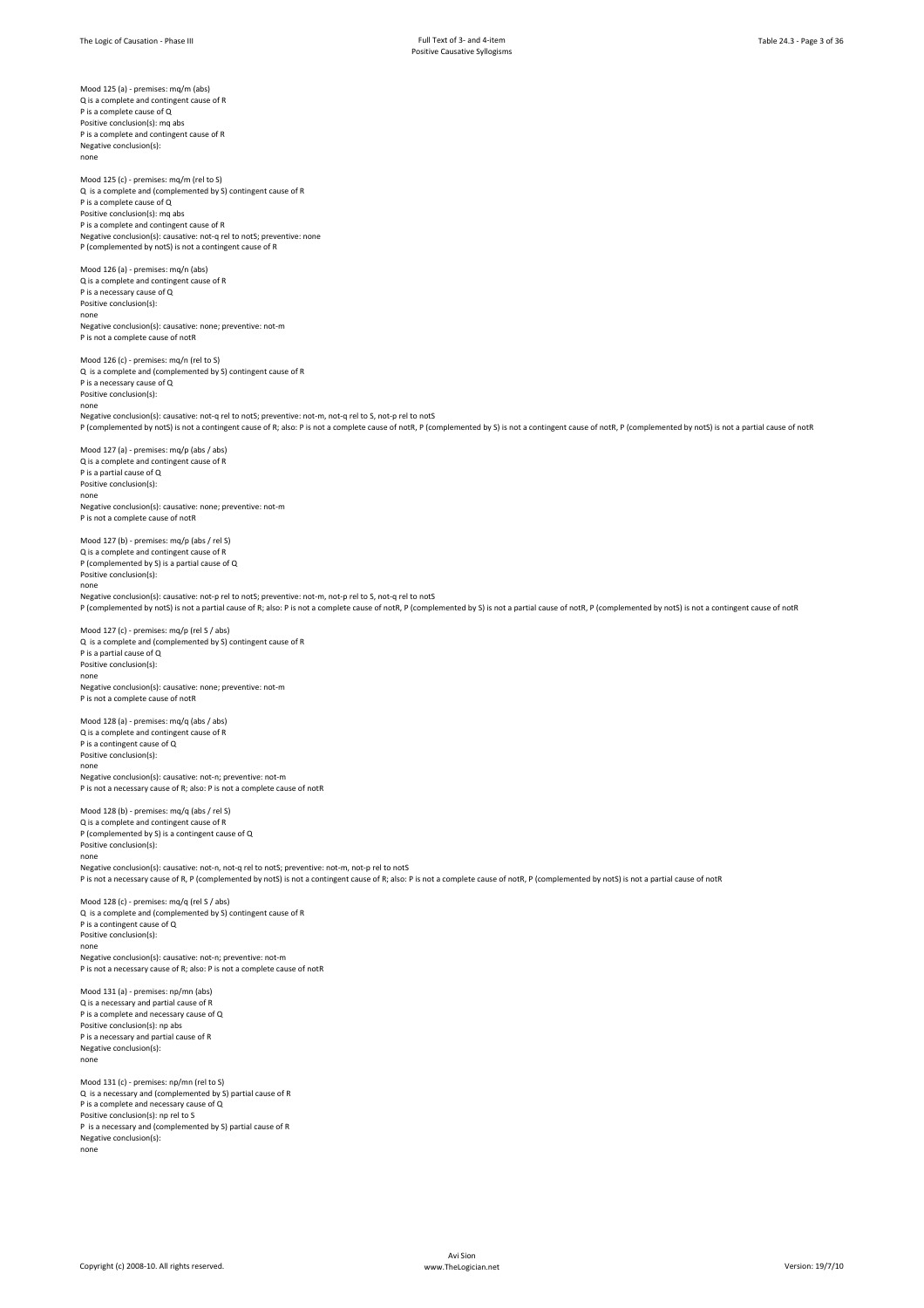Mood 125 (a) - premises: mq/m (abs) Q is a complete and contingent cause of R P is a complete cause of Q Positive conclusion(s): mq abs P is a complete and contingent cause of R Negative conclusion(s): none Mood 125 (c) - premises: mq/m (rel to S) Q is a complete and (complemented by S) contingent cause of R P is a complete cause of Q Positive conclusion(s): mq abs P is a complete and contingent cause of R Negative conclusion(s): causative: not-q rel to notS; preventive: none P (complemented by notS) is not a contingent cause of R Mood 126 (a) - premises: mq/n (abs) Q is a complete and contingent cause of R P is a necessary cause of Q Positive conclusion(s): none Negative conclusion(s): causative: none; preventive: not-m P is not a complete cause of notR Mood 126 (c) - premises: mq/n (rel to S) Q is a complete and (complemented by S) contingent cause of R P is a necessary cause of Q Positive conclusion(s): none Negative conclusion(s): causative: not-q rel to notS; preventive: not-m, not-q rel to S, not-p rel to notS P (complemented by notS) is not a contingent cause of R; also: P is not a complete cause of notR, P (complemented by S) is not a contingent cause of notR, P (complemented by notS) is not a partial cause of notR Mood 127 (a) - premises: mq/p (abs / abs) Q is a complete and contingent cause of R P is a partial cause of Q Positive conclusion(s): none Negative conclusion(s): causative: none; preventive: not-m P is not a complete cause of notR Mood 127 (b) - premises: mq/p (abs / rel S) Q is a complete and contingent cause of R P (complemented by S) is a partial cause of Q Positive conclusion(s): none Negative conclusion(s): causative: not-p rel to notS; preventive: not-m, not-p rel to S, not-q rel to notS P (complemented by notS) is not a partial cause of R; also: P is not a complete cause of notR, P (complemented by S) is not a partial cause of notR, P (complemented by notS) is not a contingent cause of notR Mood 127 (c) - premises: mq/p (rel S / abs) Q is a complete and (complemented by S) contingent cause of R P is a partial cause of Q Positive conclusion(s): none Negative conclusion(s): causative: none; preventive: not-m P is not a complete cause of notR Mood 128 (a) - premises: mq/q (abs / abs) Q is a complete and contingent cause of R P is a contingent cause of Q Positive conclusion(s): none Negative conclusion(s): causative: not-n; preventive: not-m P is not a necessary cause of R; also: P is not a complete cause of notR Mood 128 (b) - premises: mq/q (abs / rel S) Q is a complete and contingent cause of R P (complemented by S) is a contingent cause of Q Positive conclusion(s) none Negative conclusion(s): causative: not-n, not-q rel to notS; preventive: not-m, not-p rel to notS P is not a necessary cause of R, P (complemented by notS) is not a contingent cause of R; also: P is not a complete cause of notR, P (complemented by notS) is not a partial cause of notR Mood 128 (c) - premises: mq/q (rel S / abs) Q is a complete and (complemented by S) contingent cause of R P is a contingent cause of Q Positive conclusion(s): none Negative conclusion(s): causative: not-n; preventive: not-m P is not a necessary cause of R; also: P is not a complete cause of notR Mood 131 (a) - premises: np/mn (abs) Q is a necessary and partial cause of R P is a complete and necessary cause of Q Positive conclusion(s): np abs P is a necessary and partial cause of R Negative conclusion(s): none Mood 131 (c) - premises: np/mn (rel to S) Q is a necessary and (complemented by S) partial cause of R P is a complete and necessary cause of Q Positive conclusion(s): np rel to S P is a necessary and (complemented by S) partial cause of R Negative conclusion(s): none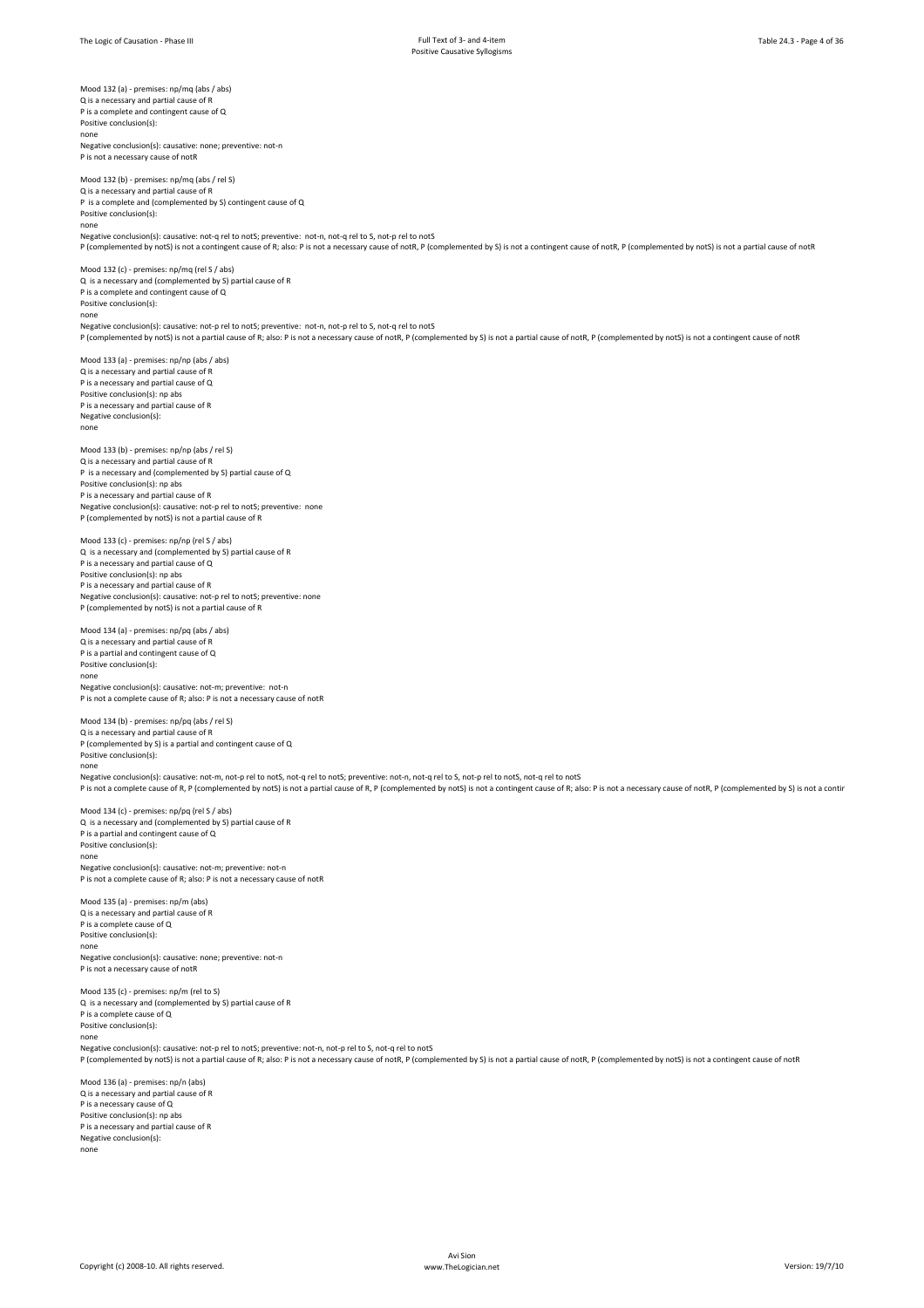Mood 132 (a) - premises: np/mq (abs / abs) Q is a necessary and partial cause of R P is a complete and contingent cause of Q Positive conclusion(s): none Negative conclusion(s): causative: none; preventive: not-n P is not a necessary cause of not Mood 132 (b) - premises: np/mq (abs / rel S) Q is a necessary and partial cause of R P is a complete and (complemented by S) contingent cause of Q Positive conclusion(s): none Negative conclusion(s): causative: not-q rel to notS; preventive: not-n, not-q rel to S, not-p rel to notS P (complemented by notS) is not a contingent cause of R; also: P is not a necessary cause of notR, P (complemented by S) is not a contingent cause of notR, P (complemented by notS) is not a partial cause of notR Mood 132 (c) - premises: np/mq (rel S / abs) Q is a necessary and (complemented by S) partial cause of R P is a complete and contingent cause of Q Positive conclusion(s): none Negative conclusion(s): causative: not-p rel to notS; preventive: not-n, not-p rel to S, not-q rel to notS P (complemented by notS) is not a partial cause of R; also: P is not a necessary cause of notR, P (complemented by S) is not a partial cause of notR, P (complemented by notS) is not a contingent cause of notR Mood 133 (a) - premises: np/np (abs / abs) Q is a necessary and partial cause of R P is a necessary and partial cause of Q Positive conclusion(s): np abs P is a necessary and partial cause of R Negative conclusion(s): none Mood 133 (b) - premises: np/np (abs / rel S) Q is a necessary and partial cause of R P is a necessary and (complemented by S) partial cause of Q Positive conclusion(s): np abs P is a necessary and partial cause of R Negative conclusion(s): causative: not-p rel to notS; preventive: none P (complemented by notS) is not a partial cause of R Mood 133 (c) - premises: np/np (rel S / abs) Q is a necessary and (complemented by S) partial cause of R P is a necessary and partial cause of Q Positive conclusion(s): np abs P is a necessary and partial cause of R Negative conclusion(s): causative: not-p rel to notS; preventive: none P (complemented by notS) is not a partial cause of R Mood 134 (a) - premises: np/pq (abs / abs) Q is a necessary and partial cause of R P is a partial and contingent cause of Q Positive conclusion(s): none Negative conclusion(s): causative: not-m; preventive: not-n P is not a complete cause of R; also: P is not a necessary cause of notR Mood 134 (b) - premises: np/pq (abs / rel S) Q is a necessary and partial cause of R P (complemented by S) is a partial and contingent cause of Q Positive conclusion(s): none Negative conclusion(s): causative: not-m, not-p rel to notS, not-q rel to notS; preventive: not-n, not-q rel to S, not-p rel to notS, not-q rel to notS P is not a complete cause of R, P (complemented by notS) is not a partial cause of R, P (complemented by notS) is not a contingent cause of R; also: P is not a necessary cause of ncR, P (complemented by S) is not a contin Mood 134 (c) - premises: np/pq (rel S / abs) Q is a necessary and (complemented by S) partial cause of R P is a partial and contingent cause of Q Positive conclusion(s): none Negative conclusion(s): causative: not-m; preventive: not-n P is not a complete cause of R; also: P is not a necessary cause of notR Mood 135 (a) - premises: np/m (abs) Q is a necessary and partial cause of R P is a complete cause of Q Positive conclusion(s): none Negative conclusion(s): causative: none; preventive: not-n P is not a necessary cause of notR Mood 135 (c) - premises: np/m (rel to S) Q is a necessary and (complemented by S) partial cause of R P is a complete cause of Q Positive conclusion(s): none Negative conclusion(s): causative: not-p rel to notS; preventive: not-n, not-p rel to S, not-q rel to notS P (complemented by notS) is not a partial cause of R; also: P is not a necessary cause of notR, P (complemented by S) is not a partial cause of notR, P (complemented by notS) is not a contingent cause of notR Mood 136 (a) - premises: np/n (abs) Q is a necessary and partial cause of R P is a necessary cause of Q Positive conclusion(s): np abs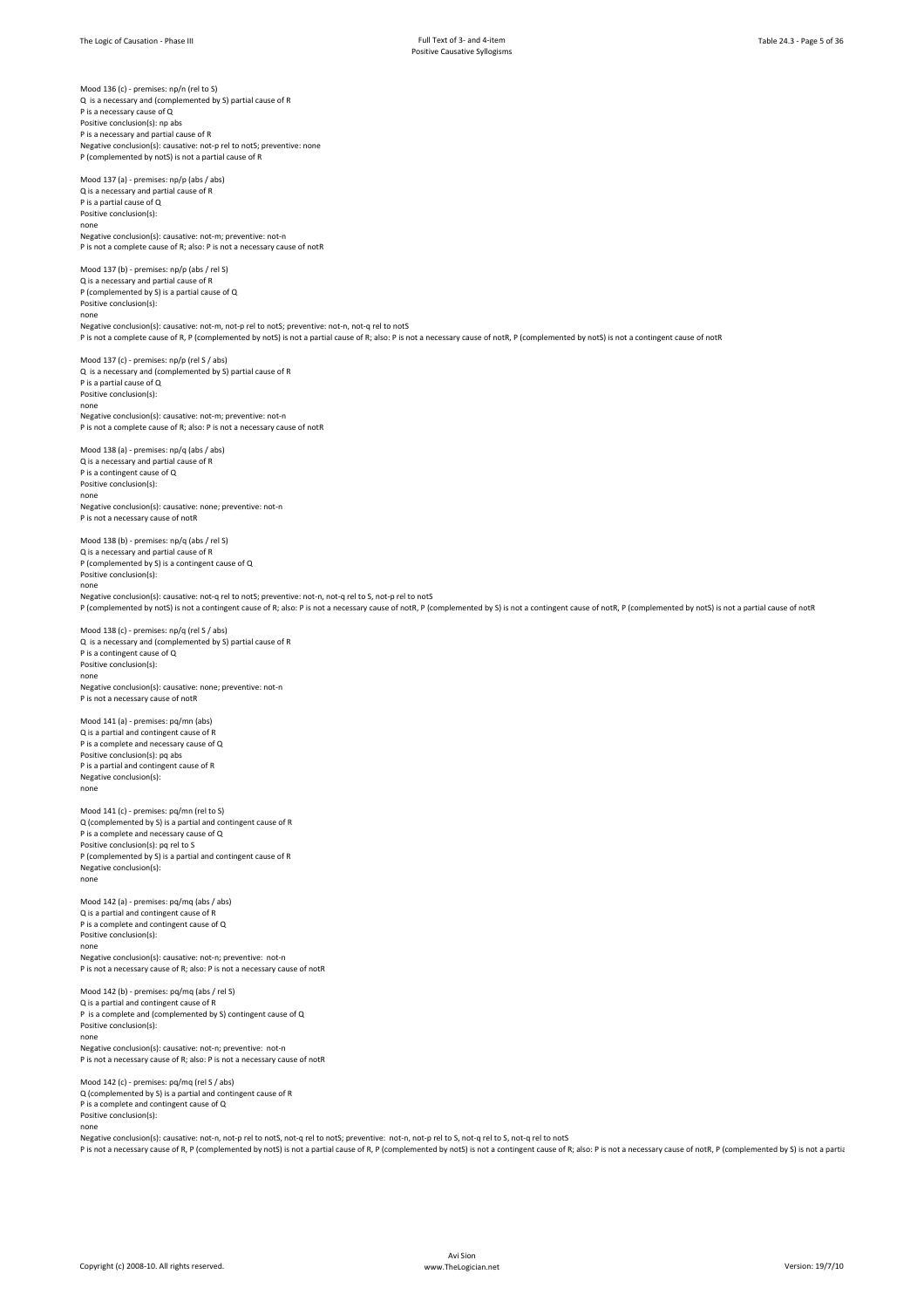Mood 136 (c) - premises: np/n (rel to S)

Q is a necessary and (complemented by S) partial cause of R P is a necessary cause of Q Positive conclusion(s): np abs P is a necessary and partial cause of R Negative conclusion(s): causative: not-p rel to notS; preventive: none P (complemented by notS) is not a partial cause of Mood 137 (a) - premises: np/p (abs / abs) Q is a necessary and partial cause of R P is a partial cause of Q Positive conclusion(s): none Negative conclusion(s): causative: not-m; preventive: not-n P is not a complete cause of R; also: P is not a necessary cause of notR Mood 137 (b) - premises: np/p (abs / rel S) Q is a necessary and partial cause of R P (complemented by S) is a partial cause of Q Positive conclusion(s): none Negative conclusion(s): causative: not-m, not-p rel to notS; preventive: not-n, not-q rel to notS P is not a complete cause of R, P (complemented by notS) is not a partial cause of R; also: P is not a peressary cause of notR, P (complemented by notS) is not a contingent cause of notR. Mood 137 (c) - premises: np/p (rel S / abs) Q is a necessary and (complemented by S) partial cause of R P is a partial cause of Q Positive conclusion(s): none Negative conclusion(s): causative: not-m; preventive: not-n P is not a complete cause of R; also: P is not a necessary cause of notR Mood 138 (a) - premises: np/q (abs / abs) Q is a necessary and partial cause of R P is a contingent cause of Q Positive conclusion(s): none Negative conclusion(s): causative: none; preventive: not-n P is not a necessary cause of notR Mood 138 (b) - premises: np/q (abs / rel S) Q is a necessary and partial cause of R P (complemented by S) is a contingent cause of Q Positive conclusion(s): none Negative conclusion(s): causative: not-q rel to notS; preventive: not-n, not-q rel to S, not-p rel to notS P (complemented by notS) is not a contingent cause of R; also: P is not a necessary cause of notR, P (complemented by S) is not a contingent cause of notR, P (complemented by notS) is not a partial cause of notR Mood 138 (c) - premises: np/q (rel S / abs) Q is a necessary and (complemented by S) partial cause of R P is a contingent cause of Q Positive conclusion(s): none Negative conclusion(s): causative: none; preventive: not-n P is not a necessary cause of notR Mood 141 (a) - premises: pq/mn (abs) Q is a partial and contingent cause of R P is a complete and necessary cause of Q Positive conclusion(s): pq abs P is a partial and contingent cause of R Negative conclusion(s): none Mood 141 (c) - premises: pq/mn (rel to S) Q (complemented by S) is a partial and contingent cause of R P is a complete and necessary cause of Q Positive conclusion(s): pq rel to S P (complemented by S) is a partial and contingent cause of R Negative conclusion(s): none Mood 142 (a) - premises: pq/mq (abs / abs) Q is a partial and contingent cause of R P is a complete and contingent cause of Q Positive conclusion(s): none Negative conclusion(s): causative: not-n; preventive: not-n P is not a necessary cause of R; also: P is not a necessary cause of notR Mood 142 (b) - premises: pq/mq (abs / rel S) Q is a partial and contingent cause of R P is a complete and (complemented by S) contingent cause of Q Positive conclusion(s): none Negative conclusion(s): causative: not-n; preventive: not-n P is not a necessary cause of R; also: P is not a necessary cause of notR Mood 142 (c) - premises: pq/mq (rel S / abs) Q (complemented by S) is a partial and contingent cause of R P is a complete and contingent cause of Q Positive conclusion(s): none

Negative conclusion(s): causative: not-n, not-p rel to notS, not-q rel to notS; preventive: not-n, not-p rel to S, not-q rel to S, not-q rel to notS P is not a necessary cause of R. P (complemented by notS) is not a partial cause of R. P (complemented by notS) is not a contingent cause of R: also: P is not a necessary cause of notR. P (complemented by S) is not a parti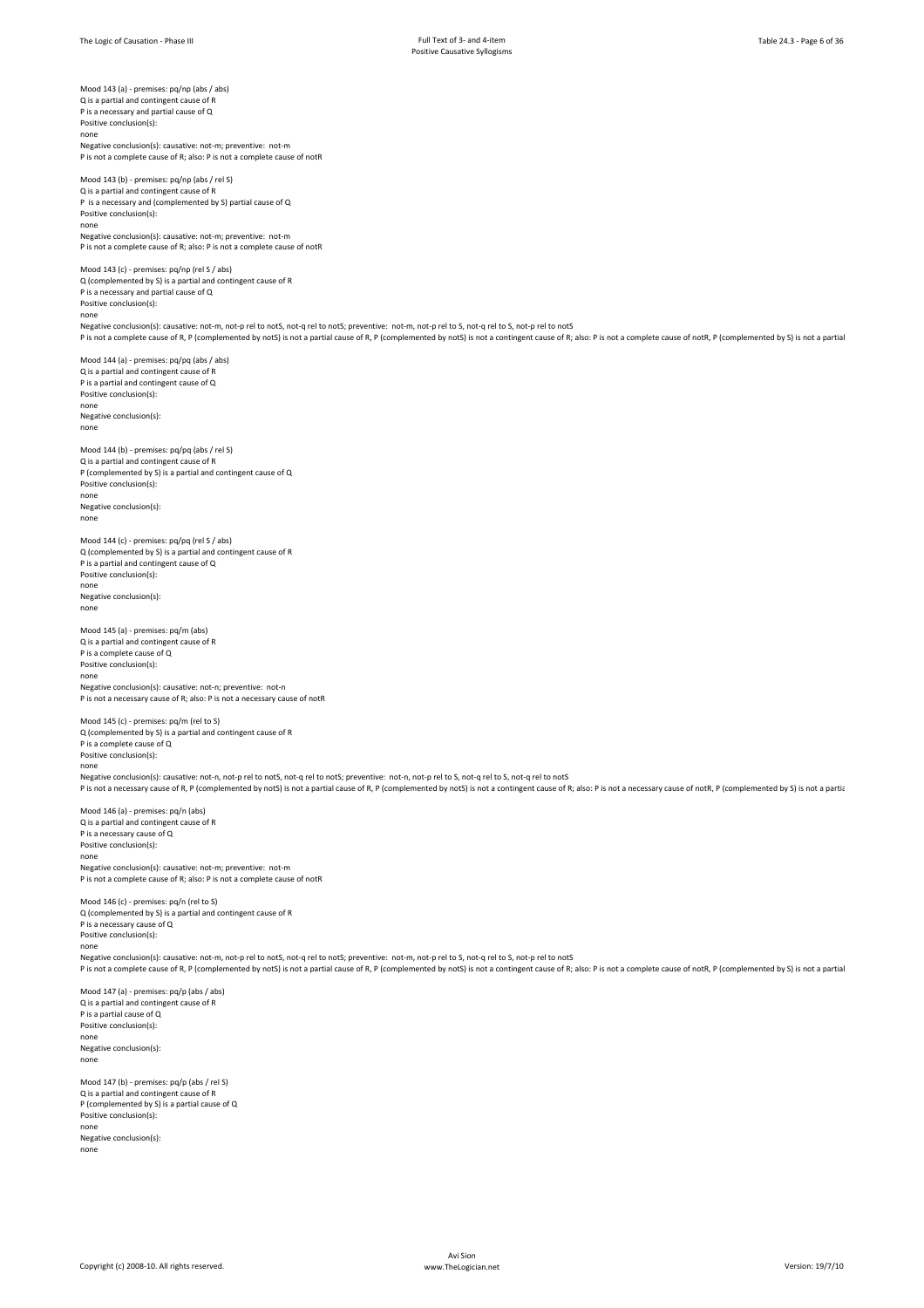Mood 143 (a) - premises: pq/np (abs / abs) Q is a partial and contingent cause of R P is a necessary and partial cause of Q Positive conclusion(s): none

Negative conclusion(s): causative: not-m; preventive: not-m P is not a complete cause of R; also: P is not a complete cause of notR

Mood 143 (b) - premises: pq/np (abs / rel S) Q is a partial and contingent cause of R P is a necessary and (complemented by S) partial cause of Q Positive conclusion(s): none Negative conclusion(s): causative: not-m; preventive: not-m P is not a complete cause of R; also: P is not a complete cause of notR

Mood 143 (c) - premises: pq/np (rel S / abs)

Q (complemented by S) is a partial and contingent cause of R P is a necessary and partial cause of Q Positive conclusion(s): none

Negative conclusion(s): causative: not-m, not-p rel to notS, not-q rel to notS; preventive: not-m, not-p rel to S, not-q rel to S, not-q rel to S, not-q rel to S, not-p rel to notS<br>P is not a complete cause of R, P (comple

Mood 144 (a) - premises: pq/pq (abs / abs) Q is a partial and contingent cause of R P is a partial and contingent cause of Q Positive conclusion(s): none Negative conclusion(s):

none Mood 144 (b) - premises: pq/pq (abs / rel S) Q is a partial and contingent cause of R P (complemented by S) is a partial and contingent cause of Q

Positive conclusion(s): none Negative conclusion(s): none

Mood 144 (c) - premises: pq/pq (rel S / abs) Q (complemented by S) is a partial and contingent cause of R P is a partial and contingent cause of Q Positive conclusion(s): none Negative conclusion(s): none

Mood 145 (a) - premises: pq/m (abs) Q is a partial and contingent cause of R P is a complete cause of Q Positive conclusion(s): none Negative conclusion(s): causative: not-n; preventive: not-n P is not a necessary cause of R; also: P is not a necessary cause of notR

Mood 145 (c) - premises: pq/m (rel to S) Q (complemented by S) is a partial and contingent cause of R P is a complete cause of Q Positive conclusion(s): none Negative conclusion(s): causative: not-n, not-p rel to notS, not-q rel to notS; preventive: not-n, not-p rel to S, not-q rel to S, not-q rel to notS

P is not a necessary cause of R, P (complemented by notS) is not a partial cause of R, P (complemented by notS) is not a contingent cause of R; also: P is not a necessary cause of ncR, P (complemented by S) is not a partia

Mood 146 (a) - premises: pq/n (abs) Q is a partial and contingent cause of R P is a necessary cause of Q Positive conclusion(s) none Negative conclusion(s): causative: not-m; preventive: not-m P is not a complete cause of R; also: P is not a complete cause of notR

Mood 146 (c) - premises: pq/n (rel to S) Q (complemented by S) is a partial and contingent cause of R P is a necessary cause of Q Positive conclusion(s): none

Negative conclusion(s): causative: not-m, not-p rel to notS, not-q rel to notS; preventive: not-m, not-p rel to S, not-q rel to S, not-p rel to notS P is not a complete cause of R. P (complemented by notS) is not a partial cause of R. P (complemented by notS) is not a contingent cause of R; also: P is not a complete cause of notR. P (complemented by S) is not a partial

Mood 147 (a) - premises: pq/p (abs / abs) Q is a partial and contingent cause of R P is a partial cause of Q Positive conclusion(s): none Negative conclusion(s): none

Mood 147 (b) - premises: pq/p (abs / rel S) Q is a partial and contingent cause of R P (complemented by S) is a partial cause of Q Positive conclusion(s): none Negative conclusion(s):

none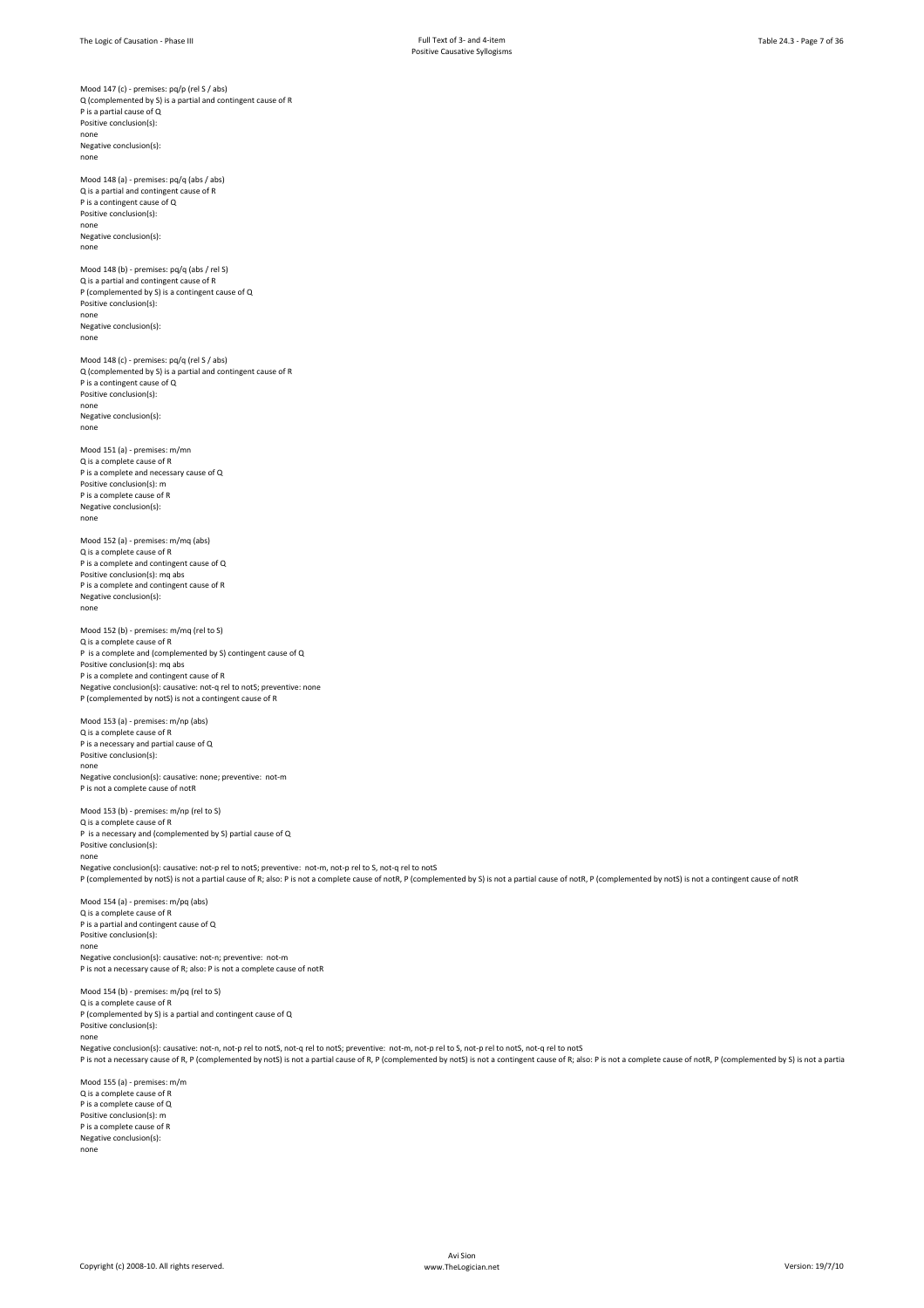Mood 147 (c) - premises: pg/p (rel S / abs) Q (complemented by S) is a partial and contingent cause of R P is a partial cause of Q Positive conclusion(s) none Negative conclusion(s): none Mood 148 (a) - premises: pq/q (abs / abs) Q is a partial and contingent cause of R P is a contingent cause of Q Positive conclusion(s): none Negative conclusion(s): none Mood 148 (b) - premises: pq/q (abs / rel S) Q is a partial and contingent cause of R P (complemented by S) is a contingent cause of Q Positive conclusion(s): none Negative conclusion(s): none Mood 148 (c) - premises: pq/q (rel S / abs) Q (complemented by S) is a partial and contingent cause of R P is a contingent cause of Q Positive conclusion(s): none Negative conclusion(s): none Mood 151 (a) - premises: m/mn Q is a complete cause of R P is a complete and necessary cause of Q Positive conclusion(s): m P is a complete cause of R Negative conclusion(s): none Mood 152 (a) - premises: m/mq (abs) Q is a complete cause of R P is a complete and contingent cause of Q Positive conclusion(s): mq abs P is a complete and contingent cause of R Negative conclusion(s): none Mood 152 (b) - premises: m/mq (rel to S) Q is a complete cause of R P is a complete and (complemented by S) contingent cause of Q Positive conclusion(s): mg abs P is a complete and contingent cause of R Negative conclusion(s): causative: not-q rel to notS; preventive: none P (complemented by notS) is not a contingent cause of R Mood 153 (a) - premises: m/np (abs) Q is a complete cause of R P is a necessary and partial cause of Q Positive conclusion(s): none Negative conclusion(s): causative: none; preventive: not-m P is not a complete cause of notR Mood 153 (b) - premises: m/np (rel to S) Q is a complete cause of R P is a necessary and (complemented by S) partial cause of Q Positive conclusion(s) none Negative conclusion(s): causative: not-p rel to notS; preventive: not-m, not-p rel to S, not-q rel to notS P (complemented by notS) is not a partial cause of R; also: P is not a complete cause of notR, P (complemented by S) is not a partial cause of notR, P (complemented by notS) is not a contingent cause of notR Mood 154 (a) - premises: m/pq (abs) Q is a complete cause of R P is a partial and contingent cause of Q Positive conclusion(s): none Negative conclusion(s): causative: not-n; preventive: not-m P is not a necessary cause of R; also: P is not a complete cause of notP Mood 154 (b) - premises: m/pq (rel to S) Q is a complete cause of R P (complemented by S) is a partial and contingent cause of Q Positive conclusion(s): none Negative conclusion(s): causative: not-n, not-p rel to notS, not-q rel to notS; preventive: not-m, not-p rel to S, not-p rel to notS, not-q rel to notS P is not a necessary cause of R, P (complemented by notS) is not a partial cause of R, P (complemented by notS) is not a contingent cause of R; also: P is not a complete cause of R; also: P is not a complete cause of notR, Mood 155 (a) - premises: m/m Q is a complete cause of R P is a complete cause of Q Positive conclusion(s): m P is a complete cause of R Negative conclusion(s): none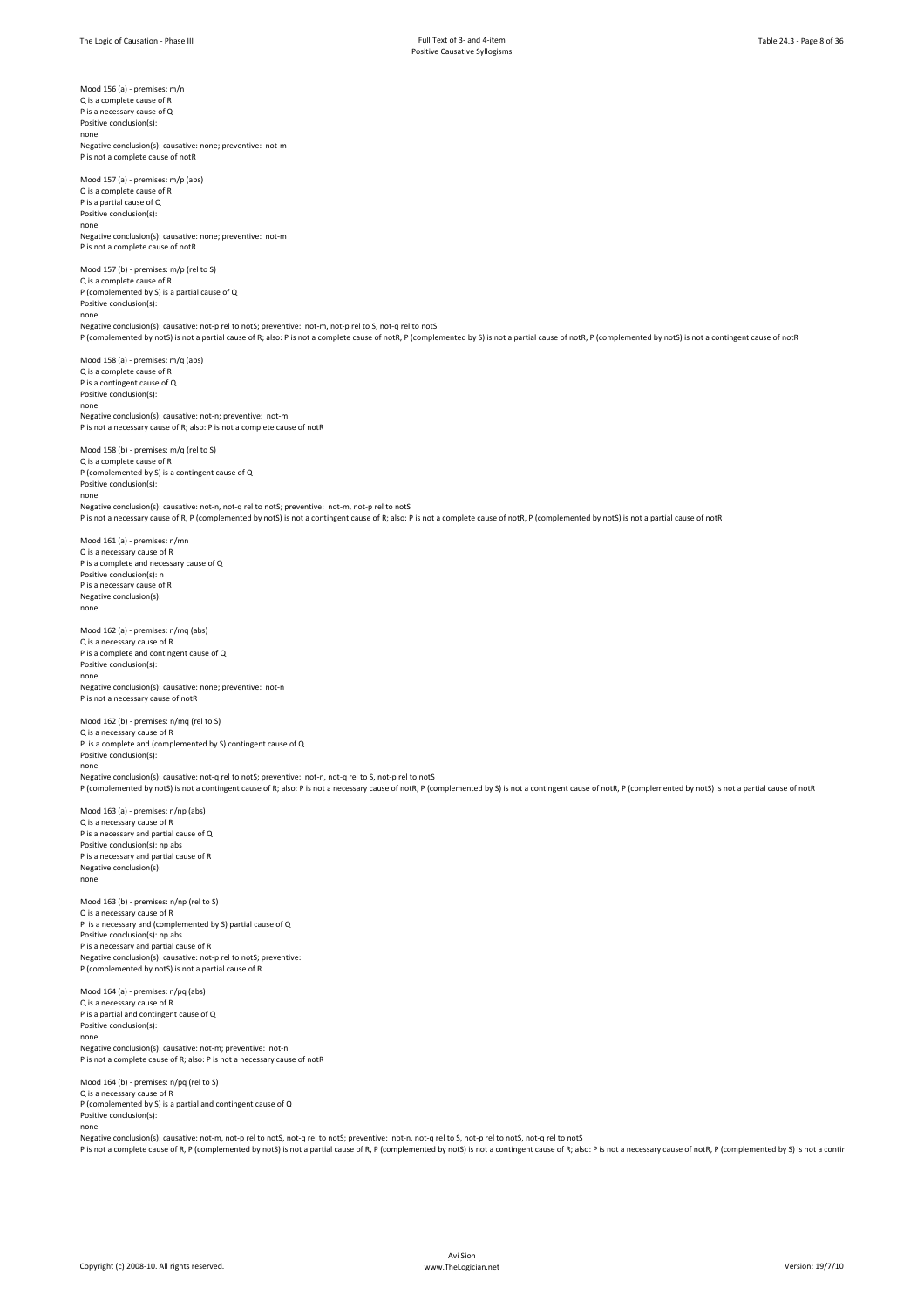Mood 156 (a) - premises: m/n Q is a complete cause of R P is a necessary cause of Q Positive conclusion(s): none Negative conclusion(s): causative: none; preventive: not-m P is not a complete cause of notR Mood 157 (a) - premises: m/p (abs) Q is a complete cause of R P is a partial cause of Q Positive conclusion(s): none Negative conclusion(s): causative: none; preventive: not-m P is not a complete cause of notR Mood 157 (b) - premises: m/p (rel to S) Q is a complete cause of R P (complemented by S) is a partial cause of Q Positive conclusion(s): none Negative conclusion(s): causative: not-p rel to notS; preventive: not-m, not-p rel to S, not-q rel to notS<br>P (complemented by notS) is not a partial cause of R; also: P is not a complete cause of notR, P (complemented by n Mood 158 (a) - premises: m/q (abs) Q is a complete cause of R P is a contingent cause of Q Positive conclusion(s): none Negative conclusion(s): causative: not-n; preventive: not-m P is not a necessary cause of R; also: P is not a complete cause of notR Mood 158 (b) - premises: m/q (rel to S) Q is a complete cause of R P (complemented by S) is a contingent cause of Q Positive conclusion(s): none Negative conclusion(s): causative: not-n, not-q rel to notS; preventive: not-m, not-p rel to notS P is not a necessary cause of R, P (complemented by notS) is not a contingent cause of R; also: P is not a complete cause of notR, P (complemented by notS) is not a partial cause of notR Mood 161 (a) - premises: n/mn Q is a necessary cause of R P is a complete and necessary cause of Q Positive conclusion(s): n P is a necessary cause of R Negative conclusion(s): none Mood 162 (a) - premises: n/mq (abs) Q is a necessary cause of R P is a complete and contingent cause of Q Positive conclusion(s): none Negative conclusion(s): causative: none; preventive: not-n P is not a necessary cause of notR Mood 162 (b) - premises: n/mq (rel to S) Q is a necessary cause of R P is a complete and (complemented by S) contingent cause of Q Positive conclusion(s): none Negative conclusion(s): causative: not-q rel to notS; preventive: not-n, not-q rel to S, not-p rel to notS P (complemented by notS) is not a contingent cause of R; also: P is not a necessary cause of notR, P (complemented by S) is not a contingent cause of notR, P (complemented by notS) is not a partial cause of notR Mood 163 (a) - premises: n/np (abs) Q is a necessary cause of R P is a necessary and partial cause of Q Positive conclusion(s): np abs P is a necessary and partial cause of R Negative conclusion(s): none Mood 163 (b) - premises: n/np (rel to S) Q is a necessary cause of R P is a necessary and (complemented by S) partial cause of Q Positive conclusion(s): np abs P is a necessary and partial cause of R Negative conclusion(s): causative: not-p rel to notS; preventive: P (complemented by notS) is not a partial cause of R Mood 164 (a) - premises: n/pq (abs) Q is a necessary cause of R P is a partial and contingent cause of Q Positive conclusion(s): none Negative conclusion(s): causative: not-m; preventive: not-n P is not a complete cause of R; also: P is not a necessary cause of notR Mood 164 (b) - premises: n/pq (rel to S) Q is a necessary cause of R P (complemented by S) is a partial and contingent cause of Q Positive conclusion(s): none Negative conclusion(s): causative: not-m, not-p rel to notS, not-q rel to notS; preventive: not-n, not-q rel to S, not-p rel to notS, not-q rel to notS P is not a complete cause of R, P (complemented by notS) is not a partial cause of R, P (complemented by notS) is not a contingent cause of R; also: P is not a necessary cause of notR, P (complemented by S) is not a contin

Copyright (c) 2008-10. All rights reserved.

Avi Sion www.TheLogician.net **Version:** 19/7/10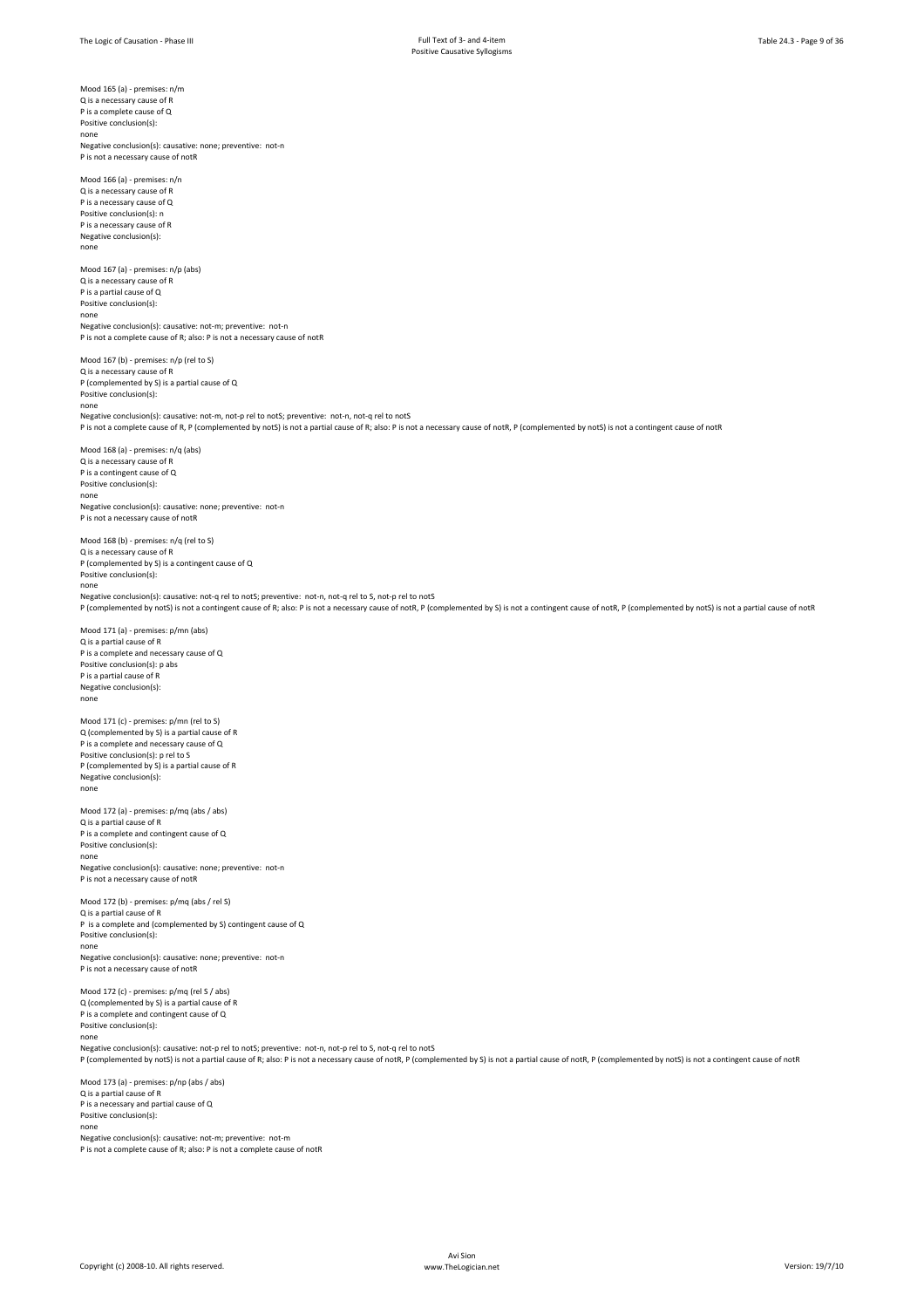Mood 165 (a) - premises: n/m Q is a necessary cause of R P is a complete cause of Q Positive conclusion(s): none Negative conclusion(s): causative: none; preventive: not-n P is not a necessary cause of not Mood 166 (a) - premises: n/n Q is a necessary cause of R P is a necessary cause of Q Positive conclusion(s): n P is a necessary cause of R Negative conclusion(s): none Mood 167 (a) - premises: n/p (abs) Q is a necessary cause of R P is a partial cause of Q Positive conclusion(s): none Negative conclusion(s): causative: not-m; preventive: not-n P is not a complete cause of R; also: P is not a necessary cause of notR Mood 167 (b) - premises: n/p (rel to S) Q is a necessary cause of R P (complemented by S) is a partial cause of Q Positive conclusion(s): none Negative conclusion(s): causative: not-m, not-p rel to notS; preventive: not-n, not-q rel to notS P is not a complete cause of R, P (complemented by notS) is not a partial cause of R; also: P is not a necessary cause of notR, P (complemented by notS) is not a contingent cause of notR Mood 168 (a) - premises: n/q (abs) Q is a necessary cause of R P is a contingent cause of Q Positive conclusion(s): none Negative conclusion(s): causative: none; preventive: not-n P is not a necessary cause of notR Mood 168 (b) - premises: n/q (rel to S) Q is a necessary cause of R P (complemented by S) is a contingent cause of Q Positive conclusion(s): none Negative conclusion(s): causative: not-q rel to notS; preventive: not-n, not-q rel to S, not-p rel to notS P (complemented by notS) is not a contingent cause of R; also: P is not a necessary cause of notR, P (complemented by S) is not a contingent cause of notR, P (complemented by notS) is not a partial cause of notR Mood 171 (a) - premises: p/mn (abs) Q is a partial cause of R P is a complete and necessary cause of Q Positive conclusion(s): p abs P is a partial cause of R Negative conclusion(s): none Mood 171 (c) - premises: p/mn (rel to S) Q (complemented by S) is a partial cause of R P is a complete and necessary cause of Q Positive conclusion(s): p rel to S P (complemented by S) is a partial cause of R Negative conclusion(s): none Mood 172 (a) - premises: p/mq (abs / abs) Q is a partial cause of R P is a complete and contingent cause of Q Positive conclusion(s): none Negative conclusion(s): causative: none; preventive: not-n P is not a necessary cause of notR Mood 172 (b) - premises: p/mq (abs / rel S) Q is a partial cause of R P is a complete and (complemented by S) contingent cause of Q Positive conclusion(s): none Negative conclusion(s): causative: none; preventive: not-n P is not a necessary cause of notR Mood 172 (c) - premises: p/mq (rel S / abs) Q (complemented by S) is a partial cause of R P is a complete and contingent cause of Q Positive conclusion(s): none Negative conclusion(s): causative: not-p rel to notS; preventive: not-n, not-p rel to S, not-q rel to notS P (complemented by notS) is not a partial cause of R; also: P is not a necessary cause of notR, P (complemented by S) is not a partial cause of notR, P (complemented by notS) is not a contingent cause of notR Mood 173 (a) - premises: p/np (abs / abs) Q is a partial cause of R P is a necessary and partial cause of Q

Positive conclusion(s): none Negative conclusion(s): causative: not-m; preventive: not-m P is not a complete cause of R; also: P is not a complete cause of notR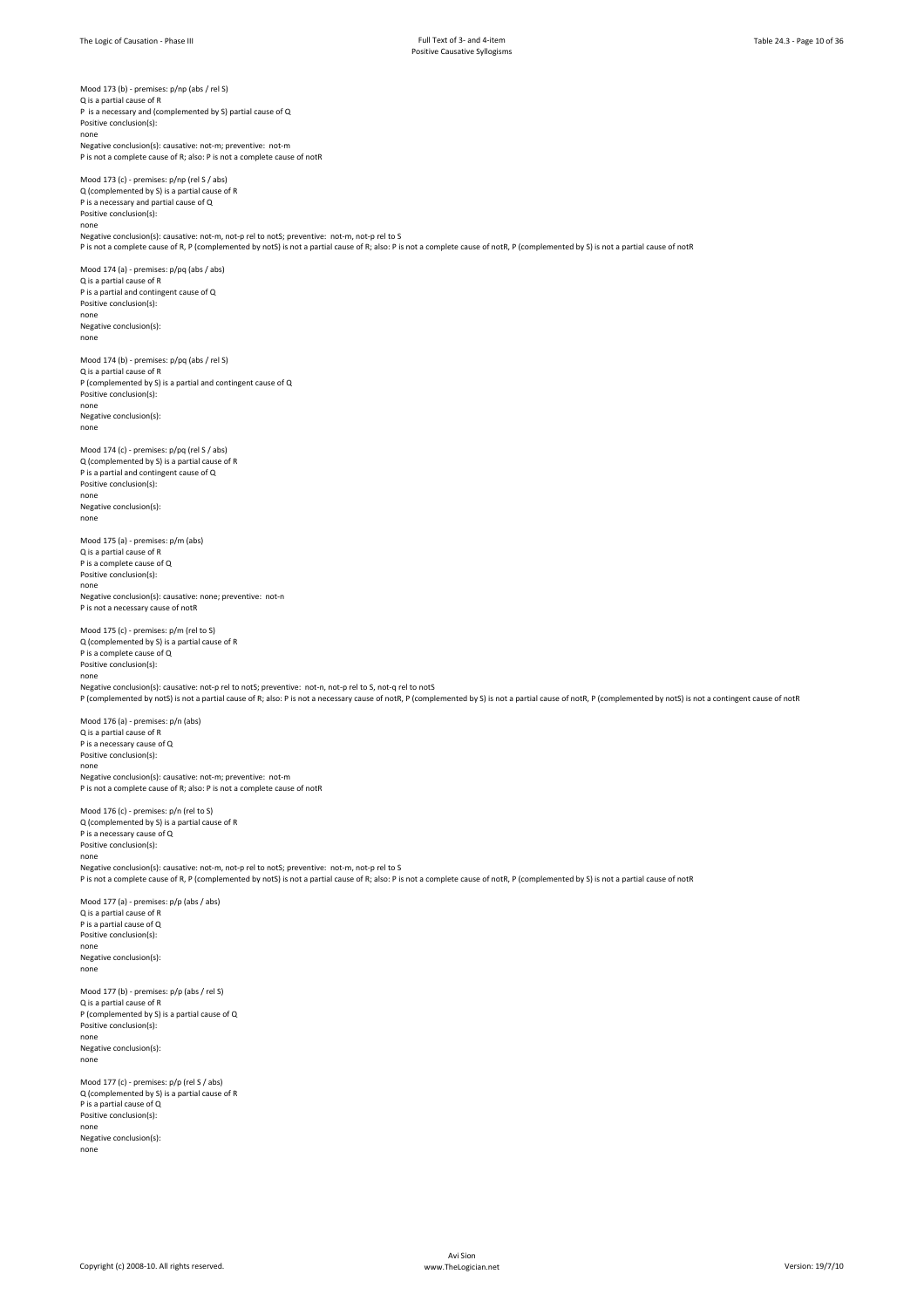Positive Causative Syllogisms

Mood 173 (b) - premises: p/np (abs / rel S) Q is a partial cause of R P is a necessary and (complemented by S) partial cause of Q Positive conclusion(s): none Negative conclusion(s): causative: not-m; preventive: not-m P is not a complete cause of R; also: P is not a complete cause of notR Mood 173 (c) - premises: p/np (rel S / abs) Q (complemented by S) is a partial cause of R P is a necessary and partial cause of Q Positive conclusion(s): none Negative conclusion(s): causative: not-m, not-p rel to notS; preventive: not-m, not-p rel to S P is not a complete cause of R, P (complemented by notS) is not a partial cause of R; also: P is not a complete cause of notR, P (complemented by S) is not a partial cause of notR Mood 174 (a) - premises: p/pq (abs / abs) Q is a partial cause of R P is a partial and contingent cause of Q Positive conclusion(s): none Negative conclusion(s): none Mood 174 (b) - premises: p/pq (abs / rel S) Q is a partial cause of R P (complemented by S) is a partial and contingent cause of Q Positive conclusion(s): none Negative conclusion(s): none Mood 174 (c) - premises: p/pq (rel S / abs) Q (complemented by S) is a partial cause of R P is a partial and contingent cause of Q Positive conclusion(s): none Negative conclusion(s): none Mood 175 (a) - premises: p/m (abs) Q is a partial cause of R P is a complete cause of Q Positive conclusion(s): none Negative conclusion(s): causative: none; preventive: not-n P is not a necessary cause of notR Mood 175 (c) - premises: p/m (rel to S) Q (complemented by S) is a partial cause of R P is a complete cause of Q Positive conclusion(s): none Negative conclusion(s): causative: not-p rel to notS; preventive: not-n, not-p rel to S, not-q rel to notS P (complemented by notS) is not a partial cause of R; also: P is not a necessary cause of notR, P (complemented by S) is not a partial cause of notR, P (complemented by notS) is not a contingent cause of notR Mood 176 (a) - premises: p/n (abs) Q is a partial cause of R P is a necessary cause of Q Positive conclusion(s): none Negative conclusion(s): causative: not-m; preventive: not-m P is not a complete cause of R; also: P is not a complete cause of notR Mood 176 (c) - premises: p/n (rel to S) Q (complemented by S) is a partial cause of R P is a necessary cause of Q Positive conclusion(s): none Negative conclusion(s): causative: not-m, not-p rel to notS; preventive: not-m, not-p rel to S P is not a complete cause of R, P (complemented by notS) is not a partial cause of R; also: P is not a complete cause of notR, P (complemented by S) is not a partial cause of notR Mood 177 (a) - premises: p/p (abs / abs) Q is a partial cause of R P is a partial cause of Q Positive conclusion(s): none Negative conclusion(s): none Mood 177 (b) - premises: p/p (abs / rel S) Q is a partial cause of R P (complemented by S) is a partial cause of Q Positive conclusion(s): none Negative conclusion(s): none Mood 177 (c) - premises: p/p (rel S / abs) Q (complemented by S) is a partial cause of R P is a partial cause of Q Positive conclusion(s): none Negative conclusion(s): none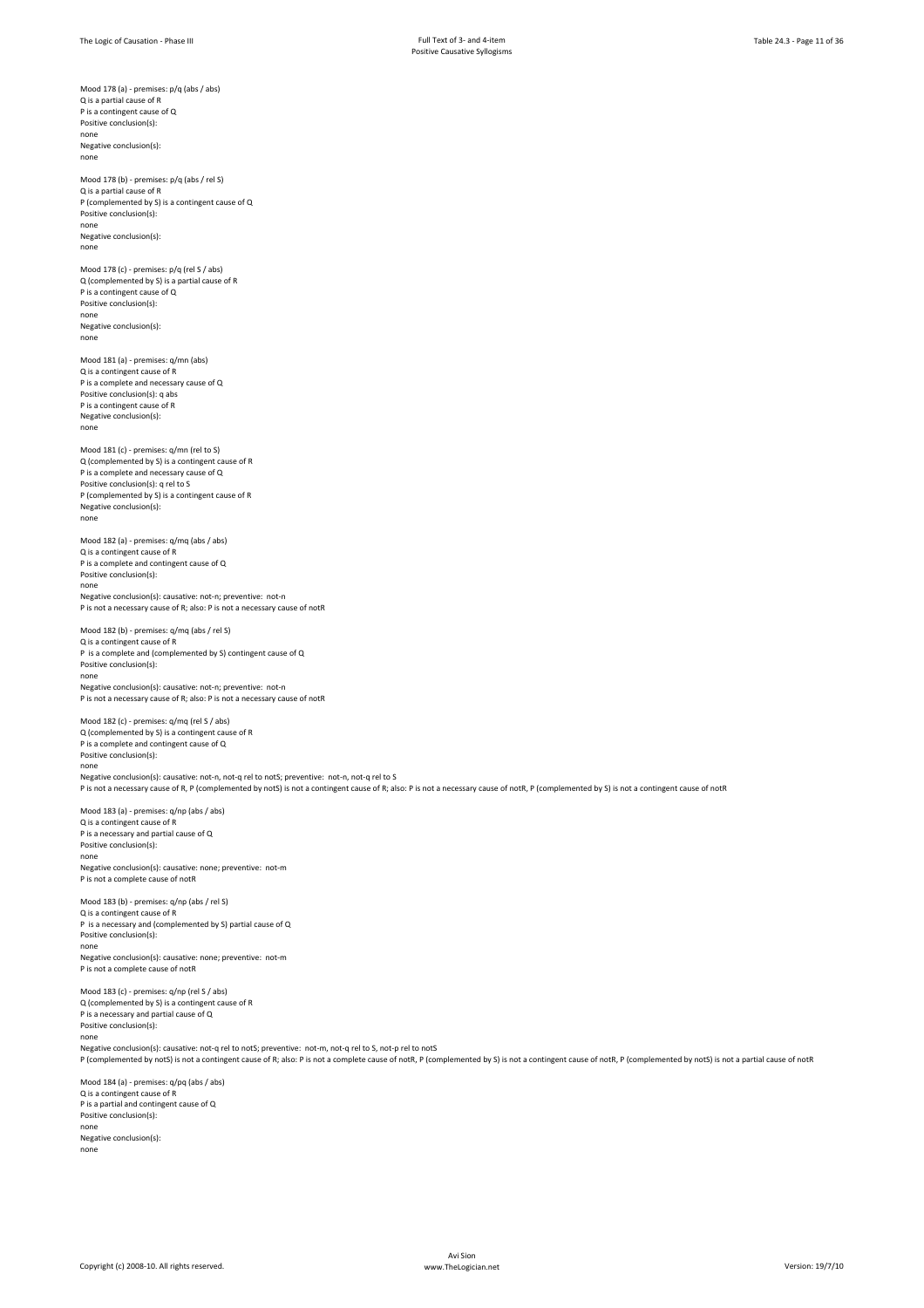Q is a partial cause of R

Mood 178 (a) - premises: p/q (abs / abs)

P is a contingent cause of Q Positive conclusion(s): none Negative conclusion(s): none Mood 178 (b) - premises: p/q (abs / rel S) Q is a partial cause of R P (complemented by S) is a contingent cause of Q Positive conclusion(s): none Negative conclusion(s): none Mood 178 (c) - premises: p/q (rel S / abs) Q (complemented by S) is a partial cause of R P is a contingent cause of Q Positive conclusion(s): none Negative conclusion(s): none Mood 181 (a) - premises: q/mn (abs) Q is a contingent cause of R P is a complete and necessary cause of Q Positive conclusion(s): q abs P is a contingent cause of R Negative conclusion(s): none Mood 181 (c) - premises: q/mn (rel to S) Q (complemented by S) is a contingent cause of R P is a complete and necessary cause of Q Positive conclusion(s): q rel to S P (complemented by S) is a contingent cause of R Negative conclusion(s): none Mood 182 (a) - premises: q/mq (abs / abs) Q is a contingent cause of R P is a complete and contingent cause of Q Positive conclusion(s): none Negative conclusion(s): causative: not-n; preventive: not-n P is not a necessary cause of R; also: P is not a necessary cause of notR Mood 182 (b) - premises: q/mq (abs / rel S) Q is a contingent cause of R P is a complete and (complemented by S) contingent cause of Q Positive conclusion(s): none Negative conclusion(s): causative: not-n; preventive: not-n P is not a necessary cause of R; also: P is not a necessary cause of notR Mood 182 (c) - premises: q/mq (rel S / abs) Q (complemented by S) is a contingent cause of R P is a complete and contingent cause of Q Positive conclusion(s): none Negative conclusion(s): causative: not-n, not-q rel to notS; preventive: not-n, not-q rel to S P is not a necessary cause of R, P (complemented by notS) is not a contingent cause of R; also: P is not a necessary cause of notR, P (complemented by S) is not a contingent cause of notR Mood 183 (a) - premises: q/np (abs / abs) Q is a contingent cause of R P is a necessary and partial cause of Q Positive conclusion(s): none Negative conclusion(s): causative: none; preventive: not-m P is not a complete cause of notR Mood 183 (b) - premises: q/np (abs / rel S) Q is a contingent cause of R P is a necessary and (complemented by S) partial cause of Q Positive conclusion(s): none Negative conclusion(s): causative: none; preventive: not-m P is not a complete cause of notR Mood 183 (c) - premises: q/np (rel S / abs) Q (complemented by S) is a contingent cause of R P is a necessary and partial cause of Q Positive conclusion(s): none Negative conclusion(s): causative: not-q rel to notS; preventive: not-m, not-q rel to S, not-p rel to notS P (complemented by notS) is not a contingent cause of R; also: P is not a complete cause of notR, P (complemented by S) is not a contingent cause of notR, P (complemented by notS) is not a partial cause of notR Mood 184 (a) - premises: q/pq (abs / abs)

Q is a contingent cause of R P is a partial and contingent cause of Q Positive conclusion(s): none Negative conclusion(s): none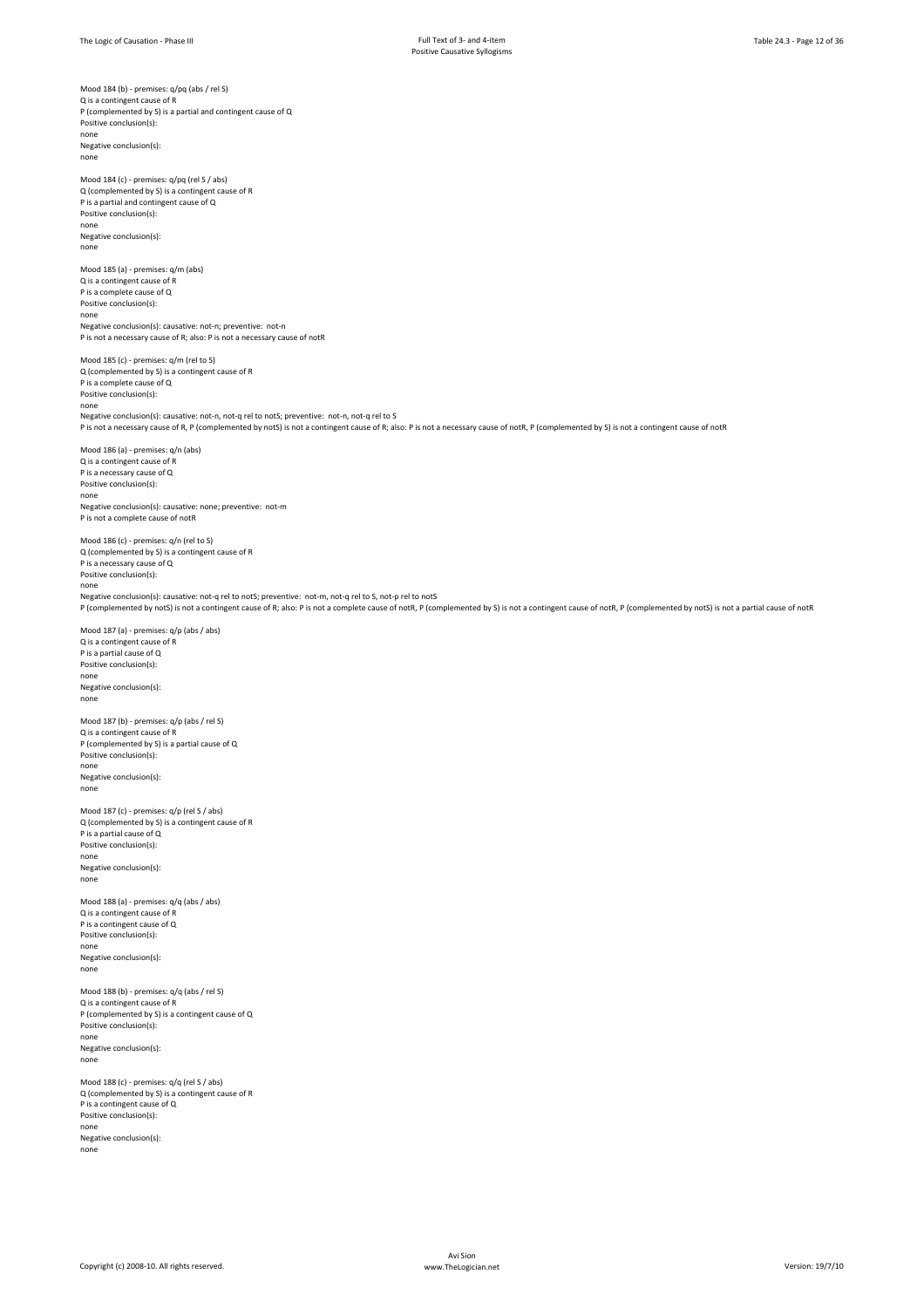Positive Causative Syllogisms

Mood 184 (b) - premises: q/pq (abs / rel S) Q is a contingent cause of R P (complemented by S) is a partial and contingent cause of Q Positive conclusion(s): none Negative conclusion(s): none Mood 184 (c) - premises: q/pq (rel S / abs) Q (complemented by S) is a contingent cause of R P is a partial and contingent cause of Q Positive conclusion(s): none Negative conclusion(s): none Mood 185 (a) - premises: q/m (abs) Q is a contingent cause of R P is a complete cause of Q Positive conclusion(s): none Negative conclusion(s): causative: not-n; preventive: not-n P is not a necessary cause of R; also: P is not a necessary cause of notR Mood 185 (c) - premises: q/m (rel to S) Q (complemented by S) is a contingent cause of R P is a complete cause of Q Positive conclusion(s): none Negative conclusion(s): causative: not-n, not-q rel to notS; preventive: not-n, not-q rel to S P is not a necessary cause of R, P (complemented by notS) is not a contingent cause of R; also: P is not a necessary cause of notR, P (complemented by S) is not a contingent cause of notR Mood 186 (a) - premises: q/n (abs) Q is a contingent cause of R P is a necessary cause of Q Positive conclusion(s): none Negative conclusion(s): causative: none; preventive: not-m P is not a complete cause of notR Mood 186 (c) - premises: q/n (rel to S) Q (complemented by S) is a contingent cause of R P is a necessary cause of Q Positive conclusion(s): none Negative conclusion(s): causative: not-q rel to notS; preventive: not-m, not-q rel to S, not-p rel to notS P (complemented by notS) is not a contingent cause of R; also: P is not a complete cause of notR, P (complemented by S) is not a contingent cause of notR, P (complemented by notS) is not a partial cause of notR Mood 187 (a) - premises: q/p (abs / abs) Q is a contingent cause of R P is a partial cause of Q Positive conclusion(s): none Negative conclusion(s): none Mood 187 (b) - premises: q/p (abs / rel S) Q is a contingent cause of R P (complemented by S) is a partial cause of Q Positive conclusion(s): none Negative conclusion(s): none Mood 187 (c) - premises: q/p (rel S / abs) Q (complemented by S) is a contingent cause of R P is a partial cause of Q Positive conclusion(s): none Negative conclusion(s): none Mood 188 (a) - premises: q/q (abs / abs) Q is a contingent cause of R P is a contingent cause of Q Positive conclusion(s): none Negative conclusion(s): none Mood 188 (b) - premises: q/q (abs / rel S) Q is a contingent cause of R P (complemented by S) is a contingent cause of Q Positive conclusion(s): none Negative conclusion(s): none Mood 188 (c) - premises: q/q (rel S / abs) Q (complemented by S) is a contingent cause of R P is a contingent cause of Q Positive conclusion(s): none Negative conclusion(s): none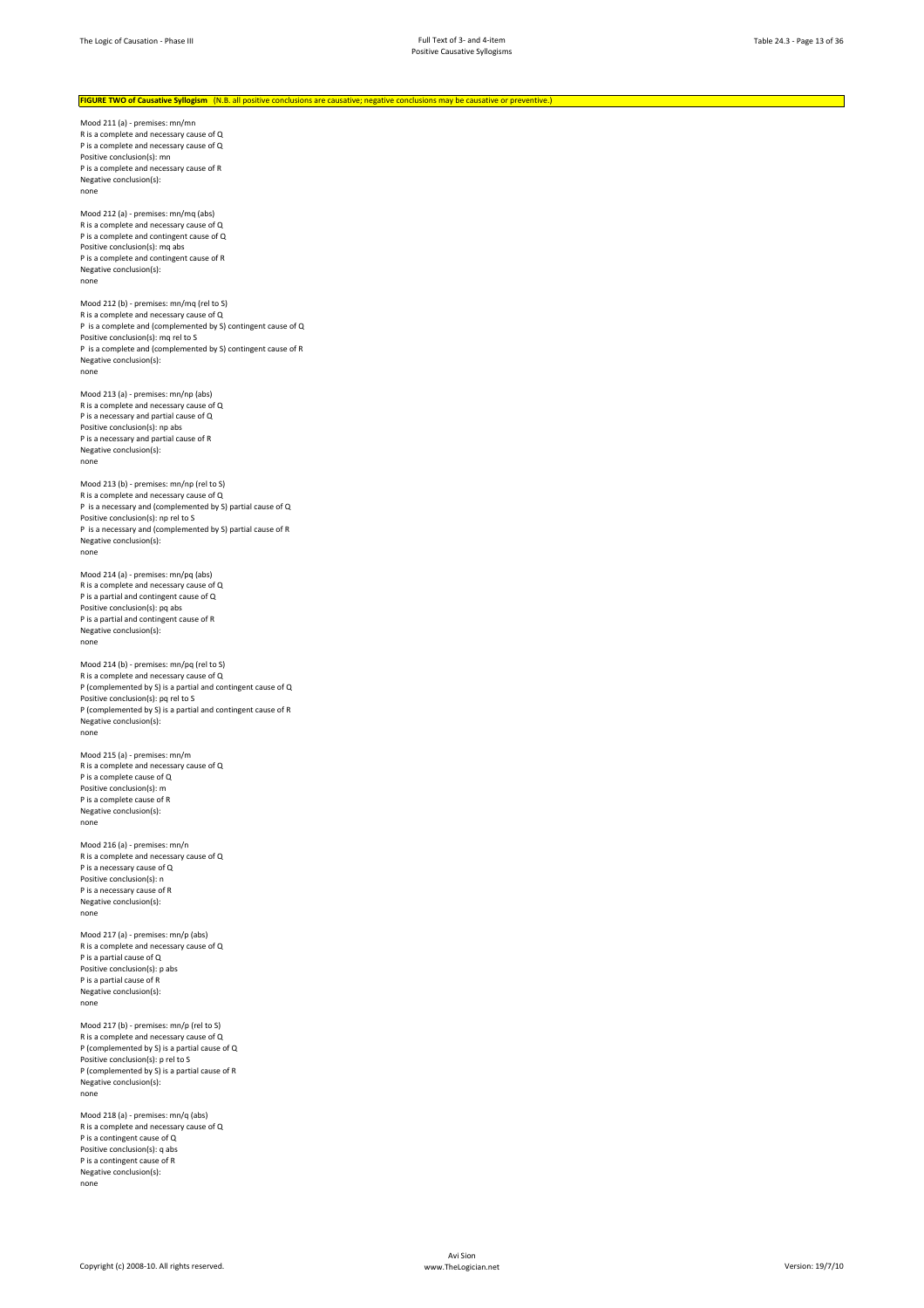## FIGURE TWO of Causative Syllogism (N.B. all positive conclusions are causative; negative conclusions may be causative or preventive.)

Mood 211 (a) - premises: mn/mn R is a complete and necessary cause of Q P is a complete and necessary cause of Q Positive conclusion(s): mn P is a complete and necessary cause of R Negative conclusion(s): none

Mood 212 (a) - premises: mn/mq (abs) R is a complete and necessary cause of Q P is a complete and contingent cause of Q Positive conclusion(s): mq abs P is a complete and contingent cause of R Negative conclusion(s): none

Mood 212 (b) - premises: mn/mq (rel to S) R is a complete and necessary cause of Q P is a complete and (complemented by S) contingent cause of Q Positive conclusion(s): mq rel to S P is a complete and (complemented by S) contingent cause of R Negative conclusion(s): none

Mood 213 (a) - premises: mn/np (abs) R is a complete and necessary cause of Q P is a necessary and partial cause of Q Positive conclusion(s): np abs P is a necessary and partial cause of R Negative conclusion(s): none

Mood 213 (b) - premises: mn/np (rel to S) R is a complete and necessary cause of Q P is a necessary and (complemented by S) partial cause of Q Positive conclusion(s): np rel to S P is a necessary and (complemented by S) partial cause of R Negative conclusion(s): none

Mood 214 (a) - premises: mn/pq (abs) R is a complete and necessary cause of Q P is a partial and contingent cause of Q Positive conclusion(s): pq abs P is a partial and contingent cause of R Negative conclusion(s): none

Mood 214 (b) - premises: mn/pq (rel to S) R is a complete and necessary cause of Q P (complemented by S) is a partial and contingent cause of Q Positive conclusion(s): pq rel to S P (complemented by S) is a partial and contingent cause of R Negative conclusion(s): none

Mood 215 (a) - premises: mn/m R is a complete and necessary cause of Q P is a complete cause of Q Positive conclusion(s): m P is a complete cause of R Negative conclusion(s): none

Mood 216 (a) - premises: mn/n R is a complete and necessary cause of Q P is a necessary cause of Q Positive conclusion(s): n P is a necessary cause of R Negative conclusion(s): none

Mood 217 (a) - premises: mn/p (abs) R is a complete and necessary cause of Q P is a partial cause of Q Positive conclusion(s): p abs P is a partial cause of R Negative conclusion(s): none

Mood 217 (b) - premises: mn/p (rel to S) R is a complete and necessary cause of Q P (complemented by S) is a partial cause of Q Positive conclusion(s): p rel to S P (complemented by S) is a partial cause of R Negative conclusion(s): none

Mood 218 (a) - premises: mn/q (abs) R is a complete and necessary cause of Q P is a contingent cause of Q Positive conclusion(s): q abs P is a contingent cause of R Negative conclusion(s): none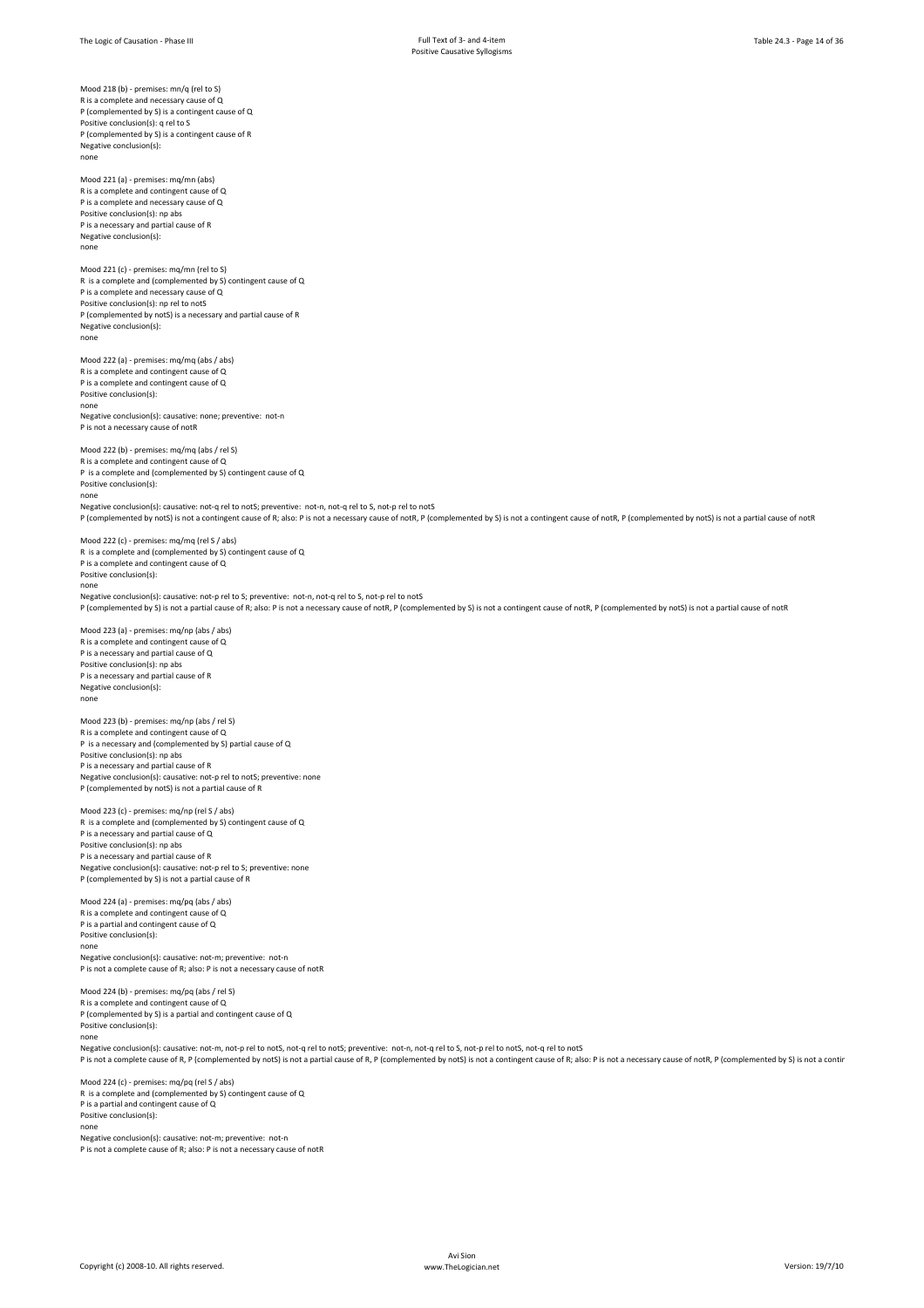Mood 218 (b) - premises: mn/a (rel to S) R is a complete and necessary cause of Q P (complemented by S) is a contingent cause of Q Positive conclusion(s): q rel to S P (complemented by S) is a contingent cause of R Negative conclusion(s): none

Mood 221 (a) - premises: mq/mn (abs) R is a complete and contingent cause of Q P is a complete and necessary cause of Q Positive conclusion(s): np abs P is a necessary and partial cause of R Negative conclusion(s): none

Mood 221 (c) - premises: mq/mn (rel to S) R is a complete and (complemented by S) contingent cause of Q P is a complete and necessary cause of Q Positive conclusion(s): np rel to notS P (complemented by notS) is a necessary and partial cause of R Negative conclusion(s): none

Mood 222 (a) - premises: mq/mq (abs / abs) R is a complete and contingent cause of Q P is a complete and contingent cause of Q Positive conclusion(s): none Negative conclusion(s): causative: none; preventive: not-n P is not a necessary cause of notR

Mood 222 (b) - premises: mq/mq (abs / rel S) R is a complete and contingent cause of Q P is a complete and (complemented by S) contingent cause of Q Positive conclusion(s): none Negative conclusion(s): causative: not-q rel to notS; preventive: not-n, not-q rel to S, not-p rel to notS P (complemented by notS) is not a contingent cause of R; also: P is not a necessary cause of notR, P (complemented by S) is not a contingent cause of notR, P (complemented by notS) is not a partial cause of notR

Mood 222 (c) - premises: mq/mq (rel S / abs) R is a complete and (complemented by S) contingent cause of Q P is a complete and contingent cause of Q Positive conclusion(s): none Negative conclusion(s): causative: not-p rel to S; preventive: not-n, not-q rel to S, not-p rel to notS

P (complemented by S) is not a partial cause of R; also: P is not a necessary cause of notR, P (complemented by S) is not a partial cause of notR, P (complemented by notS) is not a partial cause of notR

Mood 223 (a) - premises: mq/np (abs / abs) R is a complete and contingent cause of Q P is a necessary and partial cause of Q Positive conclusion(s): np abs P is a necessary and partial cause of R Negative conclusion(s): none

Mood 223 (b) - premises: mq/np (abs / rel S) R is a complete and contingent cause of Q P is a necessary and (complemented by S) partial cause of Q Positive conclusion(s): np abs P is a necessary and partial cause of R Negative conclusion(s): causative: not-p rel to notS; preventive: none P (complemented by notS) is not a partial cause of R

Mood 223 (c) - premises: mq/np (rel S / abs) R is a complete and (complemented by S) contingent cause of Q P is a necessary and partial cause of Q Positive conclusion(s): np abs P is a necessary and partial cause of R Negative conclusion(s): causative: not-p rel to S; preventive: none P (complemented by S) is not a partial cause of R

Mood 224 (a) - premises: mq/pq (abs / abs) R is a complete and contingent cause of Q P is a partial and contingent cause of Q Positive conclusion(s): none Negative conclusion(s): causative: not-m; preventive: not-n P is not a complete cause of R; also: P is not a necessary cause of notR

Mood 224 (b) - premises: mq/pq (abs / rel S) R is a complete and contingent cause of Q P (complemented by S) is a partial and contingent cause of Q Positive conclusion(s):

none Negative conclusion(s): causative: not-m, not-p rel to notS, not-q rel to notS; preventive: not-n, not-q rel to S, not-p rel to notS, not-q rel to notS P is not a complete cause of R, P (complemented by notS) is not a partial cause of R, P (complemented by notS) is not a contingent cause of R; also: P is not a necessary cause of notR, P (complemented by S) is not a contin

Mood 224 (c) - premises: mq/pq (rel S / abs) R is a complete and (complemented by S) contingent cause of Q P is a partial and contingent cause of Q Positive conclusion(s): none Negative conclusion(s): causative: not-m; preventive: not-n

P is not a complete cause of R; also: P is not a necessary cause of notR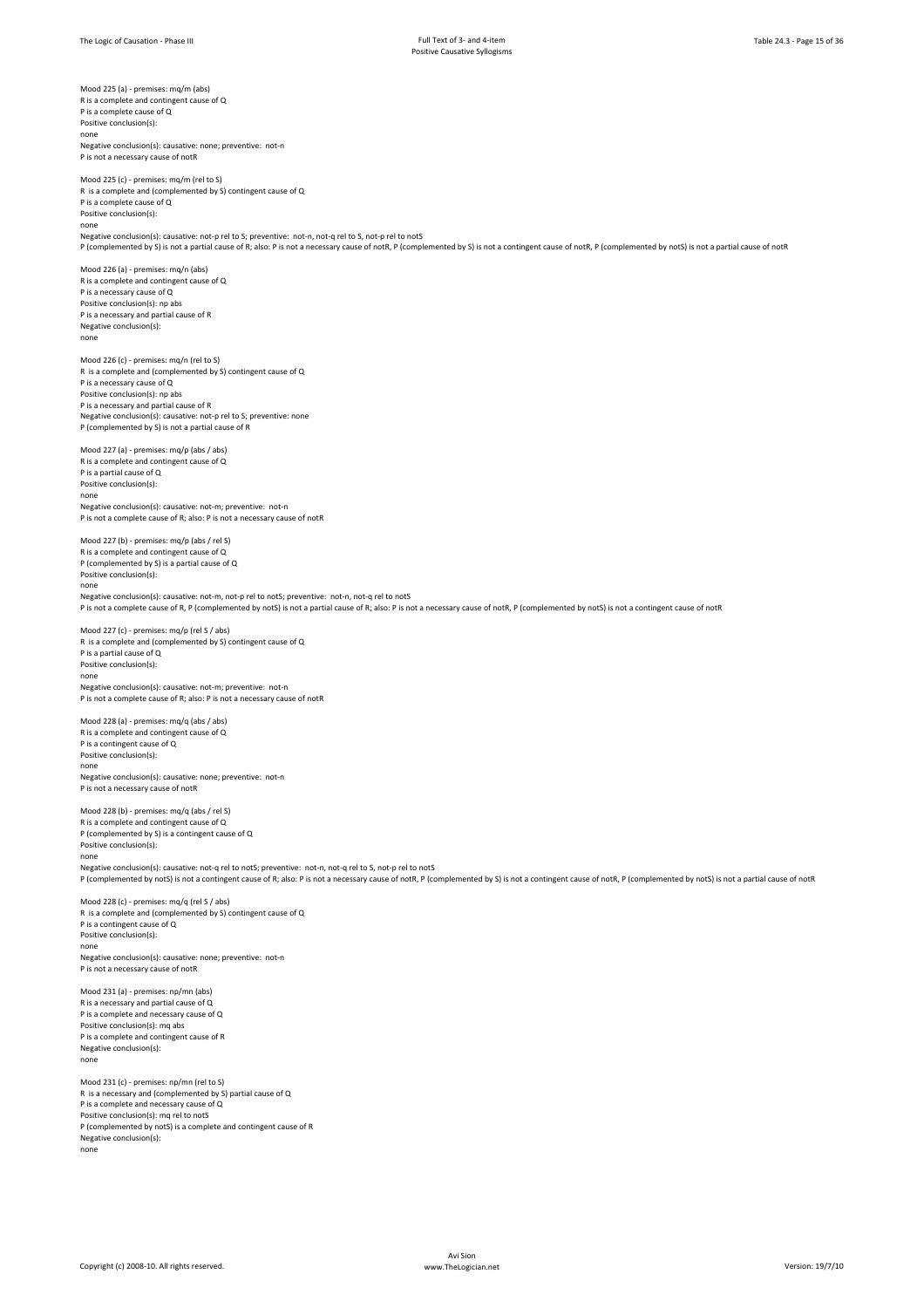Mood 225 (a) - premises: mq/m (abs) R is a complete and contingent cause of Q P is a complete cause of Q Positive conclusion(s): none Negative conclusion(s): causative: none; preventive: not-n P is not a necessary cause of not Mood 225 (c) - premises: mq/m (rel to S) R is a complete and (complemented by S) contingent cause of Q P is a complete cause of Q Positive conclusion(s): none Negative conclusion(s): causative: not-p rel to S; preventive: not-n, not-q rel to S, not-p rel to notS P (complemented by S) is not a partial cause of R; also: P is not a necessary cause of notR, P (complemented by S) is not a contingent cause of notR, P (complemented by notS) is not a partial cause of notR Mood 226 (a) - premises: mq/n (abs) R is a complete and contingent cause of Q P is a necessary cause of Q Positive conclusion(s): np abs P is a necessary and partial cause of R Negative conclusion(s): none Mood 226 (c) - premises: mq/n (rel to S) R is a complete and (complemented by S) contingent cause of Q P is a necessary cause of Q Positive conclusion(s): np abs P is a necessary and partial cause of R Negative conclusion(s): causative: not-p rel to S; preventive: none P (complemented by S) is not a partial cause of R Mood 227 (a) - premises: mq/p (abs / abs) R is a complete and contingent cause of Q P is a partial cause of Q Positive conclusion(s): none Negative conclusion(s): causative: not-m; preventive: not-n P is not a complete cause of R; also: P is not a necessary cause of notR Mood 227 (b) - premises: mq/p (abs / rel S) R is a complete and contingent cause of Q P (complemented by S) is a partial cause of Q Positive conclusion(s): none Negative conclusion(s): causative: not-m, not-p rel to notS; preventive: not-n, not-q rel to notS P is not a complete cause of R, P (complemented by notS) is not a partial cause of R; also: P is not a necessary cause of notR, P (complemented by notS) is not a contingent cause of notR Mood 227 (c) - premises: mq/p (rel S / abs) R is a complete and (complemented by S) contingent cause of Q P is a partial cause of Q Positive conclusion(s): none Negative conclusion(s): causative: not-m; preventive: not-n P is not a complete cause of R; also: P is not a necessary cause of notR Mood 228 (a) - premises: mq/q (abs / abs) R is a complete and contingent cause of Q P is a contingent cause of Q Positive conclusion(s): none Negative conclusion(s): causative: none; preventive: not-n P is not a necessary cause of notR Mood 228 (b) - premises: mq/q (abs / rel S) R is a complete and contingent cause of Q P (complemented by S) is a contingent cause of Q Positive conclusion(s) none Negative conclusion(s): causative: not-q rel to notS; preventive: not-n, not-q rel to S, not-p rel to notS P (complemented by notS) is not a contingent cause of R; also: P is not a necessary cause of notR, P (complemented by S) is not a contingent cause of notR, P (complemented by notS) is not a partial cause of notR Mood 228 (c) - premises: mq/q (rel S / abs) R is a complete and (complemented by S) contingent cause of Q P is a contingent cause of Q Positive conclusion(s): none Negative conclusion(s): causative: none; preventive: not-n P is not a necessary cause of notR Mood 231 (a) - premises: np/mn (abs) R is a necessary and partial cause of Q P is a complete and necessary cause of Q Positive conclusion(s): mq abs P is a complete and contingent cause of R Negative conclusion(s): none Mood 231 (c) - premises: np/mn (rel to S) R is a necessary and (complemented by S) partial cause of Q P is a complete and necessary cause of Q Positive conclusion(s): mq rel to notS P (complemented by notS) is a complete and contingent cause of R

Negative conclusion(s): none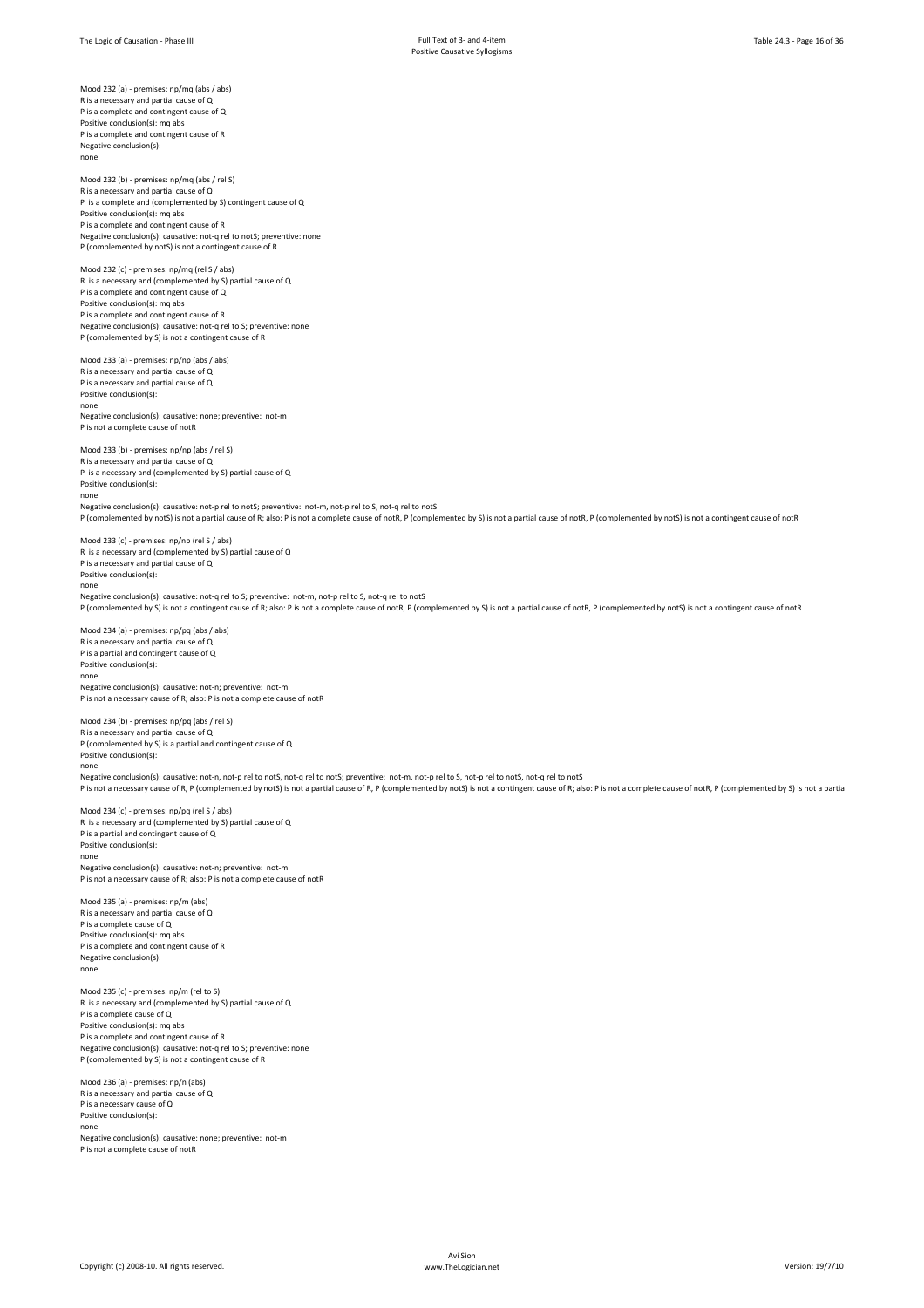Mood 232 (a) - premises: np/mq (abs / abs) R is a necessary and partial cause of Q

P is a complete and contingent cause of Q Positive conclusion(s): mq abs P is a complete and contingent cause of R Negative conclusion(s): none Mood 232 (b) - premises: np/mq (abs / rel S) R is a necessary and partial cause of Q P is a complete and (complemented by S) contingent cause of Q Positive conclusion(s): mq abs P is a complete and contingent cause of R Negative conclusion(s): causative: not-q rel to notS; preventive: none P (complemented by notS) is not a contingent cause of R Mood 232 (c) - premises: np/mq (rel S / abs) R is a necessary and (complemented by S) partial cause of Q P is a complete and contingent cause of Q Positive conclusion(s): mq abs P is a complete and contingent cause of R Negative conclusion(s): causative: not-q rel to S; preventive: none P (complemented by S) is not a contingent cause of R Mood 233 (a) - premises: np/np (abs / abs) R is a necessary and partial cause of Q P is a necessary and partial cause of Q Positive conclusion(s): none Negative conclusion(s): causative: none; preventive: not-m P is not a complete cause of notR Mood 233 (b) - premises: np/np (abs / rel S) R is a necessary and partial cause of Q P is a necessary and (complemented by S) partial cause of Q Positive conclusion(s): none Negative conclusion(s): causative: not-p rel to notS; preventive: not-m, not-p rel to S, not-q rel to notS P (complemented by notS) is not a partial cause of R; also: P is not a complete cause of notR, P (complemented by S) is not a partial cause of notR, P (complemented by notS) is not a contingent cause of notR Mood 233 (c) - premises: np/np (rel S / abs) R is a necessary and (complemented by S) partial cause of Q P is a necessary and partial cause of Q Positive conclusion(s): none Negative conclusion(s): causative: not-q rel to S; preventive: not-m, not-p rel to S, not-q rel to notS P (complemented by S) is not a contingent cause of R; also: P is not a complete cause of notR, P (complemented by S) is not a partial cause of notR, P (complemented by notS) is not a contingent cause of notR Mood 234 (a) - premises: np/pq (abs / abs) R is a necessary and partial cause of Q P is a partial and contingent cause of Q Positive conclusion(s): none Negative conclusion(s): causative: not-n; preventive: not-m P is not a necessary cause of R; also: P is not a complete cause of notP Mood 234 (b) - premises: np/pq (abs / rel S) R is a necessary and partial cause of Q P (complemented by S) is a partial and contingent cause of Q Positive conclusion(s): none Negative conclusion(s): causative: not-n, not-p rel to notS, not-q rel to notS; preventive: not-m, not-p rel to S, not-p rel to notS, not-q rel to notS P is not a necessary cause of R, P (complemented by notS) is not a partial cause of R, P (complemented by notS) is not a contingent cause of R; also: P is not a complete cause of ntR, P (complemented by S) is not a partia Mood 234 (c) - premises: np/pq (rel S / abs) R is a necessary and (complemented by S) partial cause of Q P is a partial and contingent cause of Q Positive conclusion(s): none Negative conclusion(s): causative: not-n; preventive: not-m P is not a necessary cause of R; also: P is not a complete cause of notR Mood 235 (a) - premises: np/m (abs) R is a necessary and partial cause of Q P is a complete cause of Q Positive conclusion(s): mg abs P is a complete and contingent cause of R Negative conclusion(s): none Mood 235 (c) - premises: np/m (rel to S) R is a necessary and (complemented by S) partial cause of Q P is a complete cause of Q Positive conclusion(s): mq abs P is a complete and contingent cause of R Negative conclusion(s): causative: not-q rel to S; preventive: none P (complemented by S) is not a contingent cause of R Mood 236 (a) - premises: np/n (abs)

R is a necessary and partial cause of Q P is a necessary cause of Q Positive conclusion(s): none Negative conclusion(s): causative: none; preventive: not-m P is not a complete cause of notR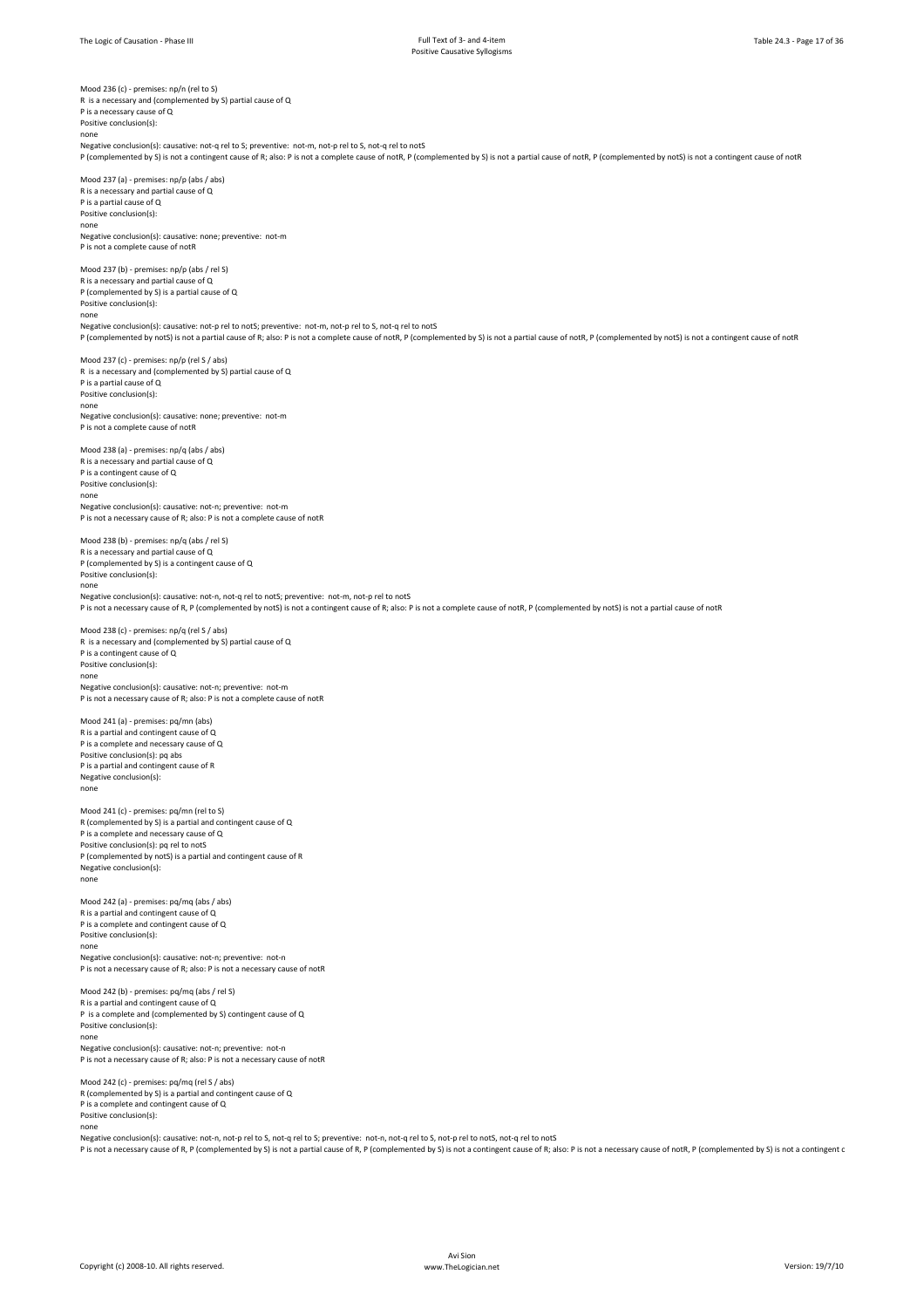Mood 236 (c) - premises: np/n (rel to S) R is a necessary and (complemented by S) partial cause of Q P is a necessary cause of Q Positive conclusion(s): none Negative conclusion(s): causative: not-q rel to S; preventive: not-m, not-p rel to S, not-q rel to notS P (complemented by S) is not a contingent cause of R; also: P is not a complete cause of notR, P (complemented by S) is not a partial cause of notR, P (complemented by notS) is not a contingent cause of notR Mood 237 (a) - premises: np/p (abs / abs) R is a necessary and partial cause of Q P is a partial cause of Q Positive conclusion(s): none Negative conclusion(s): causative: none; preventive: not-m P is not a complete cause of notR Mood 237 (b) - premises: np/p (abs / rel S) R is a necessary and partial cause of Q P (complemented by S) is a partial cause of Q Positive conclusion(s): none Negative conclusion(s): causative: not-p rel to notS; preventive: not-m, not-p rel to S, not-q rel to notS P (complemented by notS) is not a partial cause of R; also: P is not a complete cause of notR, P (complemented by S) is not a partial cause of notR, P (complemented by notS) is not a contingent cause of notR Mood 237 (c) - premises: np/p (rel S / abs) R is a necessary and (complemented by S) partial cause of Q P is a partial cause of Q Positive conclusion(s): none Negative conclusion(s): causative: none; preventive: not-m P is not a complete cause of notR Mood 238 (a) - premises: np/q (abs / abs) R is a necessary and partial cause of Q P is a contingent cause of Q Positive conclusion(s): none Negative conclusion(s): causative: not-n; preventive: not-m P is not a necessary cause of R; also: P is not a complete cause of notR Mood 238 (b) - premises: np/q (abs / rel S) R is a necessary and partial cause of Q P (complemented by S) is a contingent cause of Q Positive conclusion(s): none Negative conclusion(s): causative: not-n, not-q rel to notS; preventive: not-m, not-p rel to notS P is not a necessary cause of R, P (complemented by notS) is not a contingent cause of R; also: P is not a complete cause of notR, P (complemented by notS) is not a partial cause of notR Mood 238 (c) - premises: np/q (rel S / abs) R is a necessary and (complemented by S) partial cause of Q P is a contingent cause of Q Positive conclusion(s): none Negative conclusion(s): causative: not-n; preventive: not-m P is not a necessary cause of R; also: P is not a complete cause of notR Mood 241 (a) - premises: pq/mn (abs) R is a partial and contingent cause of Q P is a complete and necessary cause of Q Positive conclusion(s): pq abs P is a partial and contingent cause of R Negative conclusion(s): none Mood 241 (c) - premises: pq/mn (rel to S) R (complemented by S) is a partial and contingent cause of Q P is a complete and necessary cause of Q Positive conclusion(s): pq rel to notS P (complemented by notS) is a partial and contingent cause of R Negative conclusion(s): none Mood 242 (a) - premises: pq/mq (abs / abs) R is a partial and contingent cause of Q P is a complete and contingent cause of Q Positive conclusion(s): none Negative conclusion(s): causative: not-n; preventive: not-n P is not a necessary cause of R; also: P is not a necessary cause of notR Mood 242 (b) - premises: pq/mq (abs / rel S) R is a partial and contingent cause of  $Q$ P is a complete and (complemented by S) contingent cause of Q Positive conclusion(s): none Negative conclusion(s): causative: not-n; preventive: not-n P is not a necessary cause of R; also: P is not a necessary cause of notR Mood 242 (c) - premises: pq/mq (rel S / abs) R (complemented by S) is a partial and contingent cause of Q P is a complete and contingent cause of Q Positive conclusion(s): none Negative conclusion(s): causative: not-n, not-p rel to S, not-q rel to S; preventive: not-n, not-q rel to S, not-p rel to notS, not-q rel to notS P is not a necessary cause of R. P (complemented by S) is not a partial cause of R. P (complemented by S) is not a contingent cause of R; also: P is not a necessary cause of notR. P (complemented by S) is not a contingent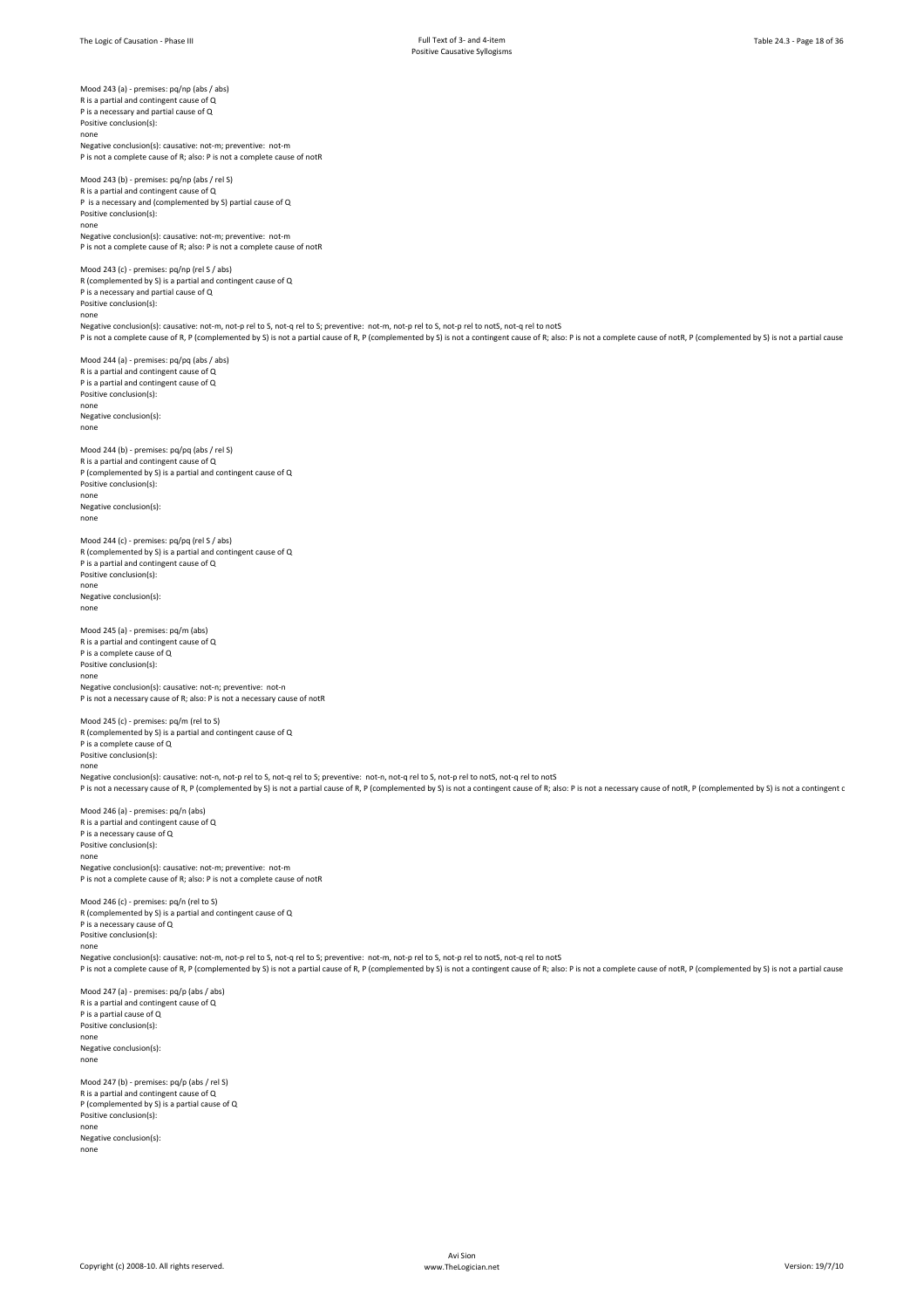Mood 243 (a) - premises: pq/np (abs / abs) R is a partial and contingent cause of Q P is a necessary and partial cause of Q Positive conclusion(s): none

Negative conclusion(s): causative: not-m; preventive: not-m P is not a complete cause of R; also: P is not a complete cause of notR

Mood 243 (b) - premises: pq/np (abs / rel S) R is a partial and contingent cause of Q P is a necessary and (complemented by S) partial cause of Q Positive conclusion(s): none Negative conclusion(s): causative: not-m; preventive: not-m P is not a complete cause of R; also: P is not a complete cause of notR

Mood 243 (c) - premises: pq/np (rel S / abs)

R (complemented by S) is a partial and contingent cause of Q P is a necessary and partial cause of Q Positive conclusion(s): none

Negative conclusion(s): causative: not-m, not-p rel to S, not-q rel to S; preventive: not-m, not-p rel to S, not-p rel to S, not-p rel to S; not-meto by S) is not a partial cause of R; P (complemented by S) is not a partia

Mood 244 (a) - premises: pq/pq (abs / abs) R is a partial and contingent cause of Q P is a partial and contingent cause of Q Positive conclusion(s): none Negative conclusion(s): none

Mood 244 (b) - premises: pq/pq (abs / rel S) R is a partial and contingent cause of Q P (complemented by S) is a partial and contingent cause of Q Positive conclusion(s): none Negative conclusion(s): none

Mood 244 (c) - premises: pq/pq (rel S / abs) R (complemented by S) is a partial and contingent cause of Q P is a partial and contingent cause of Q Positive conclusion(s): none Negative conclusion(s): none

Mood 245 (a) - premises: pq/m (abs) R is a partial and contingent cause of Q P is a complete cause of Q Positive conclusion(s): none Negative conclusion(s): causative: not-n; preventive: not-n P is not a necessary cause of R; also: P is not a necessary cause of notR

Mood 245 (c) - premises: pq/m (rel to S) R (complemented by S) is a partial and contingent cause of Q P is a complete cause of Q Positive conclusion(s): none

Negative conclusion(s): causative: not-n, not-p rel to S, not-q rel to S; preventive: not-n, not-q rel to S, not-p rel to notS, not-q rel to notS P is not a necessary cause of R, P (complemented by S) is not a partial cause of R, P (complemented by S) is not a contingent cause of R; also: P is not a necessary cause of notR, P (complemented by S) is not a contingent

Mood 246 (a) - premises: pq/n (abs) R is a partial and contingent cause of Q P is a necessary cause of Q Positive conclusion(s) none Negative conclusion(s): causative: not-m; preventive: not-m P is not a complete cause of R; also: P is not a complete cause of notR

Mood 246 (c) - premises: pq/n (rel to S) R (complemented by S) is a partial and contingent cause of Q P is a necessary cause of Q Positive conclusion(s): none

Negative conclusion(s): causative: not-m, not-p rel to S, not-q rel to S; preventive: not-m, not-p rel to S, not-p rel to notS, not-q rel to notS P is not a complete cause of R. P (complemented by S) is not a partial cause of R. P (complemented by S) is not a contingent cause of R; also; P is not a complete cause of notR. P (complemented by S) is not a partial cause

Mood 247 (a) - premises: pq/p (abs / abs) R is a partial and contingent cause of Q P is a partial cause of Q Positive conclusion(s): none Negative conclusion(s): none

Mood 247 (b) - premises: pq/p (abs / rel S) R is a partial and contingent cause of Q P (complemented by S) is a partial cause of Q Positive conclusion(s): none Negative conclusion(s): none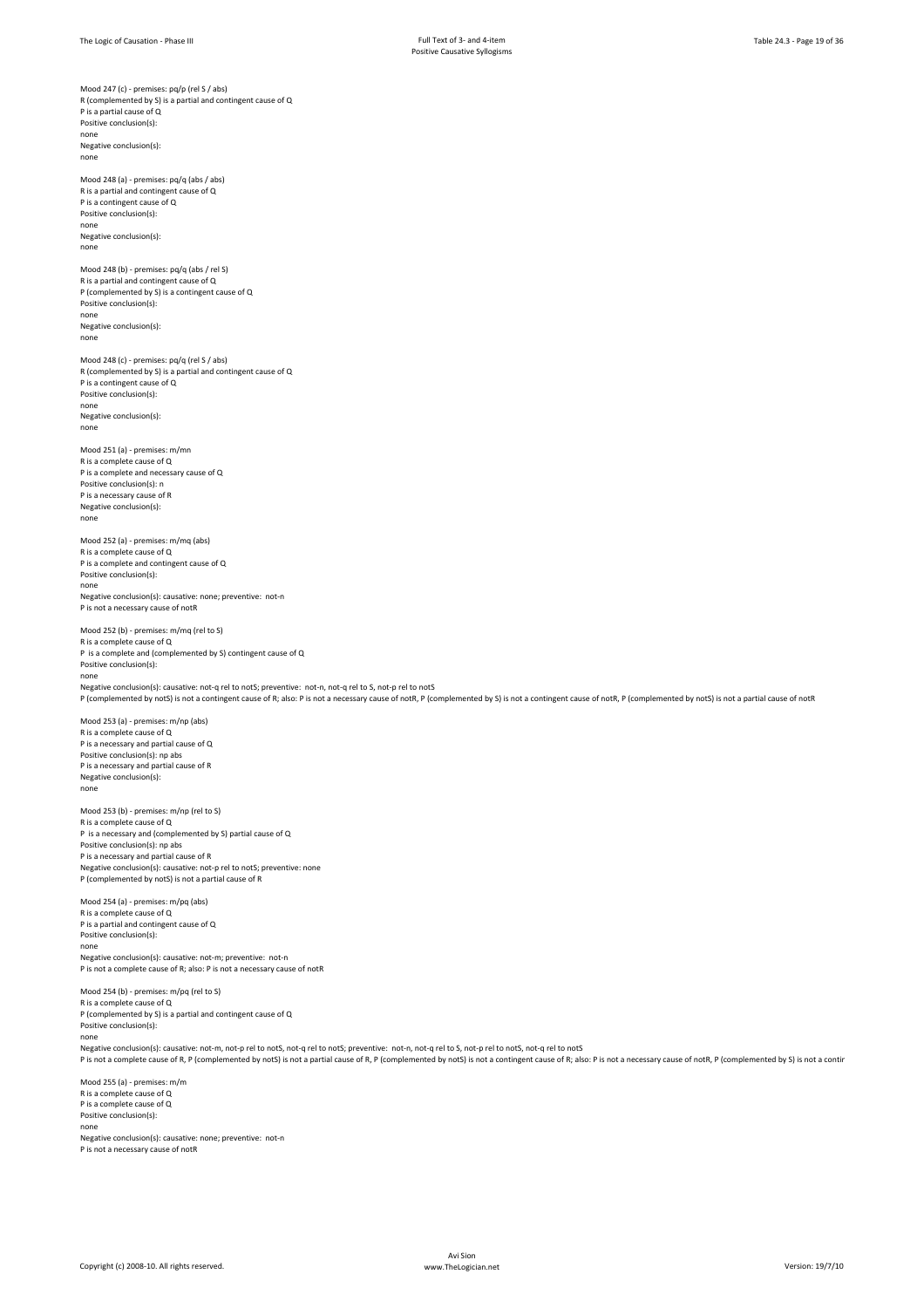Mood 247 (c) - premises: pq/p (rel S / abs)

R (complemented by S) is a partial and contingent cause of Q P is a partial cause of Q Positive conclusion(s): none Negative conclusion(s): none Mood 248 (a) - premises: pq/q (abs / abs) R is a partial and contingent cause of Q P is a contingent cause of Q Positive conclusion(s): none Negative conclusion(s): none Mood 248 (b) - premises: pq/q (abs / rel S) R is a partial and contingent cause of Q P (complemented by S) is a contingent cause of Q Positive conclusion(s): none Negative conclusion(s): none Mood 248 (c) - premises: pq/q (rel S / abs) R (complemented by S) is a partial and contingent cause of Q P is a contingent cause of Q Positive conclusion(s): none Negative conclusion(s): none Mood 251 (a) - premises: m/mn R is a complete cause of Q P is a complete and necessary cause of Q Positive conclusion(s): n P is a necessary cause of R Negative conclusion(s): none Mood 252 (a) - premises: m/mq (abs) R is a complete cause of Q P is a complete and contingent cause of Q Positive conclusion(s): none Negative conclusion(s): causative: none; preventive: not-n P is not a necessary cause of notR Mood 252 (b) - premises: m/mq (rel to S) R is a complete cause of Q P is a complete and (complemented by S) contingent cause of Q Positive conclusion(s): none Negative conclusion(s): causative: not-q rel to notS; preventive: not-n, not-q rel to S, not-p rel to notS P (complemented by notS) is not a contingent cause of R; also: P is not a necessary cause of notR, P (complemented by S) is not a contingent cause of notR, P (complemented by notS) is not a partial cause of notR Mood 253 (a) - premises: m/np (abs) R is a complete cause of Q P is a necessary and partial cause of Q Positive conclusion(s): np abs P is a necessary and partial cause of R Negative conclusion(s): none Mood 253 (b) - premises: m/np (rel to S) R is a complete cause of Q<br>P is a necessary and (complete ented by S) partial cause of Q Positive conclusion(s): np abs P is a necessary and partial cause of R Negative conclusion(s): causative: not-p rel to notS; preventive: none P (complemented by notS) is not a partial cause of R Mood 254 (a) - premises: m/pq (abs) R is a complete cause of Q P is a partial and contingent cause of Q Positive conclusion(s): none Negative conclusion(s): causative: not-m; preventive: not-n P is not a complete cause of R; also: P is not a necessary cause of notR Mood 254 (b) - premises: m/pq (rel to S) R is a complete cause of Q P (complemented by S) is a partial and contingent cause of Q Positive conclusion(s): none Negative conclusion(s): causative: not-m, not-p rel to notS, not-q rel to notS; preventive: not-n, not-q rel to S, not-p rel to notS, not-q rel to notS P is not a complete cause of R, P (complemented by notS) is not a partial cause of R, P (complemented by notS) is not a contingent cause of R; also: P is not a necessary cause of notR, P (complemented by S) is not a contin Mood 255 (a) - premises: m/m R is a complete cause of Q P is a complete cause of Q Positive conclusion(s):

none Negative conclusion(s): causative: none; preventive: not-n P is not a necessary cause of notR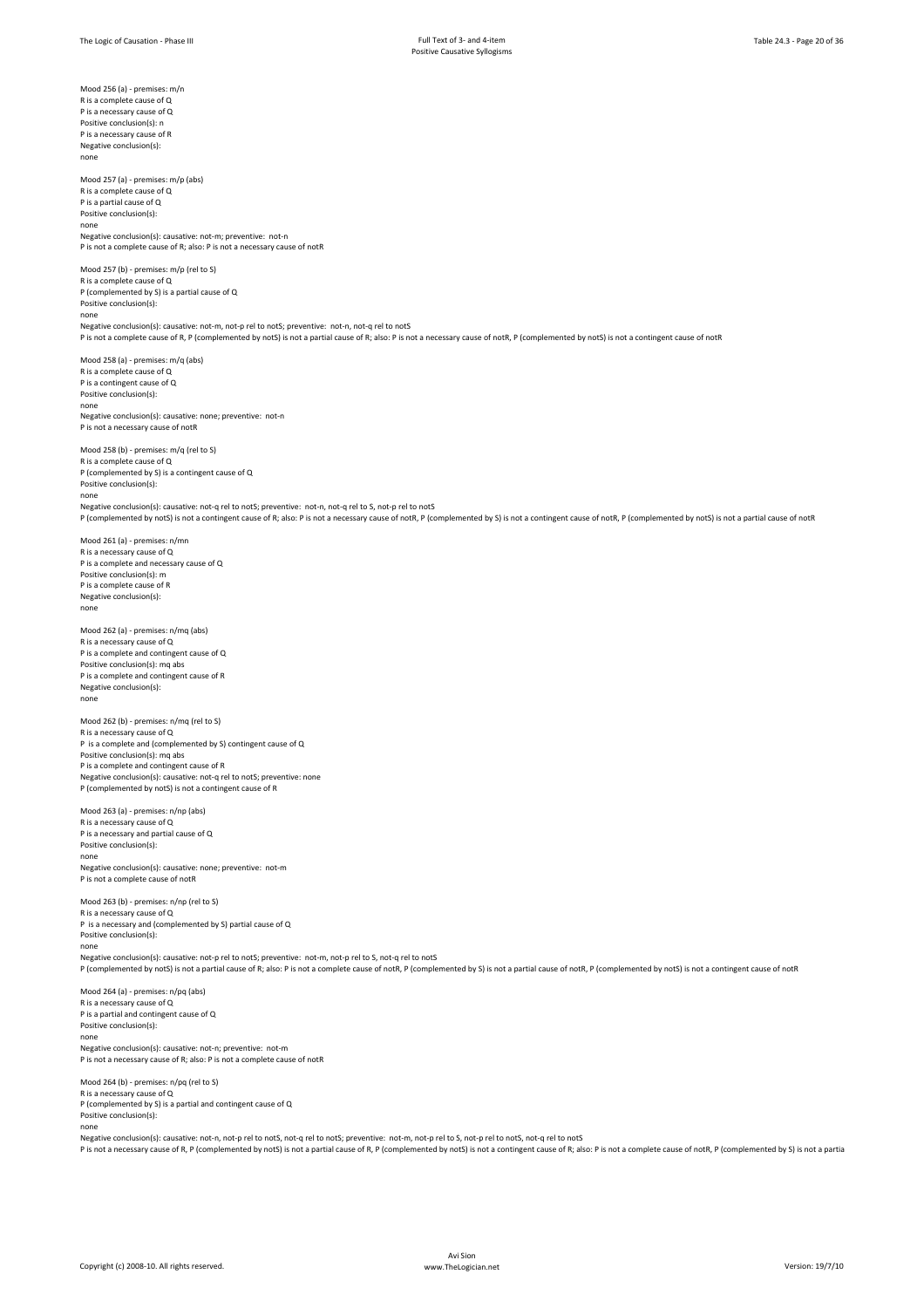Mood 256 (a) - premises: m/n R is a complete cause of Q P is a necessary cause of Q Positive conclusion(s): n P is a necessary cause of R Negative conclusion(s): none Mood 257 (a) - premises: m/p (abs) R is a complete cause of Q P is a partial cause of Q Positive conclusion(s): none Negative conclusion(s): causative: not-m; preventive: not-n P is not a complete cause of R; also: P is not a necessary cause of notR Mood 257 (b) - premises: m/p (rel to S) R is a complete cause of Q P (complemented by S) is a partial cause of Q Positive conclusion(s): none Negative conclusion(s): causative: not-m, not-p rel to notS; preventive: not-n, not-q rel to notS P is not a complete cause of R, P (complemented by notS) is not a partial cause of R; also: P is not a peressary cause of notR, P (complemented by notS) is not a contingent cause of notR. Mood 258 (a) - premises: m/q (abs) R is a complete cause of Q P is a contingent cause of Q Positive conclusion(s): none Negative conclusion(s): causative: none; preventive: not-n P is not a necessary cause of notR Mood 258 (b) - premises: m/q (rel to S) R is a complete cause of Q P (complemented by S) is a contingent cause of Q Positive conclusion(s): none Negative conclusion(s): causative: not-q rel to notS; preventive: not-n, not-q rel to S, not-p rel to notS P (complemented by notS) is not a contingent cause of R; also: P is not a necessary cause of notR, P (complemented by S) is not a contingent cause of notR, P (complemented by notS) is not a partial cause of notR Mood 261 (a) - premises: n/mn R is a necessary cause of Q P is a complete and necessary cause of Q Positive conclusion(s): m P is a complete cause of R Negative conclusion(s): none Mood 262 (a) - premises: n/mq (abs) R is a necessary cause of Q P is a complete and contingent cause of Q Positive conclusion(s): mg abs P is a complete and contingent cause of R Negative conclusion(s): none Mood 262 (b) - premises: n/mq (rel to S) R is a necessary cause of Q P is a complete and (complemented by S) contingent cause of Q Positive conclusion(s): mq abs P is a complete and contingent cause of R Negative conclusion(s): causative: not-q rel to notS; preventive: none P (complemented by notS) is not a contingent cause of R Mood 263 (a) - premises: n/np (abs) R is a necessary cause of Q P is a necessary and partial cause of Q Positive conclusion(s): none Negative conclusion(s): causative: none; preventive: not-m P is not a complete cause of notR Mood 263 (b) - premises: n/np (rel to S) R is a necessary cause of Q P is a necessary and (complemented by S) partial cause of Q Positive conclusion(s): none Negative conclusion(s): causative: not-p rel to notS; preventive: not-m, not-p rel to S, not-q rel to notS P (complemented by notS) is not a partial cause of R; also: P is not a complete cause of notR, P (complemented by S) is not a partial cause of notR, P (complemented by notS) is not a contingent cause of notR Mood 264 (a) - premises: n/pq (abs) R is a necessary cause of Q P is a partial and contingent cause of Q Positive conclusion(s): none Negative conclusion(s): causative: not-n; preventive: not-m P is not a necessary cause of R; also: P is not a complete cause of notR Mood 264 (b) - premises: n/pq (rel to S) R is a necessary cause of Q P (complemented by S) is a partial and contingent cause of Q Positive conclusion(s): none

Negative conclusion(s): causative: not-n, not-p rel to notS, not-q rel to notS; preventive: not-m, not-p rel to S, not-p rel to notS, not-q rel to notS P is not a necessary cause of R. P (complemented by notS) is not a partial cause of R. P (complemented by notS) is not a contingent cause of R: also: P is not a complete cause of notR. P (complemented by S) is not a partia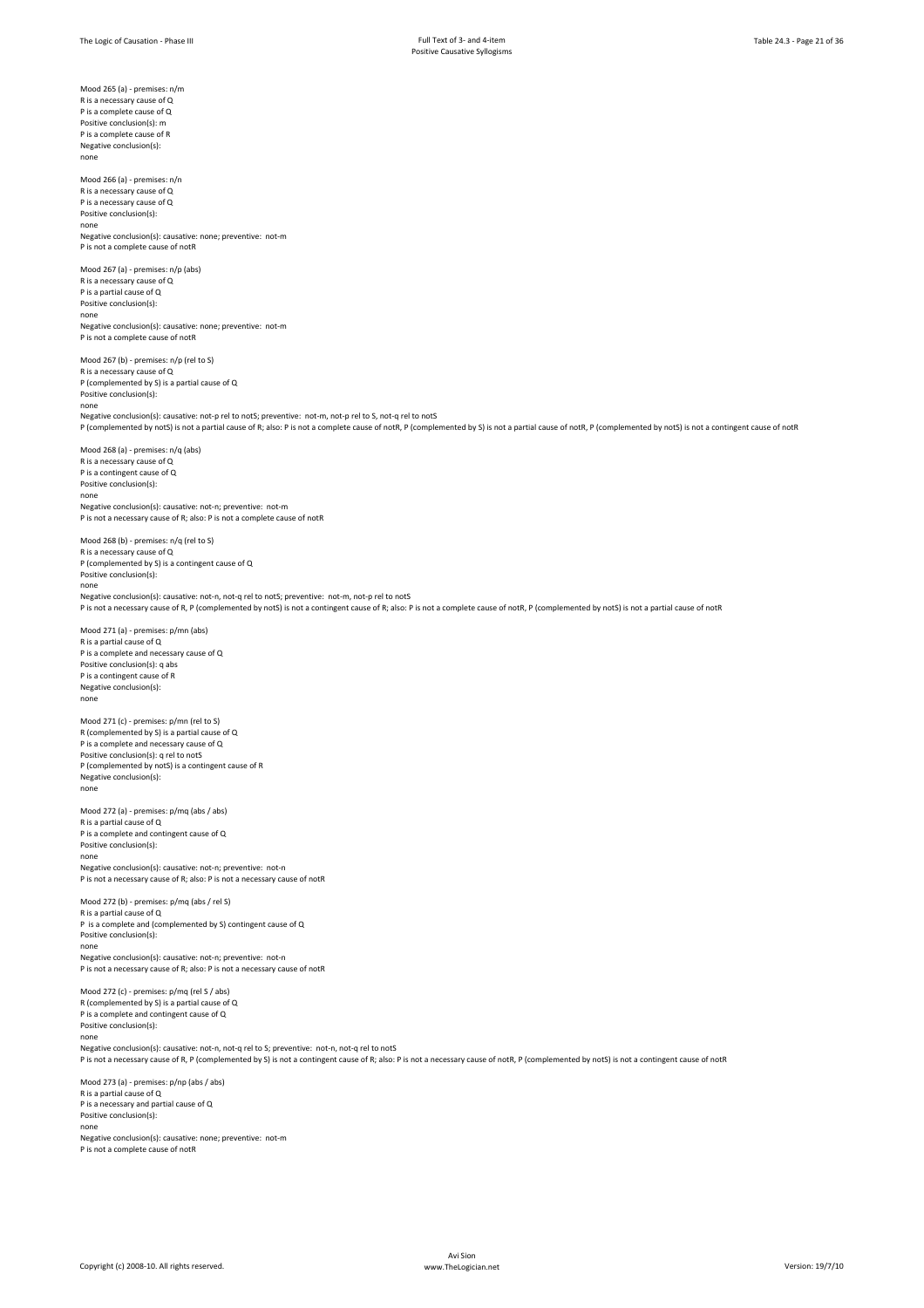Mood 265 (a) - premises: n/m R is a necessary cause of Q P is a complete cause of Q Positive conclusion(s): m P is a complete cause of R Negative conclusion(s): none Mood 266 (a) - premises: n/n R is a necessary cause of Q P is a necessary cause of Q Positive conclusion(s): none Negative conclusion(s): causative: none; preventive: not-m P is not a complete cause of notR Mood 267 (a) - premises: n/p (abs) R is a necessary cause of Q P is a partial cause of Q Positive conclusion(s): none Negative conclusion(s): causative: none; preventive: not-m P is not a complete cause of notR Mood 267 (b) - premises: n/p (rel to S) R is a necessary cause of Q P (complemented by S) is a partial cause of Q Positive conclusion(s): none Negative conclusion(s): causative: not-p rel to notS; preventive: not-m, not-p rel to S, not-q rel to notS P (complemented by notS) is not a partial cause of R; also: P is not a complete cause of notR, P (complemented by s) is not a partial cause of notR, P (complemented by notS) is not a contingent cause of notR Mood 268 (a) - premises: n/q (abs) R is a necessary cause of Q P is a contingent cause of Q Positive conclusion(s): none Negative conclusion(s): causative: not-n; preventive: not-m P is not a necessary cause of R; also: P is not a complete cause of notR Mood 268 (b) - premises: n/q (rel to S) R is a necessary cause of Q P (complemented by S) is a contingent cause of Q Positive conclusion(s): none Negative conclusion(s): causative: not-n, not-q rel to notS; preventive: not-m, not-p rel to notS P is not a necessary cause of R, P (complemented by notS) is not a contingent cause of R; also: P is not a complete cause of notR, P (complemented by notS) is not a partial cause of notR Mood 271 (a) - premises: p/mn (abs) R is a partial cause of Q P is a complete and necessary cause of Q Positive conclusion(s): q abs P is a contingent cause of R Negative conclusion(s): none Mood 271 (c) - premises: p/mn (rel to S) R (complemented by S) is a partial cause of Q P is a complete and necessary cause of Q Positive conclusion(s): q rel to notS P (complemented by notS) is a contingent cause of R Negative conclusion(s): none Mood 272 (a) - premises: p/mq (abs / abs) R is a partial cause of Q P is a complete and contingent cause of Q Positive conclusion(s): none Negative conclusion(s): causative: not-n; preventive: not-n P is not a necessary cause of R; also: P is not a necessary cause of notR Mood 272 (b) - premises: p/mq (abs / rel S) R is a partial cause of Q P is a complete and (complemented by S) contingent cause of Q Positive conclusion(s): none Negative conclusion(s): causative: not-n; preventive: not-n P is not a necessary cause of R; also: P is not a necessary cause of notR Mood 272 (c) - premises: p/mq (rel S / abs) R (complemented by S) is a partial cause of Q P is a complete and contingent cause of Q Positive conclusion(s): none Negative conclusion(s): causative: not-n, not-q rel to S; preventive: not-n, not-q rel to notS P is not a necessary cause of R, P (complemented by S) is not a contingent cause of R; also: P is not a necessary cause of notR, P (complemented by notS) is not a contingent cause of notR Mood 273 (a) - premises: p/np (abs / abs) R is a partial cause of Q P is a necessary and partial cause of Q Positive conclusion(s): none Negative conclusion(s): causative: none; preventive: not-m

P is not a complete cause of notR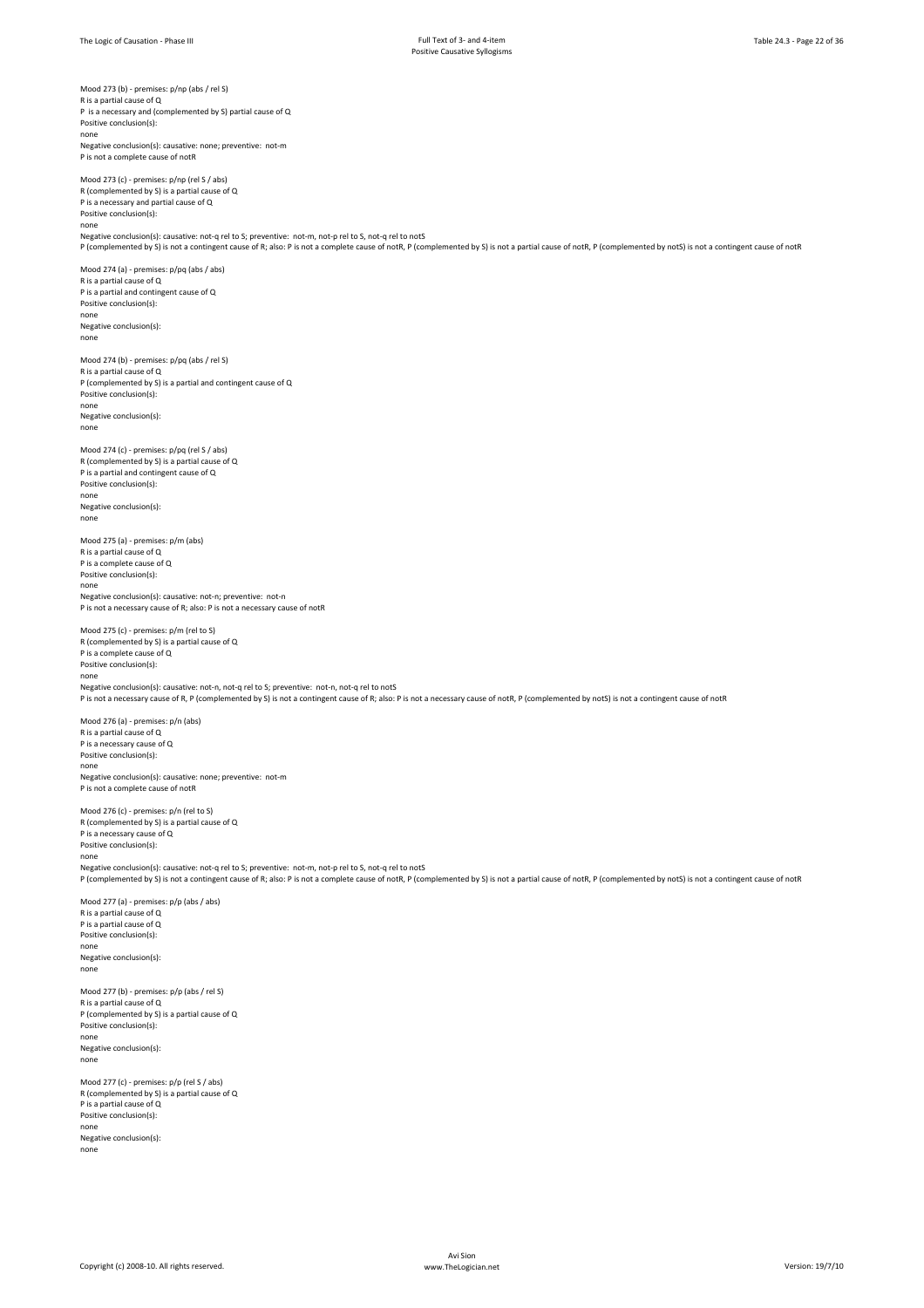Positive Causative Syllogisms

Mood 273 (b) - premises: p/np (abs / rel S) R is a partial cause of Q P is a necessary and (complemented by S) partial cause of Q Positive conclusion(s): none Negative conclusion(s): causative: none; preventive: not-m P is not a complete cause of notR Mood 273 (c) - premises: p/np (rel S / abs) R (complemented by S) is a partial cause of Q P is a necessary and partial cause of Q Positive conclusion(s): none Negative conclusion(s): causative: not-q rel to S; preventive: not-m, not-p rel to S, not-q rel to notS P (complemented by S) is not a contingent cause of R; also: P is not a complete cause of notR, P (complemented by S) is not a partial cause of notR, P (complemented by notS) is not a contingent cause of notR Mood 274 (a) - premises: p/pq (abs / abs) R is a partial cause of Q P is a partial and contingent cause of Q Positive conclusion(s): none Negative conclusion(s): none Mood 274 (b) - premises: p/pq (abs / rel S) R is a partial cause of Q P (complemented by S) is a partial and contingent cause of Q Positive conclusion(s): none Negative conclusion(s): none Mood 274 (c) - premises: p/pq (rel S / abs) R (complemented by S) is a partial cause of Q P is a partial and contingent cause of Q Positive conclusion(s): none Negative conclusion(s): none Mood 275 (a) - premises: p/m (abs) R is a partial cause of Q P is a complete cause of Q Positive conclusion(s): none Negative conclusion(s): causative: not-n; preventive: not-n P is not a necessary cause of R; also: P is not a necessary cause of notR Mood 275 (c) - premises: p/m (rel to S) R (complemented by S) is a partial cause of Q P is a complete cause of Q Positive conclusion(s): none Negative conclusion(s): causative: not-n, not-q rel to S; preventive: not-n, not-q rel to notS P is not a necessary cause of R, P (complemented by S) is not a contingent cause of R; also: P is not a necessary cause of notR, P (complemented by notS) is not a contingent cause of notR Mood 276 (a) - premises: p/n (abs) R is a partial cause of Q P is a necessary cause of Q Positive conclusion(s): none Negative conclusion(s): causative: none; preventive: not-m P is not a complete cause of notR Mood 276 (c) - premises: p/n (rel to S) R (complemented by S) is a partial cause of Q P is a necessary cause of Q Positive conclusion(s): none Negative conclusion(s): causative: not-q rel to S; preventive: not-m, not-p rel to S, not-q rel to notS P (complemented by S) is not a contingent cause of R; also: P is not a complete cause of notR, P (complemented by S) is not a partial cause of notR, P (complemented by notS) is not a contingent cause of notR Mood 277 (a) - premises: p/p (abs / abs) R is a partial cause of Q P is a partial cause of Q Positive conclusion(s): none Negative conclusion(s): none Mood 277 (b) - premises: p/p (abs / rel S) R is a partial cause of Q P (complemented by S) is a partial cause of Q Positive conclusion(s): none Negative conclusion(s): none Mood 277 (c) - premises: p/p (rel S / abs) R (complemented by S) is a partial cause of Q P is a partial cause of Q Positive conclusion(s): none Negative conclusion(s): none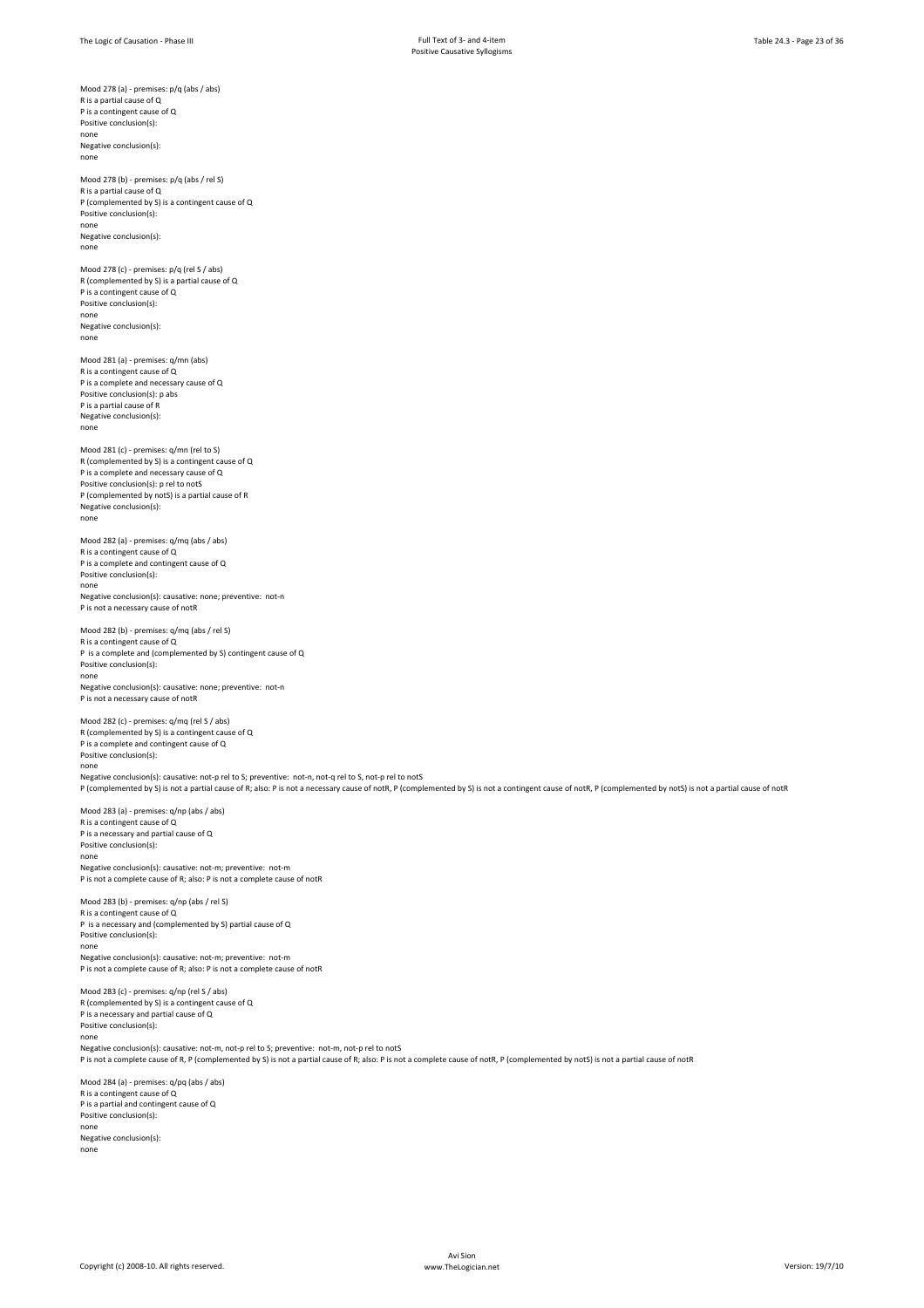Mood 278 (a) - premises: p/q (abs / abs) R is a partial cause of Q P is a contingent cause of Q Positive conclusion(s): none Negative conclusion(s): none

Mood 278 (b) - premises: p/q (abs / rel S) R is a partial cause of Q P (complemented by S) is a contingent cause of Q Positive conclusion(s): none Negative conclusion(s): none

Mood 278 (c) - premises: p/q (rel S / abs) R (complemented by S) is a partial cause of Q P is a contingent cause of Q Positive conclusion(s): none Negative conclusion(s): none

Mood 281 (a) - premises: q/mn (abs) R is a contingent cause of Q P is a complete and necessary cause of Q Positive conclusion(s): p abs P is a partial cause of R Negative conclusion(s): none

Mood 281 (c) - premises: q/mn (rel to S) R (complemented by S) is a contingent cause of Q P is a complete and necessary cause of Q Positive conclusion(s): p rel to notS P (complemented by notS) is a partial cause of R Negative conclusion(s): none

Mood 282 (a) - premises: q/mq (abs / abs) R is a contingent cause of Q P is a complete and contingent cause of Q Positive conclusion(s): none Negative conclusion(s): causative: none; preventive: not-n P is not a necessary cause of notR

Mood 282 (b) - premises: q/mq (abs / rel S) R is a contingent cause of Q P is a complete and (complemented by S) contingent cause of Q Positive conclusion(s):

none Negative conclusion(s): causative: none; preventive: not-n P is not a necessary cause of notR

Mood 282 (c) - premises: q/mq (rel S / abs) R (complemented by S) is a contingent cause of Q P is a complete and contingent cause of Q Positive conclusion(s): none Negative conclusion(s): causative: not-p rel to S; preventive: not-n, not-q rel to S, not-p rel to notS P (complemented by S) is not a partial cause of R; also: P is not a necessary cause of notR, P (complemented by S) is not a contingent cause of notR, P (complemented by notS) is not a partial cause of notR Mood 283 (a) - premises: q/np (abs / abs)

R is a contingent cause of Q P is a necessary and partial cause of Q Positive conclusion(s): none Negative conclusion(s): causative: not-m; preventive: not-m P is not a complete cause of R; also: P is not a complete cause of notR

Mood 283 (b) - premises: q/np (abs / rel S) R is a contingent cause of Q P is a necessary and (complemented by S) partial cause of Q Positive conclusion(s): none Negative conclusion(s): causative: not-m; preventive: not-m P is not a complete cause of R; also: P is not a complete cause of notR

Mood 283 (c) - premises: q/np (rel S / abs) R (complemented by S) is a contingent cause of Q P is a necessary and partial cause of Q Positive conclusion(s): none

Negative conclusion(s): causative: not-m, not-p rel to S; preventive: not-m, not-p rel to notS P is not a complete cause of R, P (complemented by S) is not a partial cause of R; also: P is not a complete cause of notR, P (complemented by notS) is not a partial cause of notR Mood 284 (a) - premises: q/pq (abs / abs)

R is a contingent cause of Q P is a partial and contingent cause of Q Positive conclusion(s): none Negative conclusion(s): none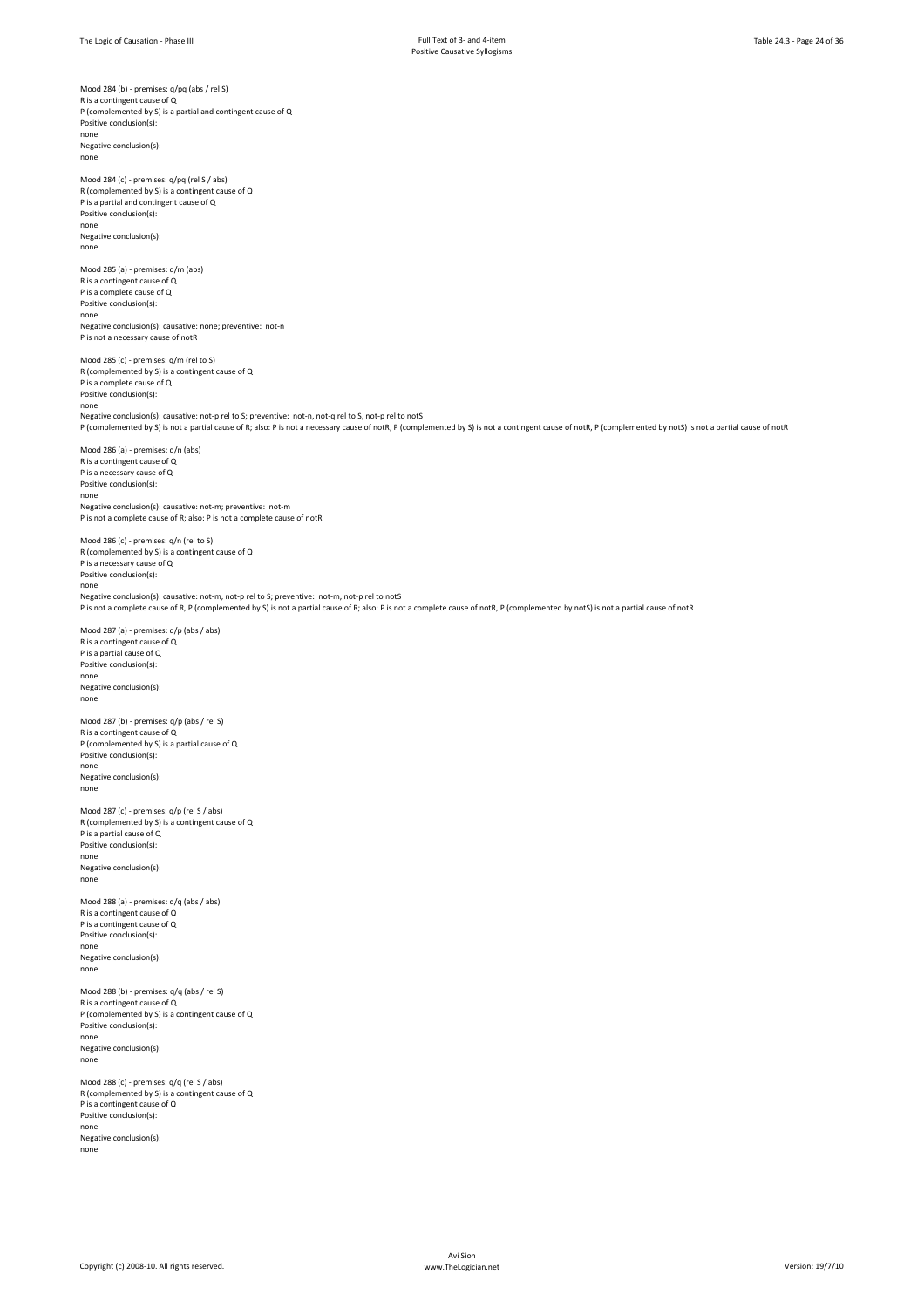Positive Causative Syllogisms

Mood 284 (b) - premises: q/pq (abs / rel S) R is a contingent cause of Q P (complemented by S) is a partial and contingent cause of Q Positive conclusion(s): none Negative conclusion(s): none Mood 284 (c) - premises: q/pq (rel S / abs) R (complemented by S) is a contingent cause of Q P is a partial and contingent cause of Q Positive conclusion(s): none Negative conclusion(s): none Mood 285 (a) - premises: q/m (abs) R is a contingent cause of Q P is a complete cause of Q Positive conclusion(s): none Negative conclusion(s): causative: none; preventive: not-n P is not a necessary cause of notR Mood 285 (c) - premises: q/m (rel to S) R (complemented by S) is a contingent cause of Q P is a complete cause of Q Positive conclusion(s): none Negative conclusion(s): causative: not-p rel to S; preventive: not-n, not-q rel to S, not-p rel to notS P (complemented by S) is not a partial cause of R; also: P is not a necessary cause of notR, P (complemented by S) is not a contingent cause of notR, P (complemented by notS) is not a partial cause of notR Mood 286 (a) - premises: q/n (abs) R is a contingent cause of Q P is a necessary cause of Q Positive conclusion(s): none Negative conclusion(s): causative: not-m; preventive: not-m P is not a complete cause of R; also: P is not a complete cause of notR Mood 286 (c) - premises: q/n (rel to S) R (complemented by S) is a contingent cause of Q P is a necessary cause of Q Positive conclusion(s): none Negative conclusion(s): causative: not-m, not-p rel to S; preventive: not-m, not-p rel to notS P is not a complete cause of R, P (complemented by S) is not a partial cause of R; also: P is not a complete cause of notR, P (complemented by notS) is not a partial cause of notR Mood 287 (a) - premises: q/p (abs / abs) R is a contingent cause of Q P is a partial cause of Q Positive conclusion(s): none Negative conclusion(s): none Mood 287 (b) - premises: q/p (abs / rel S) R is a contingent cause of Q P (complemented by S) is a partial cause of Q Positive conclusion(s): none Negative conclusion(s): none Mood 287 (c) - premises: q/p (rel S / abs) R (complemented by S) is a contingent cause of Q P is a partial cause of Q Positive conclusion(s): none Negative conclusion(s): none Mood 288 (a) - premises: q/q (abs / abs) R is a contingent cause of Q P is a contingent cause of Q Positive conclusion(s): none Negative conclusion(s): none Mood 288 (b) - premises: q/q (abs / rel S) R is a contingent cause of Q P (complemented by S) is a contingent cause of Q Positive conclusion(s): none Negative conclusion(s): none Mood 288 (c) - premises: q/q (rel S / abs) R (complemented by S) is a contingent cause of Q P is a contingent cause of Q Positive conclusion(s): none Negative conclusion(s): none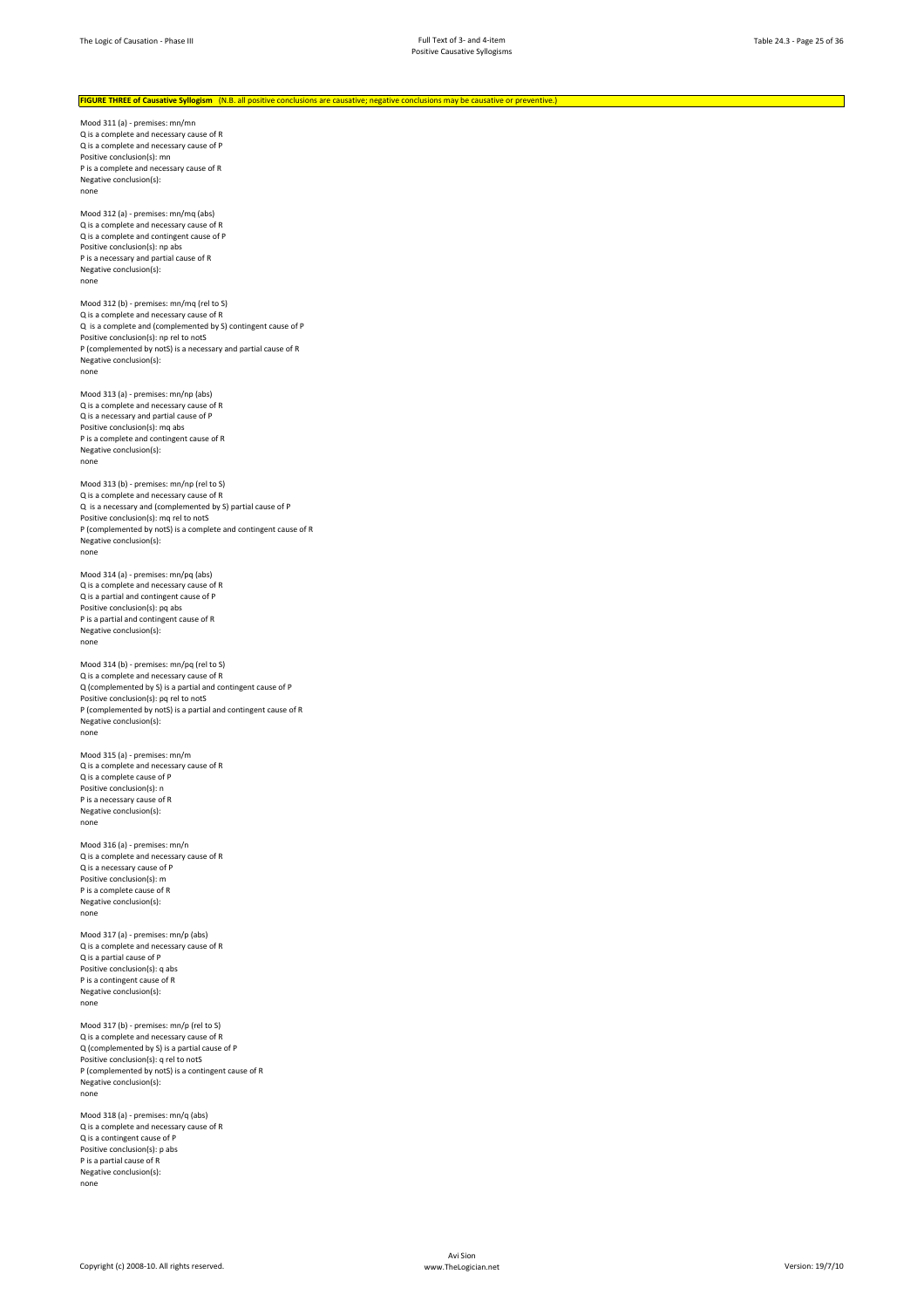## FIGURE THREE of Causative Syllogism (N.B. all positive conclusions are causative; negative conclusions may be causative or preventive.)

Mood 311 (a) - premises: mn/mn Q is a complete and necessary cause of R Q is a complete and necessary cause of P Positive conclusion(s): mn P is a complete and necessary cause of R Negative conclusion(s): none

Mood 312 (a) - premises: mn/mq (abs) Q is a complete and necessary cause of R Q is a complete and contingent cause of P Positive conclusion(s): np abs P is a necessary and partial cause of R Negative conclusion(s): none

Mood 312 (b) - premises: mn/mq (rel to S) Q is a complete and necessary cause of R Q is a complete and (complemented by S) contingent cause of P Positive conclusion(s): np rel to notS P (complemented by notS) is a necessary and partial cause of R Negative conclusion(s): none

Mood 313 (a) - premises: mn/np (abs) Q is a complete and necessary cause of R Q is a necessary and partial cause of P Positive conclusion(s): mq abs P is a complete and contingent cause of R Negative conclusion(s): none

Mood 313 (b) - premises: mn/np (rel to S) Q is a complete and necessary cause of R Q is a necessary and (complemented by S) partial cause of P Positive conclusion(s): mq rel to notS P (complemented by notS) is a complete and contingent cause of R Negative conclusion(s): none

Mood 314 (a) - premises: mn/pq (abs) Q is a complete and necessary cause of R Q is a partial and contingent cause of P Positive conclusion(s): pq abs P is a partial and contingent cause of R Negative conclusion(s): none

Mood 314 (b) - premises: mn/pq (rel to S) Q is a complete and necessary cause of R Q (complemented by S) is a partial and contingent cause of P Positive conclusion(s): pq rel to notS P (complemented by notS) is a partial and contingent cause of R Negative conclusion(s): none

Mood 315 (a) - premises: mn/m Q is a complete and necessary cause of R Q is a complete cause of P Positive conclusion(s): n P is a necessary cause of R Negative conclusion(s): none

Mood 316 (a) - premises: mn/n Q is a complete and necessary cause of R Q is a necessary cause of P Positive conclusion(s): m P is a complete cause of R Negative conclusion(s): none

Mood 317 (a) - premises: mn/p (abs) Q is a complete and necessary cause of R Q is a partial cause of P Positive conclusion(s): q abs P is a contingent cause of R Negative conclusion(s): none

Mood 317 (b) - premises: mn/p (rel to S) Q is a complete and necessary cause of R Q (complemented by S) is a partial cause of P Positive conclusion(s): q rel to notS P (complemented by notS) is a contingent cause of R Negative conclusion(s): none

Mood 318 (a) - premises: mn/q (abs) Q is a complete and necessary cause of R Q is a contingent cause of P Positive conclusion(s): p abs P is a partial cause of R Negative conclusion(s): none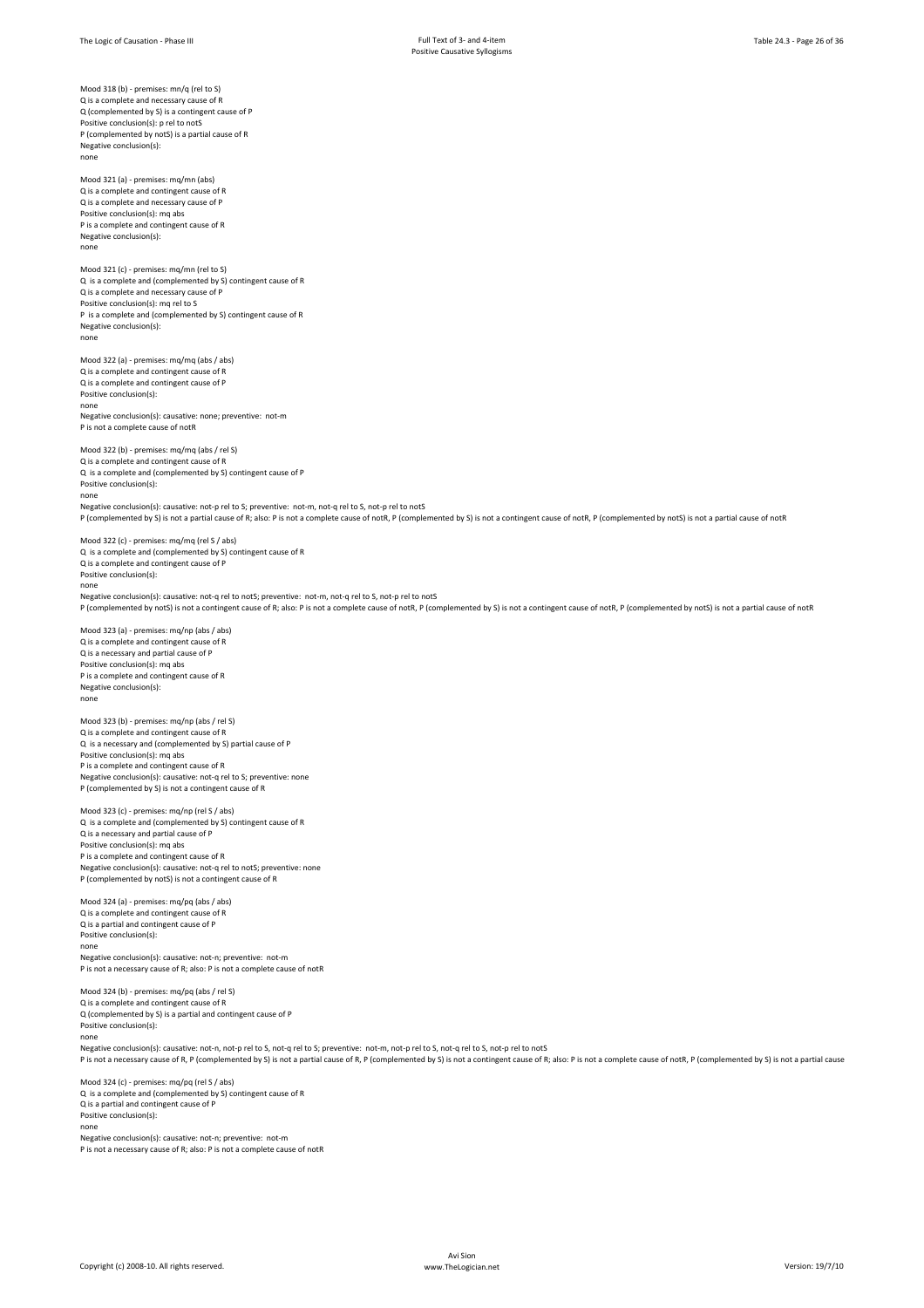Mood 318 (b) - premises: mn/a (rel to S) Q is a complete and necessary cause of R Q (complemented by S) is a contingent cause of P Positive conclusion(s): p rel to notS P (complemented by notS) is a partial cause of R Negative conclusion(s): none

Mood 321 (a) - premises: mq/mn (abs) Q is a complete and contingent cause of R Q is a complete and necessary cause of P Positive conclusion(s): mq abs P is a complete and contingent cause of R Negative conclusion(s): none

Mood 321 (c) - premises: mq/mn (rel to S) Q is a complete and (complemented by S) contingent cause of R Q is a complete and necessary cause of P Positive conclusion(s): ma rel to S P is a complete and (complemented by S) contingent cause of R Negative conclusion(s): none

Mood 322 (a) - premises: mq/mq (abs / abs) Q is a complete and contingent cause of R Q is a complete and contingent cause of P Positive conclusion(s): none<sup>n</sup> Negative conclusion(s): causative: none; preventive: not-m P is not a complete cause of notR

Mood 322 (b) - premises: mq/mq (abs / rel S) Q is a complete and contingent cause of R Q is a complete and (complemented by S) contingent cause of P Positive conclusion(s): none Negative conclusion(s): causative: not-p rel to S; preventive: not-m, not-q rel to S, not-p rel to notS P (complemented by S) is not a partial cause of R; also: P is not a complete cause of notR, P (complemented by S) is not a contingent cause of notR, P (complemented by notS) is not a partial cause of notR

Mood 322 (c) - premises: mq/mq (rel S / abs) Q is a complete and (complemented by S) contingent cause of R Q is a complete and contingent cause of P Positive conclusion(s): none

Negative conclusion(s): causative: not-q rel to notS; preventive: not-m, not-q rel to S, not-p rel to notS P (complemented by notS) is not a contingent cause of R; also: P is not a complete cause of notR, P (complemented by S) is not a contingent cause of notR, P (complemented by notS) is not a partial cause of notR

Mood 323 (a) - premises: mq/np (abs / abs) Q is a complete and contingent cause of R Q is a necessary and partial cause of P Positive conclusion(s): mg abs P is a complete and contingent cause of R Negative conclusion(s): none

Mood 323 (b) - premises: mq/np (abs / rel S) Q is a complete and contingent cause of R Q is a necessary and (complemented by S) partial cause of P Positive conclusion(s): mq abs P is a complete and contingent cause of R Negative conclusion(s): causative: not-q rel to S; preventive: none P (complemented by S) is not a contingent cause of R

Mood 323 (c) - premises: mq/np (rel S / abs) Q is a complete and (complemented by S) contingent cause of R Q is a necessary and partial cause of P Positive conclusion(s): mq abs P is a complete and contingent cause of R Negative conclusion(s): causative: not-q rel to notS; preventive: none P (complemented by notS) is not a contingent cause of R

Mood 324 (a) - premises: mq/pq (abs / abs) Q is a complete and contingent cause of R Q is a partial and contingent cause of P Positive conclusion(s): none Negative conclusion(s): causative: not-n; preventive: not-m P is not a necessary cause of R; also: P is not a complete cause of notR

Mood 324 (b) - premises: mq/pq (abs / rel S) Q is a complete and contingent cause of R Q (complemented by S) is a partial and contingent cause of P Positive conclusion(s):

none Negative conclusion(s): causative: not-n, not-p rel to S, not-q rel to S; preventive: not-m, not-p rel to S, not-q rel to S, not-p rel to notS P is not a necessary cause of R, P (complemented by S) is not a partial cause of R, P (complemented by S) is not a contingent cause of R; also: P is not a complete cause of notR, P (complemented by S) is not a partial caus

Mood 324 (c) - premises: mq/pq (rel S / abs) Q is a complete and (complemented by S) contingent cause of R Q is a partial and contingent cause of P Positive conclusion(s): none Negative conclusion(s): causative: not-n; preventive: not-m

P is not a necessary cause of R; also: P is not a complete cause of notR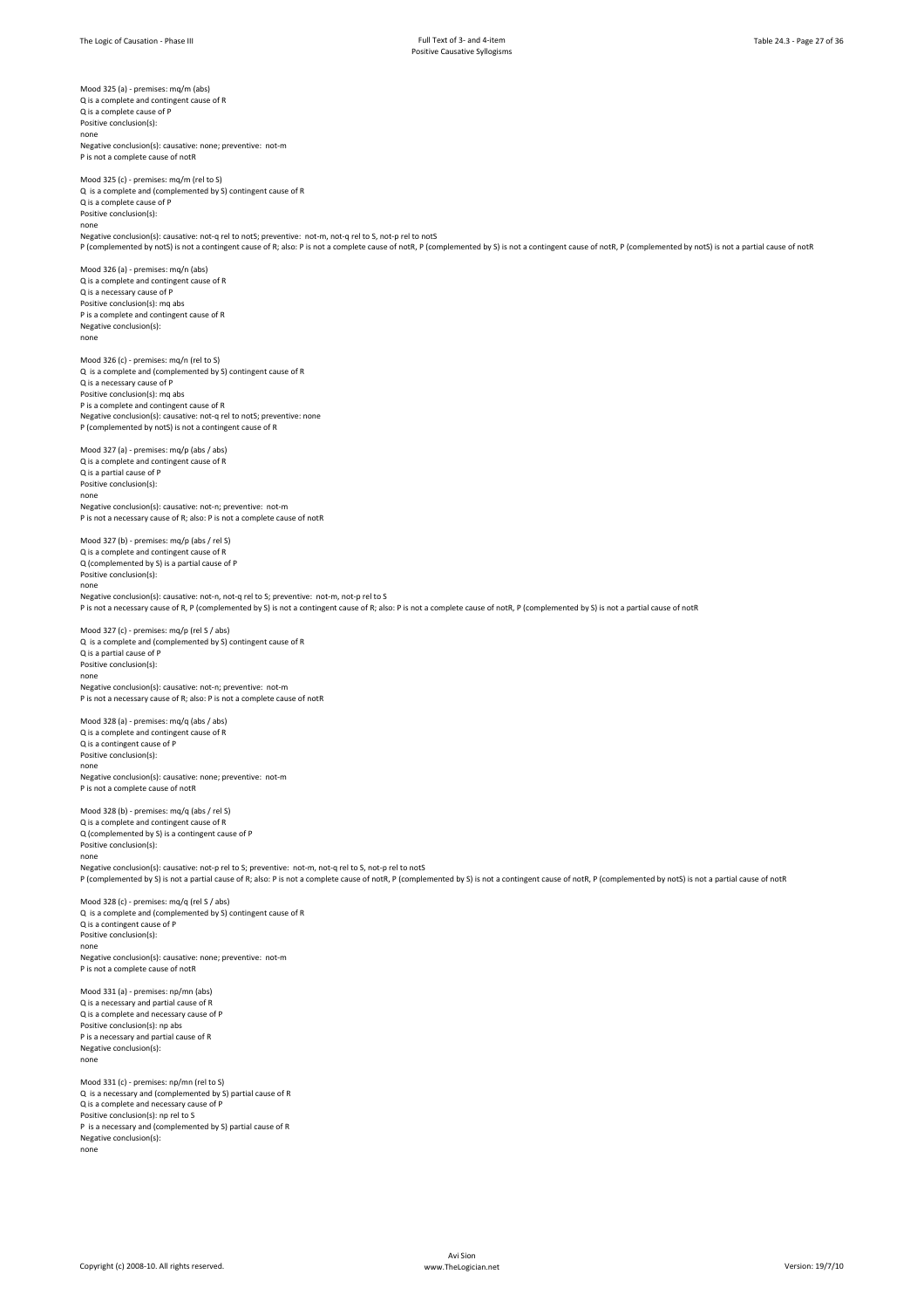Positive Causative Syllogisms

Mood 325 (a) - premises: mq/m (abs) Q is a complete and contingent cause of R Q is a complete cause of P Positive conclusion(s): none Negative conclusion(s): causative: none; preventive: not-m P is not a complete cause of notR Mood 325 (c) - premises: mq/m (rel to S) Q is a complete and (complemented by S) contingent cause of R Q is a complete cause of P Positive conclusion(s): none Negative conclusion(s): causative: not-q rel to notS; preventive: not-m, not-q rel to S, not-p rel to notS P (complemented by notS) is not a contingent cause of R; also: P is not a complete cause of notR, P (complemented by S) is not a contingent cause of notR, P (complemented by notS) is not a partial cause of notR Mood 326 (a) - premises: mq/n (abs) Q is a complete and contingent cause of R Q is a necessary cause of P Positive conclusion(s): mg abs P is a complete and contingent cause of R Negative conclusion(s): none Mood 326 (c) - premises: mq/n (rel to S) Q is a complete and (complemented by S) contingent cause of R Q is a necessary cause of P Positive conclusion(s): mg abs P is a complete and contingent cause of R Negative conclusion(s): causative: not-q rel to notS; preventive: none P (complemented by notS) is not a contingent cause of R Mood 327 (a) - premises: mq/p (abs / abs) Q is a complete and contingent cause of R Q is a partial cause of P Positive conclusion(s): none Negative conclusion(s): causative: not-n; preventive: not-m P is not a necessary cause of R; also: P is not a complete cause of notR Mood 327 (b) - premises: mq/p (abs / rel S) Q is a complete and contingent cause of R Q (complemented by S) is a partial cause of P Positive conclusion(s): none Negative conclusion(s): causative: not-n, not-q rel to S; preventive: not-m, not-p rel to S P is not a necessary cause of R, P (complemented by S) is not a contingent cause of R; also: P is not a complete cause of notR, P (complemented by S) is not a partial cause of notR Mood 327 (c) - premises: mq/p (rel S / abs) Q is a complete and (complemented by S) contingent cause of R Q is a partial cause of P Positive conclusion(s): none Negative conclusion(s): causative: not-n; preventive: not-m P is not a necessary cause of R; also: P is not a complete cause of notR Mood 328 (a) - premises: mq/q (abs / abs) Q is a complete and contingent cause of R Q is a contingent cause of P Positive conclusion(s): none Negative conclusion(s): causative: none; preventive: not-m P is not a complete cause of notR Mood 328 (b) - premises: mq/q (abs / rel S) Q is a complete and contingent cause of R Q (complemented by S) is a contingent cause of P Positive conclusion(s): none Negative conclusion(s): causative: not-p rel to S; preventive: not-m, not-q rel to S, not-p rel to notS P (complemented by S) is not a partial cause of R; also: P is not a complete cause of notR, P (complemented by S) is not a contingent cause of notR, P (complemented by notS) is not a partial cause of notR Mood 328 (c) - premises: mq/q (rel S / abs) Q is a complete and (complemented by S) contingent cause of R Q is a contingent cause of P Positive conclusion(s): none Negative conclusion(s): causative: none; preventive: not-m P is not a complete cause of notR Mood 331 (a) - premises: np/mn (abs) Q is a necessary and partial cause of R Q is a complete and necessary cause of P Positive conclusion(s): np abs P is a necessary and partial cause of R Negative conclusion(s): none Mood 331 (c) - premises: np/mn (rel to S) Q is a necessary and (complemented by S) partial cause of R Q is a complete and necessary cause of P Positive conclusion(s): np rel to S P is a necessary and (complemented by S) partial cause of R Negative conclusion(s):

none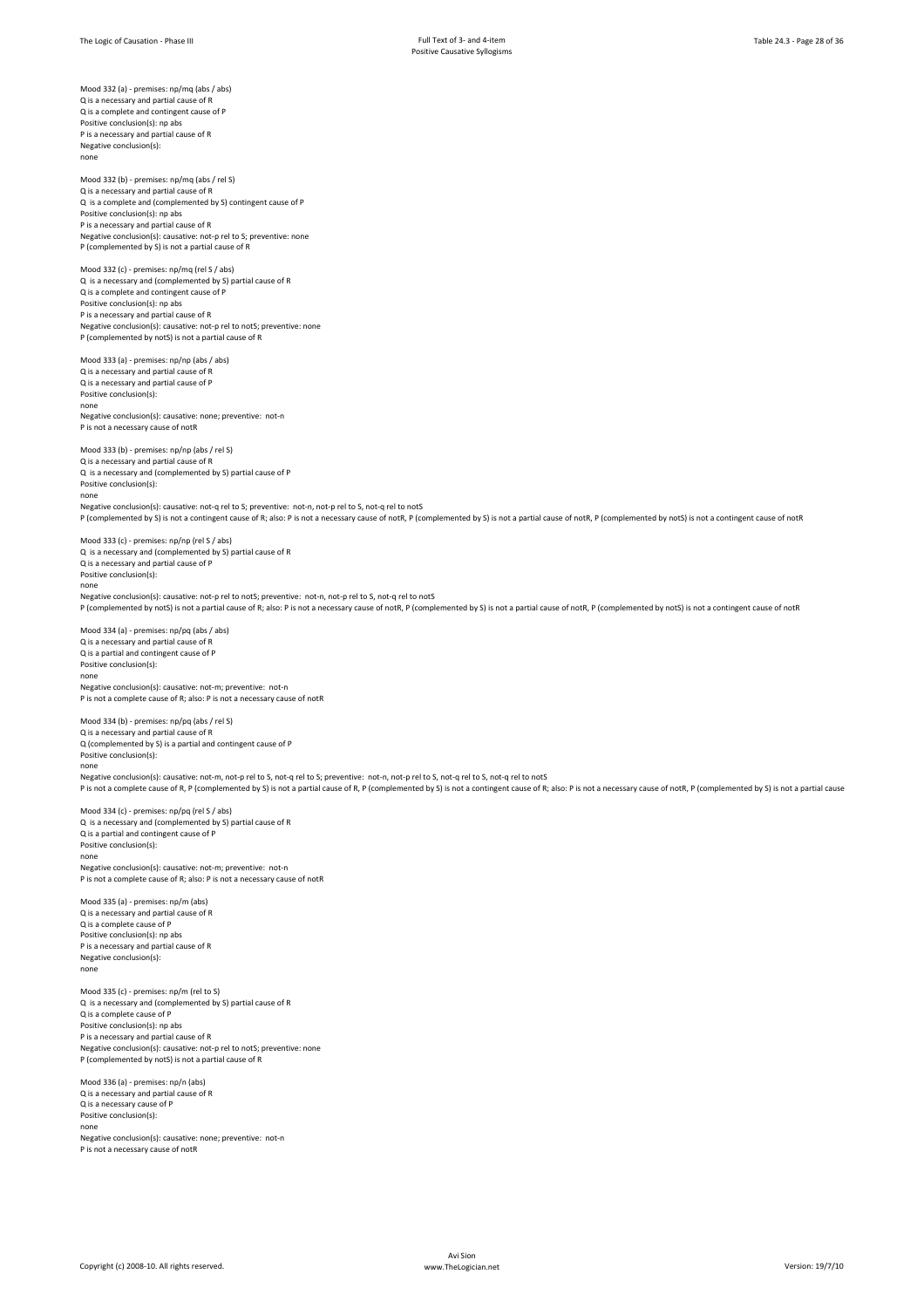Mood 332 (a) - premises: np/mg (abs / abs) Q is a necessary and partial cause of R Q is a complete and contingent cause of P Positive conclusion(s): np abs P is a necessary and partial cause of R Negative conclusion(s): none

Mood 332 (b) - premises: np/mq (abs / rel S) Q is a necessary and partial cause of R Q is a complete and (complemented by S) contingent cause of P Positive conclusion(s): np abs P is a necessary and partial cause of R Negative conclusion(s): causative: not-p rel to S; preventive: none P (complemented by S) is not a partial cause of R

Mood 332 (c) - premises: np/mq (rel S / abs) Q is a necessary and (complemented by S) partial cause of R Q is a complete and contingent cause of P Positive conclusion(s): np abs P is a necessary and partial cause of R Negative conclusion(s): causative: not-p rel to notS; preventive: none P (complemented by notS) is not a partial cause of R

Mood 333 (a) - premises: np/np (abs / abs) Q is a necessary and partial cause of R Q is a necessary and partial cause of P Positive conclusion(s): none Negative conclusion(s): causative: none; preventive: not-n

P is not a necessary cause of notR

Mood 333 (b) - premises: np/np (abs / rel S) Q is a necessary and partial cause of R Q is a necessary and (complemented by S) partial cause of P Positive conclusion(s): none Negative conclusion(s): causative: not-q rel to S; preventive: not-n, not-p rel to S, not-q rel to notS

P (complemented by S) is not a contingent cause of R; also: P is not a necessary cause of notR, P (complemented by S) is not a partial cause of notR, P (complemented by notS) is not a contingent cause of notR

Mood 333 (c) - premises: np/np (rel S / abs) Q is a necessary and (complemented by S) partial cause of R Q is a necessary and partial cause of P Positive conclusion(s): none

Negative conclusion(s): causative: not-p rel to notS; preventive: not-n, not-p rel to S, not-q rel to notS P (complemented by notS) is not a partial cause of R; also: P is not a necessary cause of notR, P (complemented by S) is not a partial cause of notR, P (complemented by notS) is not a contingent cause of notR

Mood 334 (a) - premises: np/pq (abs / abs) Q is a necessary and partial cause of R Q is a partial and contingent cause of P Positive conclusion(s): none

Negative conclusion(s): causative: not-m; preventive: not-n P is not a complete cause of R; also: P is not a necessary cause of notP

Mood 334 (b) - premises: np/pq (abs / rel S) Q is a necessary and partial cause of R Q (complemented by S) is a partial and contingent cause of P Positive conclusion(s): none Negative conclusion(s): causative: not-m, not-p rel to S, not-q rel to S; preventive: not-n, not-p rel to S, not-q rel to S, not-q rel to notS P is not a complete cause of R, P (complemented by S) is not a partial cause of R, P (complemented by S) is not a contingent cause of R; also: P is not a necessary cause of notR, P (complemented by S) is not a partial caus

Mood 334 (c) - premises: np/pq (rel S / abs) Q is a necessary and (complemented by S) partial cause of R Q is a partial and contingent cause of P Positive conclusion(s): none Negative conclusion(s): causative: not-m; preventive: not-n

P is not a complete cause of R; also: P is not a necessary cause of notR

Mood 335 (a) - premises: np/m (abs) Q is a necessary and partial cause of R Q is a complete cause of P Positive conclusion(s): np abs P is a necessary and partial cause of R Negative conclusion(s): none

Mood 335 (c) - premises: np/m (rel to S) Q is a necessary and (complemented by S) partial cause of R Q is a complete cause of P Positive conclusion(s): np abs P is a necessary and partial cause of R Negative conclusion(s): causative: not-p rel to notS; preventive: none P (complemented by notS) is not a partial cause of R

Mood 336 (a) - premises: np/n (abs) Q is a necessary and partial cause of R Q is a necessary cause of P Positive conclusion(s): none Negative conclusion(s): causative: none; preventive: not-n P is not a necessary cause of notR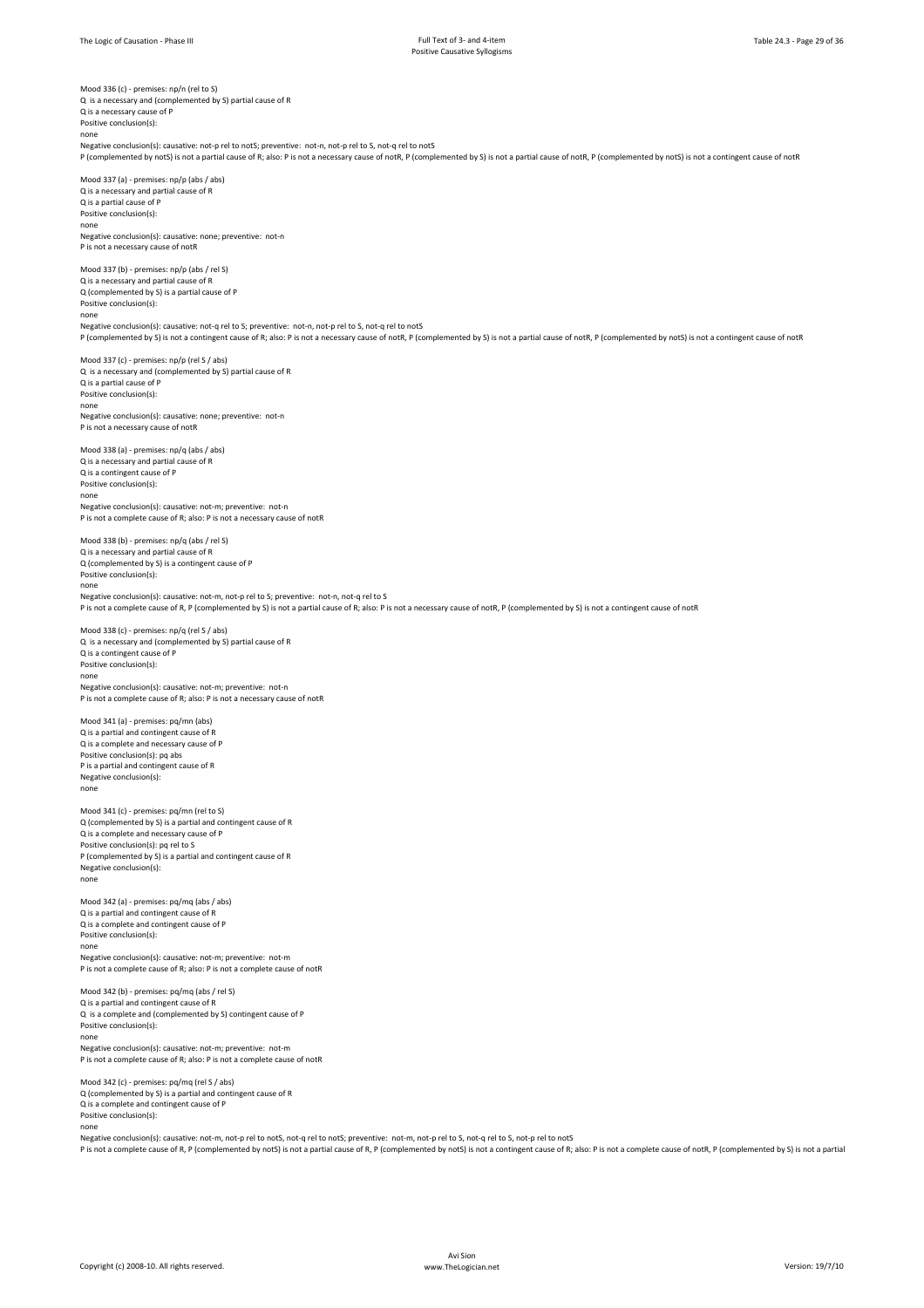Mood 336 (c) - premises: np/n (rel to S)

Q is a necessary and (complemented by S) partial cause of R Q is a necessary cause of P Positive conclusion(s): none Negative conclusion(s): causative: not-p rel to notS; preventive: not-n, not-p rel to S, not-q rel to notS P (complemented by notS) is not a partial cause of R; also: P is not a necessary cause of notR, P (complemented by S) is not a partial cause of notR, P (complemented by notS) is not a contingent cause of notR Mood 337 (a) - premises: np/p (abs / abs) Q is a necessary and partial cause of R Q is a partial cause of P Positive conclusion(s): none Negative conclusion(s): causative: none; preventive: not-n P is not a necessary cause of notR Mood 337 (b) - premises: np/p (abs / rel S) Q is a necessary and partial cause of R Q (complemented by S) is a partial cause of P Positive conclusion(s): none Negative conclusion(s): causative: not-q rel to S; preventive: not-n, not-p rel to S, not-q rel to notS P (complemented by S) is not a contingent cause of R; also: P is not a necessary cause of notR, P (complemented by S) is not a partial cause of notR, P (complemented by notS) is not a contingent cause of notR Mood 337 (c) - premises: np/p (rel S / abs) Q is a necessary and (complemented by S) partial cause of R Q is a partial cause of P Positive conclusion(s): none Negative conclusion(s): causative: none; preventive: not-n P is not a necessary cause of notR Mood 338 (a) - premises: np/q (abs / abs) Q is a necessary and partial cause of R Q is a contingent cause of P Positive conclusion(s): none Negative conclusion(s): causative: not-m; preventive: not-n P is not a complete cause of R; also: P is not a necessary cause of notR Mood 338 (b) - premises: np/q (abs / rel S) Q is a necessary and partial cause of R Q (complemented by S) is a contingent cause of P Positive conclusion(s): none Negative conclusion(s): causative: not-m, not-p rel to S; preventive: not-n, not-q rel to S P is not a complete cause of R, P (complemented by S) is not a partial cause of R; also: P is not a necessary cause of notR, P (complemented by S) is not a contingent cause of notR Mood 338 (c) - premises: np/q (rel S / abs) Q is a necessary and (complemented by S) partial cause of R Q is a contingent cause of P Positive conclusion(s): none Negative conclusion(s): causative: not-m; preventive: not-n P is not a complete cause of R; also: P is not a necessary cause of notR Mood 341 (a) - premises: pq/mn (abs) Q is a partial and contingent cause of R Q is a complete and necessary cause of P Positive conclusion(s): pq abs P is a partial and contingent cause of R Negative conclusion(s): none Mood 341 (c) - premises: pq/mn (rel to S) Q (complemented by S) is a partial and contingent cause of R Q is a complete and necessary cause of P Positive conclusion(s): pq rel to S P (complemented by S) is a partial and contingent cause of R Negative conclusion(s): none Mood 342 (a) - premises: pq/mq (abs / abs) Q is a partial and contingent cause of R Q is a complete and contingent cause of P Positive conclusion(s): none Negative conclusion(s): causative: not-m; preventive: not-m P is not a complete cause of R; also: P is not a complete cause of notR Mood 342 (b) - premises: pq/mq (abs / rel S) Q is a partial and contingent cause of R Q is a complete and (complemented by S) contingent cause of P Positive conclusion(s): none Negative conclusion(s): causative: not-m; preventive: not-m P is not a complete cause of R; also: P is not a complete cause of notR Mood 342 (c) - premises: pq/mq (rel S / abs) Q (complemented by S) is a partial and contingent cause of R Q is a complete and contingent cause of P Positive conclusion(s): none Negative conclusion(s): causative: not-m, not-p rel to notS, not-q rel to notS; preventive: not-m, not-p rel to S, not-q rel to S, not-p rel to notS

P is not a complete cause of R. P (complemented by notS) is not a partial cause of R. P (complemented by notS) is not a contingent cause of R: also: P is not a complete cause of notR. P (complemented by Not a partial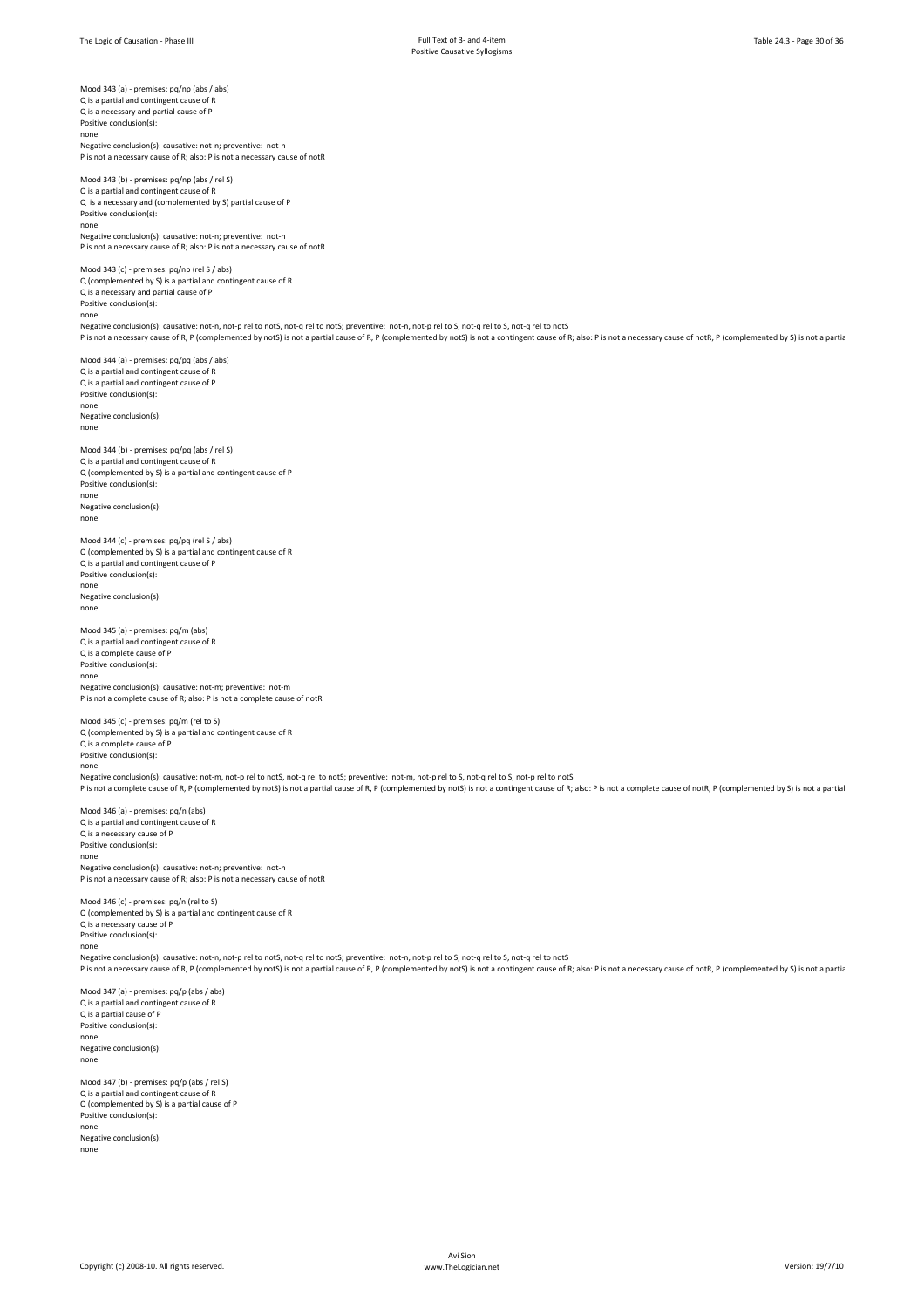Mood 343 (a) - premises: pq/np (abs / abs) Q is a partial and contingent cause of R Q is a necessary and partial cause of P Positive conclusion(s): none

Negative conclusion(s): causative: not-n; preventive: not-n P is not a necessary cause of R; also: P is not a necessary cause of notR

Mood 343 (b) - premises: pq/np (abs / rel S) Q is a partial and contingent cause of R Q is a necessary and (complemented by S) partial cause of P Positive conclusion(s): none Negative conclusion(s): causative: not-n; preventive: not-n P is not a necessary cause of R; also: P is not a necessary cause of notR

Mood 343 (c) - premises: pq/np (rel S / abs) Q (complemented by S) is a partial and contingent cause of R Q is a necessary and partial cause of P Positive conclusion(s): none

Negative conclusion(s): causative: not-n, not-p rel to notS, not-q rel to notS; preventive: not-n, not-p rel to S, not-q rel to S, not-q rel to S, not-q rel to S, not-q rel to S, not-q rel to notS<br>P is not a necessary caus

Mood 344 (a) - premises: pq/pq (abs / abs) Q is a partial and contingent cause of R Q is a partial and contingent cause of P Positive conclusion(s): none Negative conclusion(s): none

Mood 344 (b) - premises: pq/pq (abs / rel S) Q is a partial and contingent cause of R Q (complemented by S) is a partial and contingent cause of P Positive conclusion(s): none Negative conclusion(s): none

Mood 344 (c) - premises: pq/pq (rel S / abs) Q (complemented by S) is a partial and contingent cause of R Q is a partial and contingent cause of P Positive conclusion(s): none Negative conclusion(s): none

Mood 345 (a) - premises: pq/m (abs) Q is a partial and contingent cause of R Q is a complete cause of P Positive conclusion(s): none Negative conclusion(s): causative: not-m; preventive: not-m P is not a complete cause of R; also: P is not a complete cause of notR

Mood 345 (c) - premises: pq/m (rel to S) Q (complemented by S) is a partial and contingent cause of R Q is a complete cause of P Positive conclusion(s): none

Negative conclusion(s): causative: not-m, not-p rel to notS, not-q rel to notS; preventive: not-m, not-p rel to S, not-q rel to S, not-p rel to notS P is not a complete cause of R, P (complemented by notS) is not a partial cause of R, P (complemented by notS) is not a contingent cause of R; also: P is not a complete cause of notR, P (complemented by S) is not a partial

Mood 346 (a) - premises: pq/n (abs) Q is a partial and contingent cause of R Q is a necessary cause of P Positive conclusion(s): none Negative conclusion(s): causative: not-n; preventive: not-n P is not a necessary cause of R; also: P is not a necessary cause of notR

Mood 346 (c) - premises: pq/n (rel to S) Q (complemented by S) is a partial and contingent cause of R Q is a necessary cause of P Positive conclusion(s): none

Negative conclusion(s): causative: not-n, not-p rel to notS, not-q rel to notS; preventive: not-n, not-p rel to S, not-q rel to S, not-q rel to notS P is not a necessary cause of R, P (complemented by notS) is not a partial cause of R, P (complemented by notS) is not a contingent cause of R; also: P is not a necessary cause of notR, P (complemented by S) is not a parti

Mood 347 (a) - premises: pq/p (abs / abs) Q is a partial and contingent cause of R Q is a partial cause of P Positive conclusion(s): none Negative conclusion(s): none

Mood 347 (b) - premises: pq/p (abs / rel S) Q is a partial and contingent cause of R Q (complemented by S) is a partial cause of P Positive conclusion(s): none Negative conclusion(s):

none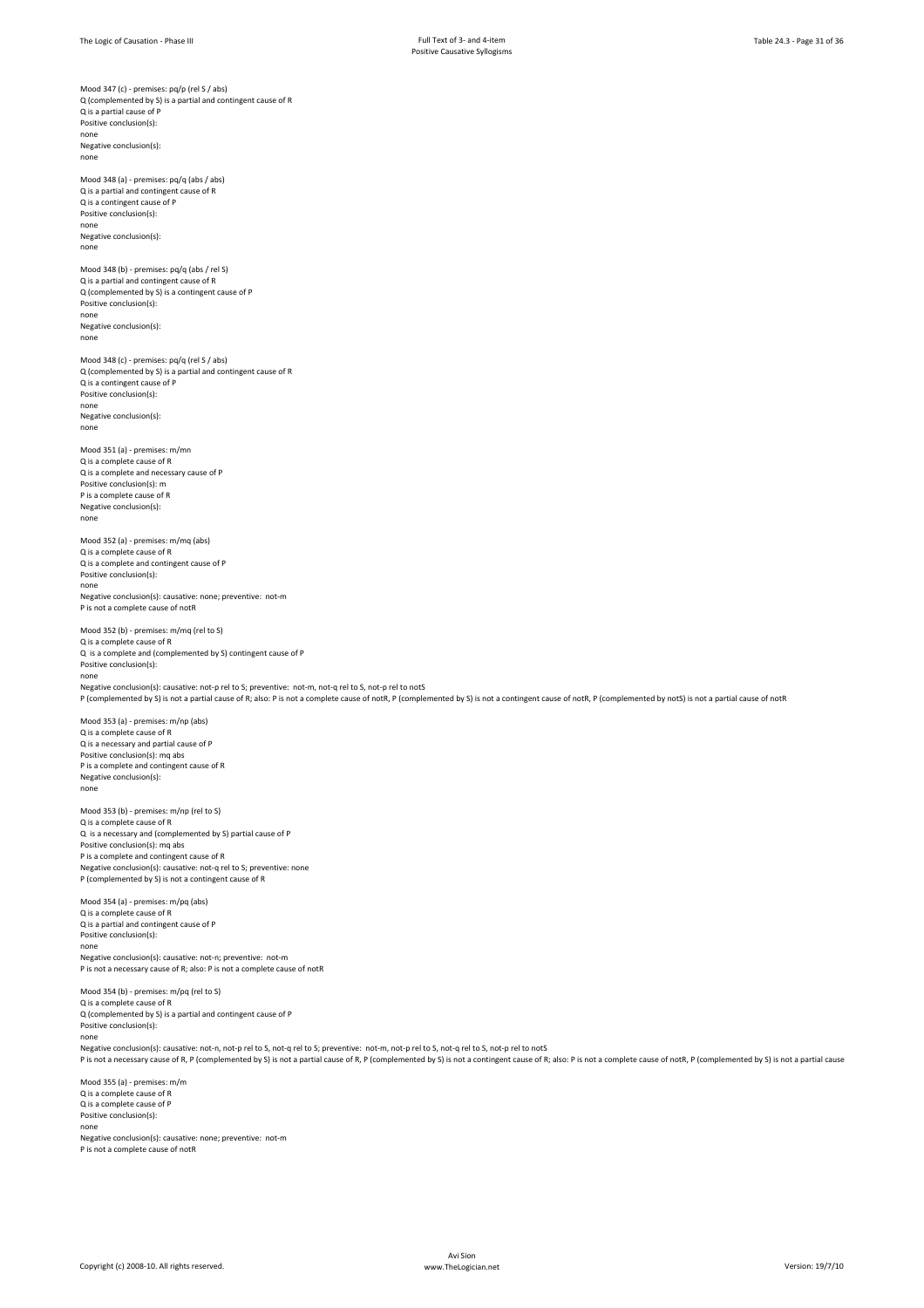Mood 347 (c) - premises: pq/p (rel S / abs) Q (complemented by S) is a partial and contingent cause of R Q is a partial cause of P Positive conclusion(s): none Negative conclusion(s): none Mood 348 (a) - premises: pq/q (abs / abs) Q is a partial and contingent cause of R Q is a contingent cause of P Positive conclusion(s): none Negative conclusion(s): none Mood 348 (b) - premises: pq/q (abs / rel S) Q is a partial and contingent cause of R Q (complemented by S) is a contingent cause of P Positive conclusion(s): none Negative conclusion(s): none Mood 348 (c) - premises: pq/q (rel S / abs) Q (complemented by S) is a partial and contingent cause of R Q is a contingent cause of P Positive conclusion(s): none Negative conclusion(s): none Mood 351 (a) - premises: m/mn Q is a complete cause of R Q is a complete and necessary cause of P Positive conclusion(s): m P is a complete cause of R Negative conclusion(s): none Mood 352 (a) - premises: m/mq (abs) Q is a complete cause of R Q is a complete and contingent cause of P Positive conclusion(s): none Negative conclusion(s): causative: none; preventive: not-m P is not a complete cause of notR Mood 352 (b) - premises: m/mq (rel to S) Q is a complete cause of R Q is a complete and (complemented by S) contingent cause of P Positive conclusion(s): none Negative conclusion(s): causative: not-p rel to S; preventive: not-m, not-q rel to S, not-p rel to notS P (complemented by S) is not a partial cause of R; also: P is not a complete cause of notR, P (complemented by S) is not a contingent cause of notR, P (complemented by notS) is not a partial cause of notR Mood 353 (a) - premises: m/np (abs) Q is a complete cause of R Q is a necessary and partial cause of P Positive conclusion(s): mq abs P is a complete and contingent cause of R Negative conclusion(s): none Mood 353 (b) - premises: m/np (rel to S) Q is a complete cause of R Q is a necessary and (complemented by S) partial cause of P Positive conclusion(s): mq abs P is a complete and contingent cause of R Negative conclusion(s): causative: not-q rel to S; preventive: none P (complemented by S) is not a contingent cause of R Mood 354 (a) - premises: m/pq (abs) Q is a complete cause of R Q is a partial and contingent cause of P Positive conclusion(s): none Negative conclusion(s): causative: not-n; preventive: not-m P is not a necessary cause of R; also: P is not a complete cause of notR Mood 354 (b) - premises: m/pq (rel to S) Q is a complete cause of R Q (complemented by S) is a partial and contingent cause of P Positive conclusion(s): none Negative conclusion(s): causative: not-n, not-p rel to S, not-q rel to S; preventive: not-m, not-p rel to S, not-q rel to S, not-p rel to notS P is not a necessary cause of R, P (complemented by S) is not a partial cause of R, P (complemented by S) is not a contingent cause of R; also: P is not a complete cause of notR, P (complemented by S) is not a partial caus Mood 355 (a) - premises: m/m Q is a complete cause of R

Q is a complete cause of P Positive conclusion(s): none Negative conclusion(s): causative: none; preventive: not-m P is not a complete cause of notR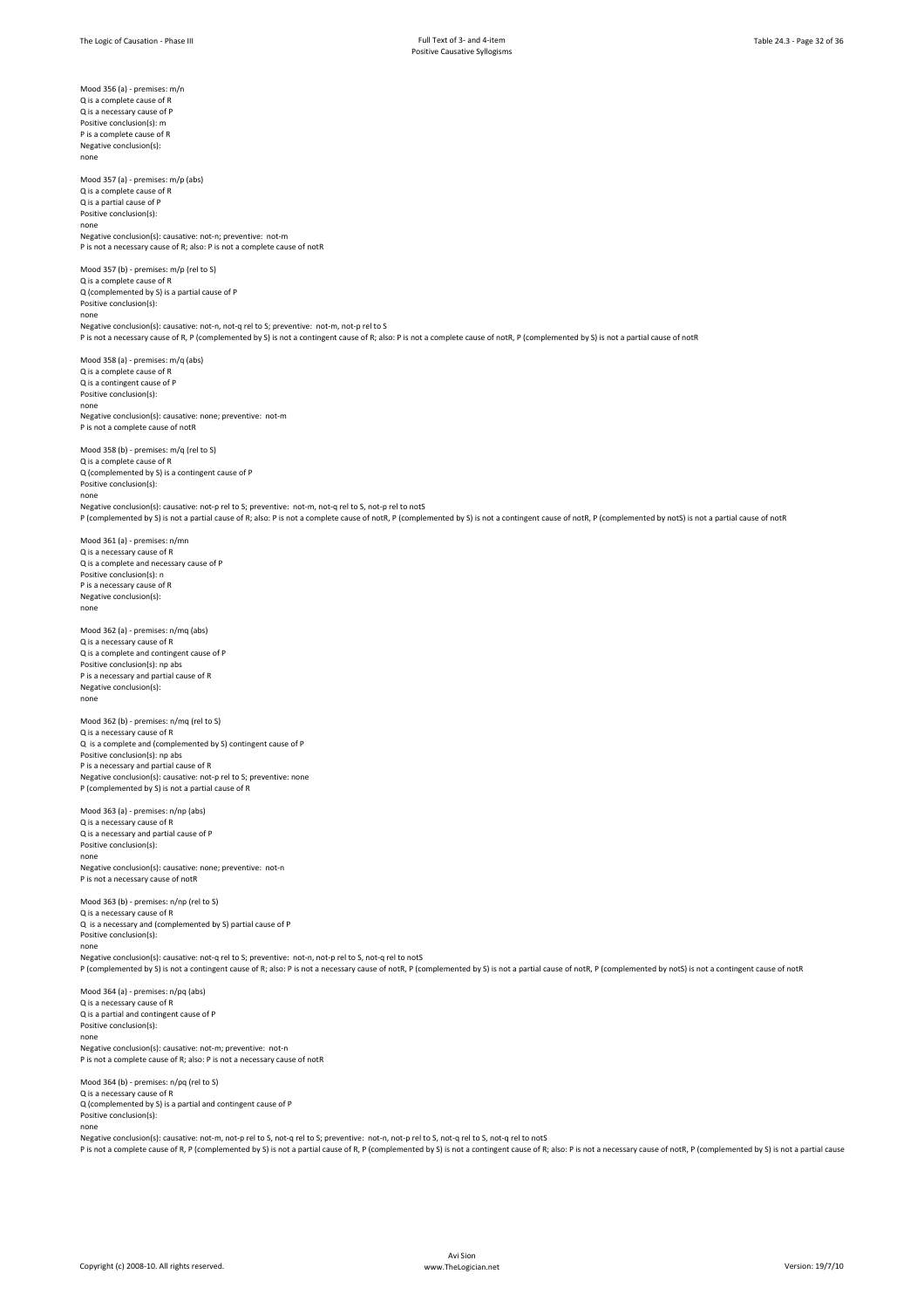Mood 356 (a) - premises: m/n Q is a complete cause of R Q is a necessary cause of P Positive conclusion(s): m P is a complete cause of R Negative conclusion(s): none Mood 357 (a) - premises: m/p (abs) Q is a complete cause of R Q is a partial cause of P Positive conclusion(s): none Negative conclusion(s): causative: not-n; preventive: not-m P is not a necessary cause of R; also: P is not a complete cause of notR Mood 357 (b) - premises: m/p (rel to S) Q is a complete cause of R Q (complemented by S) is a partial cause of P Positive conclusion(s): none Negative conclusion(s): causative: not-n, not-q rel to S; preventive: not-m, not-p rel to S P is not a necessary cause of R, P (complemented by S) is not a contingent cause of R; also: P is not a complete cause of notR, P (complemented by S) is not a partial cause of notR Mood 358 (a) - premises: m/q (abs) Q is a complete cause of R Q is a contingent cause of P Positive conclusion(s): none Negative conclusion(s): causative: none; preventive: not-m P is not a complete cause of notR Mood 358 (b) - premises: m/q (rel to S) Q is a complete cause of R Q (complemented by S) is a contingent cause of P Positive conclusion(s): none Negative conclusion(s): causative: not-p rel to S; preventive: not-m, not-q rel to S, not-p rel to notS P (complemented by S) is not a partial cause of R; also: P is not a complete cause of notR, P (complemented by S) is not a contingent cause of notR, P (complemented by notS) is not a partial cause of notR Mood 361 (a) - premises: n/mn Q is a necessary cause of R Q is a complete and necessary cause of P Positive conclusion(s): n P is a necessary cause of R Negative conclusion(s): none Mood 362 (a) - premises: n/mq (abs) Q is a necessary cause of R Q is a complete and contingent cause of P Positive conclusion(s): np abs P is a necessary and partial cause of R Negative conclusion(s): none Mood 362 (b) - premises: n/mq (rel to S) Q is a necessary cause of R Q is a complete and (complemented by S) contingent cause of P Positive conclusion(s): np abs P is a necessary and partial cause of R Negative conclusion(s): causative: not-p rel to S; preventive: none P (complemented by S) is not a partial cause of R Mood 363 (a) - premises: n/np (abs) Q is a necessary cause of R Q is a necessary and partial cause of P Positive conclusion(s): none Negative conclusion(s): causative: none; preventive: not-n P is not a necessary cause of notR Mood 363 (b) - premises: n/np (rel to S) Q is a necessary cause of R Q is a necessary and (complemented by S) partial cause of P Positive conclusion(s): none Negative conclusion(s): causative: not-q rel to S; preventive: not-n, not-p rel to S, not-q rel to notS P (complemented by S) is not a contingent cause of R; also: P is not a necessary cause of notR, P (complemented by S) is not a partial cause of notR, P (complemented by notS) is not a contingent cause of notR Mood 364 (a) - premises: n/pq (abs) Q is a necessary cause of R Q is a partial and contingent cause of P Positive conclusion(s): none Negative conclusion(s): causative: not-m; preventive: not-n P is not a complete cause of R; also: P is not a necessary cause of notR Mood 364 (b) - premises: n/pq (rel to S) Q is a necessary cause of R Q (complemented by S) is a partial and contingent cause of P Positive conclusion(s): none Negative conclusion(s): causative: not-m, not-p rel to S, not-q rel to S; preventive: not-n, not-p rel to S, not-q rel to S, not-q rel to notS

P is not a complete cause of R, P (complemented by S) is not a partial cause of R, P (complemented by S) is not a contingent cause of R; also: P is not a necessary cause of notR, P (complemented by S) is not a partial caus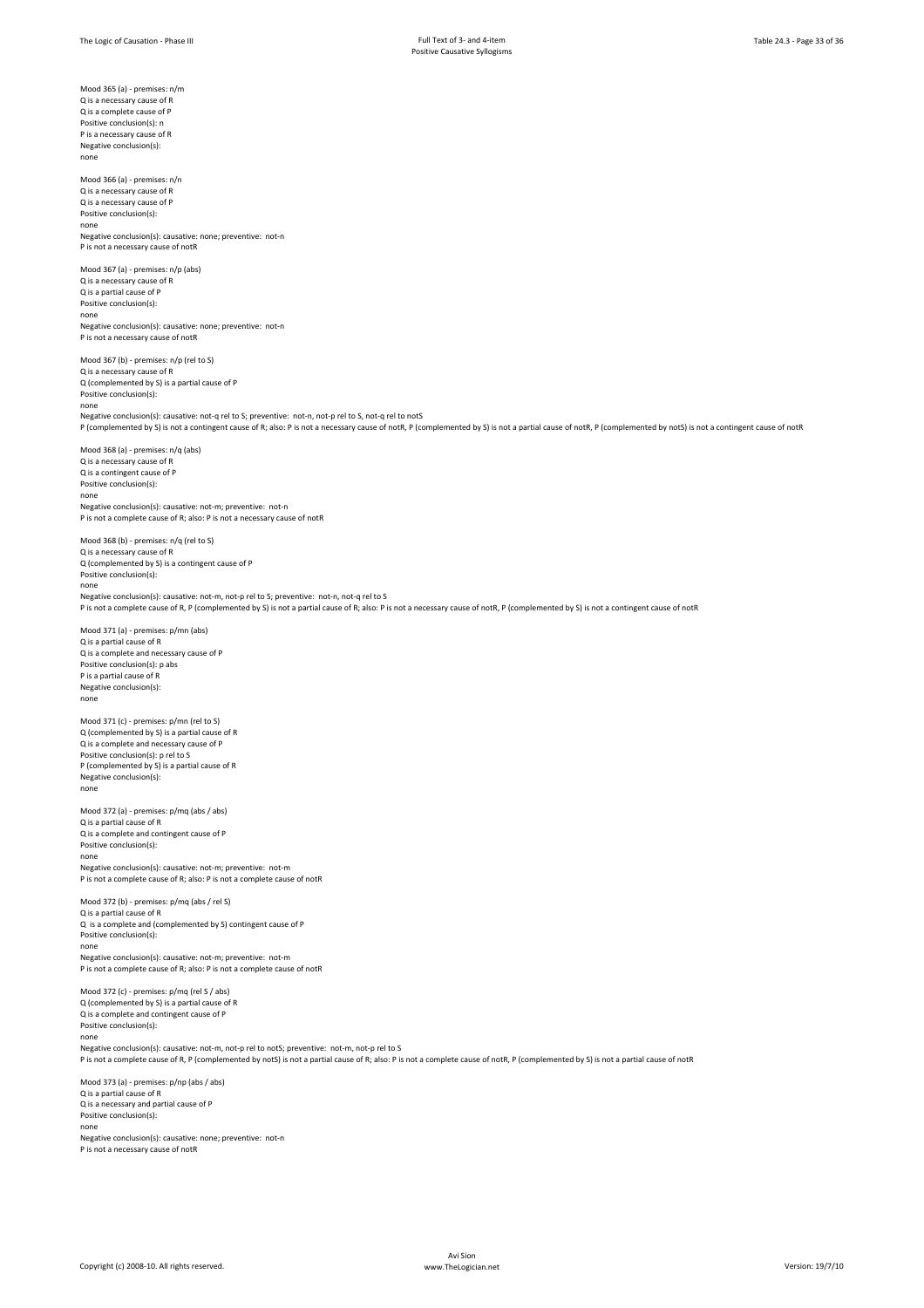Mood 365 (a) - premises: n/m Q is a necessary cause of R Q is a complete cause of P Positive conclusion(s): n P is a necessary cause of R Negative conclusion(s): none Mood 366 (a) - premises: n/n Q is a necessary cause of R Q is a necessary cause of P Positive conclusion(s): none Negative conclusion(s): causative: none; preventive: not-n P is not a necessary cause of notR Mood 367 (a) - premises: n/p (abs) Q is a necessary cause of R Q is a partial cause of P Positive conclusion(s): none Negative conclusion(s): causative: none; preventive: not-n P is not a necessary cause of notR Mood 367 (b) - premises: n/p (rel to S) Q is a necessary cause of R Q (complemented by S) is a partial cause of P Positive conclusion(s): none Negative conclusion(s): causative: not-q rel to S; preventive: not-n, not-p rel to S, not-q rel to notS P (complemented by S) is not a contingent cause of R; also: P is not a necessary cause of notR, P (complemented by S) is not a partial cause of notR, P (complemented by notS) is not a contingent cause of notR Mood 368 (a) - premises: n/q (abs) Q is a necessary cause of R Q is a contingent cause of P Positive conclusion(s): none Negative conclusion(s): causative: not-m; preventive: not-n P is not a complete cause of R; also: P is not a necessary cause of notR Mood 368 (b) - premises: n/q (rel to S) Q is a necessary cause of R Q (complemented by S) is a contingent cause of P Positive conclusion(s): none Negative conclusion(s): causative: not-m, not-p rel to S; preventive: not-n, not-q rel to S P is not a complete cause of R, P (complemented by S) is not a partial cause of R; also: P is not a necessary cause of notR, P (complemented by S) is not a contingent cause of notR Mood 371 (a) - premises: p/mn (abs) Q is a partial cause of R Q is a complete and necessary cause of P Positive conclusion(s): p abs P is a partial cause of R Negative conclusion(s): none Mood 371 (c) - premises: p/mn (rel to S) Q (complemented by S) is a partial cause of R Q is a complete and necessary cause of P Positive conclusion(s): p rel to S P (complemented by S) is a partial cause of R Negative conclusion(s): none Mood 372 (a) - premises: p/mq (abs / abs) Q is a partial cause of R Q is a complete and contingent cause of P Positive conclusion(s): none Negative conclusion(s): causative: not-m; preventive: not-m P is not a complete cause of R; also: P is not a complete cause of notR Mood 372 (b) - premises: p/mq (abs / rel S) Q is a partial cause of R Q is a complete and (complemented by S) contingent cause of P Positive conclusion(s): none Negative conclusion(s): causative: not-m; preventive: not-m P is not a complete cause of R; also: P is not a complete cause of notR Mood 372 (c) - premises: p/mq (rel S / abs) Q (complemented by S) is a partial cause of R Q is a complete and contingent cause of P Positive conclusion(s): none Negative conclusion(s): causative: not-m, not-p rel to notS; preventive: not-m, not-p rel to S P is not a complete cause of R, P (complemented by notS) is not a partial cause of R; also: P is not a complete cause of notR, P (complemented by S) is not a partial cause of notR Mood 373 (a) - premises: p/np (abs / abs) Q is a partial cause of R Q is a necessary and partial cause of P Positive conclusion(s): none Negative conclusion(s): causative: none; preventive: not-n

P is not a necessary cause of notR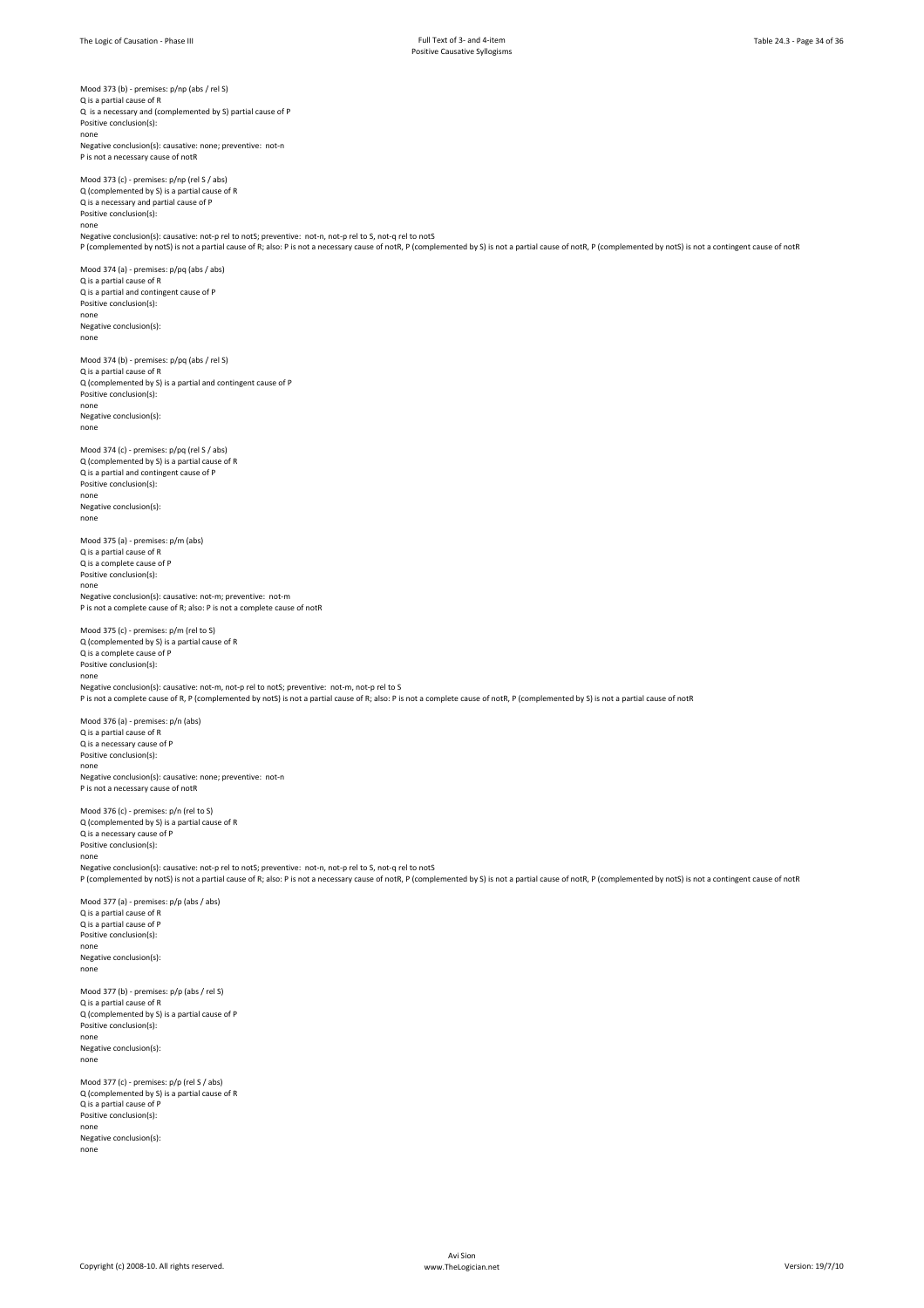Positive Causative Syllogisms

Mood 373 (b) - premises: p/np (abs / rel S) Q is a partial cause of R Q is a necessary and (complemented by S) partial cause of P Positive conclusion(s): none Negative conclusion(s): causative: none; preventive: not-n P is not a necessary cause of not Mood 373 (c) - premises: p/np (rel S / abs) Q (complemented by S) is a partial cause of R Q is a necessary and partial cause of P Positive conclusion(s): none Negative conclusion(s): causative: not-p rel to notS; preventive: not-n, not-p rel to S, not-q rel to notS P (complemented by notS) is not a partial cause of R; also: P is not a necessary cause of notR, P (complemented by S) is not a partial cause of notR, P (complemented by notS) is not a contingent cause of notR Mood 374 (a) - premises: p/pq (abs / abs) Q is a partial cause of R Q is a partial and contingent cause of P Positive conclusion(s): none Negative conclusion(s): none Mood 374 (b) - premises: p/pq (abs / rel S) Q is a partial cause of R Q (complemented by S) is a partial and contingent cause of P Positive conclusion(s): none Negative conclusion(s): none Mood 374 (c) - premises: p/pq (rel S / abs) Q (complemented by S) is a partial cause of R Q is a partial and contingent cause of P Positive conclusion(s): none Negative conclusion(s): none Mood 375 (a) - premises: p/m (abs) Q is a partial cause of R Q is a complete cause of P Positive conclusion(s): none Negative conclusion(s): causative: not-m; preventive: not-m P is not a complete cause of R; also: P is not a complete cause of notR Mood 375 (c) - premises: p/m (rel to S) Q (complemented by S) is a partial cause of R Q is a complete cause of P Positive conclusion(s): none Negative conclusion(s): causative: not-m, not-p rel to notS; preventive: not-m, not-p rel to S P is not a complete cause of R, P (complemented by notS) is not a partial cause of R; also: P is not a complete cause of notR, P (complemented by S) is not a partial cause of notR Mood 376 (a) - premises: p/n (abs) Q is a partial cause of R Q is a necessary cause of P Positive conclusion(s): none Negative conclusion(s): causative: none; preventive: not-n P is not a necessary cause of notR Mood 376 (c) - premises: p/n (rel to S) Q (complemented by S) is a partial cause of R Q is a necessary cause of P Positive conclusion(s): none Negative conclusion(s): causative: not-p rel to notS; preventive: not-n, not-p rel to S, not-q rel to notS P (complemented by notS) is not a partial cause of R; also: P is not a necessary cause of notR, P (complemented by S) is not a partial cause of notR, P (complemented by notS) is not a contingent cause of notR Mood 377 (a) - premises: p/p (abs / abs) Q is a partial cause of R Q is a partial cause of P Positive conclusion(s): none Negative conclusion(s): none Mood 377 (b) - premises: p/p (abs / rel S) Q is a partial cause of R  $\Omega$  (complemented by S) is a partial cause of P Positive conclusion(s): none Negative conclusion(s): none Mood 377 (c) - premises: p/p (rel S / abs) Q (complemented by S) is a partial cause of R Q is a partial cause of P Positive conclusion(s): none

Negative conclusion(s): none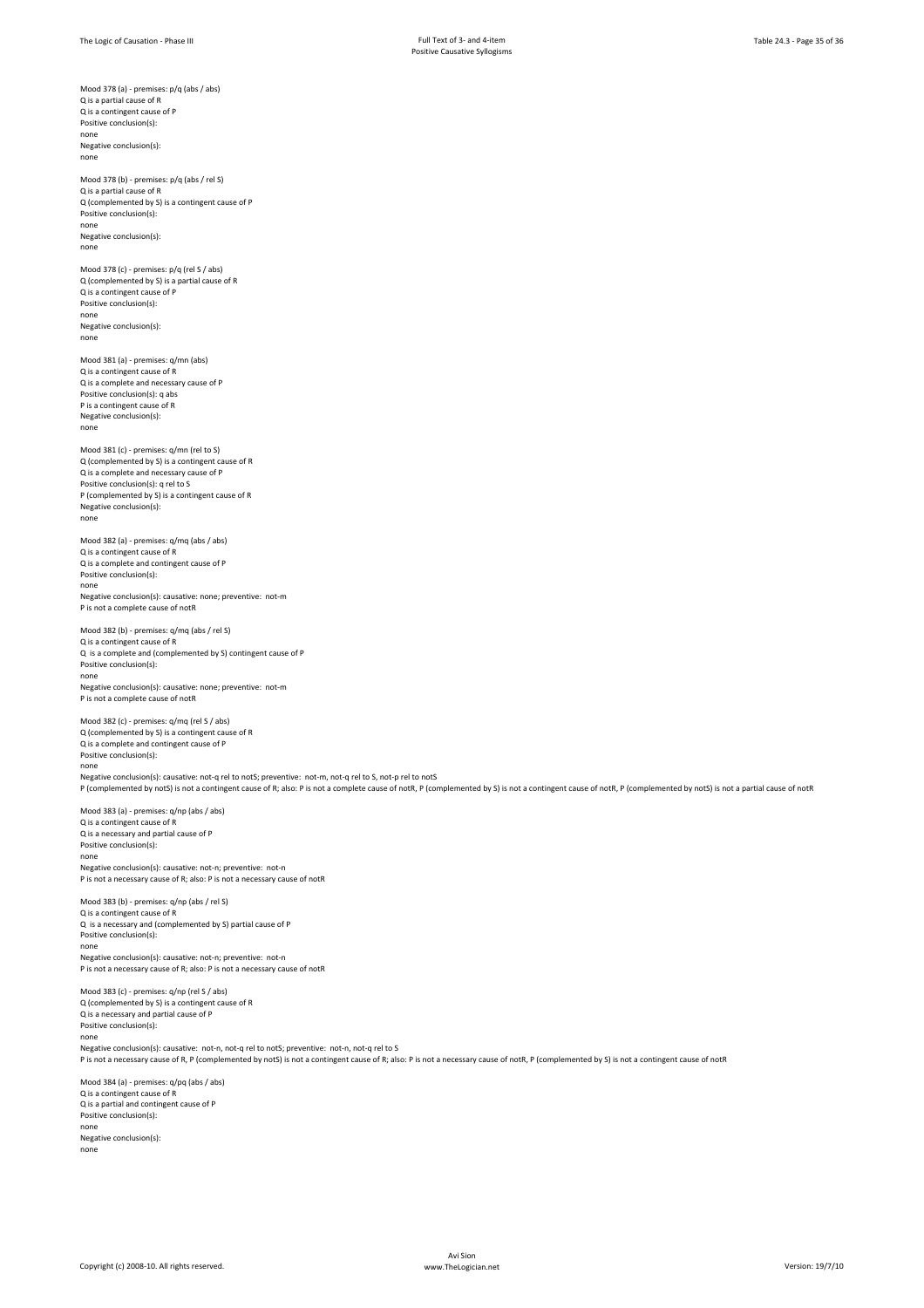Mood 378 (a) - premises: p/q (abs / abs)

Q is a partial cause of R Q is a contingent cause of P Positive conclusion(s): none Negative conclusion(s): none Mood 378 (b) - premises: p/q (abs / rel S) Q is a partial cause of R Q (complemented by S) is a contingent cause of P Positive conclusion(s): none Negative conclusion(s): none Mood 378 (c) - premises: p/q (rel S / abs) Q (complemented by S) is a partial cause of R Q is a contingent cause of P Positive conclusion(s): none Negative conclusion(s): none Mood 381 (a) - premises: q/mn (abs) Q is a contingent cause of R Q is a complete and necessary cause of P Positive conclusion(s): q abs P is a contingent cause of R Negative conclusion(s): none Mood 381 (c) - premises: q/mn (rel to S) Q (complemented by S) is a contingent cause of R Q is a complete and necessary cause of P Positive conclusion(s): q rel to S P (complemented by S) is a contingent cause of R Negative conclusion(s): none Mood 382 (a) - premises: q/mq (abs / abs) Q is a contingent cause of R Q is a complete and contingent cause of P Positive conclusion(s): none Negative conclusion(s): causative: none; preventive: not-m P is not a complete cause of notR Mood 382 (b) - premises: q/mq (abs / rel S) Q is a contingent cause of R Q is a complete and (complemented by S) contingent cause of P Positive conclusion(s): none Negative conclusion(s): causative: none; preventive: not-m P is not a complete cause of notR Mood 382 (c) - premises: q/mq (rel S / abs) Q (complemented by S) is a contingent cause of R Q is a complete and contingent cause of P Positive conclusion(s): none Negative conclusion(s): causative: not-q rel to notS; preventive: not-m, not-q rel to S, not-p rel to notS P (complemented by notS) is not a contingent cause of R; also: P is not a complete cause of notR, P (complemented by S) is not a contingent cause of notR, P (complemented by notS) is not a partial cause of notR Mood 383 (a) - premises: q/np (abs / abs) Q is a contingent cause of R Q is a necessary and partial cause of P Positive conclusion(s): none Negative conclusion(s): causative: not-n; preventive: not-n P is not a necessary cause of R; also: P is not a necessary cause of notR Mood 383 (b) - premises: q/np (abs / rel S) Q is a contingent cause of R Q is a necessary and (complemented by S) partial cause of P Positive conclusion(s): none Negative conclusion(s): causative: not-n; preventive: not-n P is not a necessary cause of R; also: P is not a necessary cause of notR Mood 383 (c) - premises: q/np (rel S / abs) Q (complemented by S) is a contingent cause of R Q is a necessary and partial cause of P Positive conclusion(s): none Negative conclusion(s): causative: not-n, not-q rel to notS; preventive: not-n, not-q rel to S

Mood 384 (a) - premises: q/pq (abs / abs) Q is a contingent cause of R Q is a partial and contingent cause of P Positive conclusion(s): none Negative conclusion(s):

P is not a necessary cause of R, P (complemented by notS) is not a contingent cause of R; also: P is not a necessary cause of notR, P (complemented by S) is not a contingent cause of notR